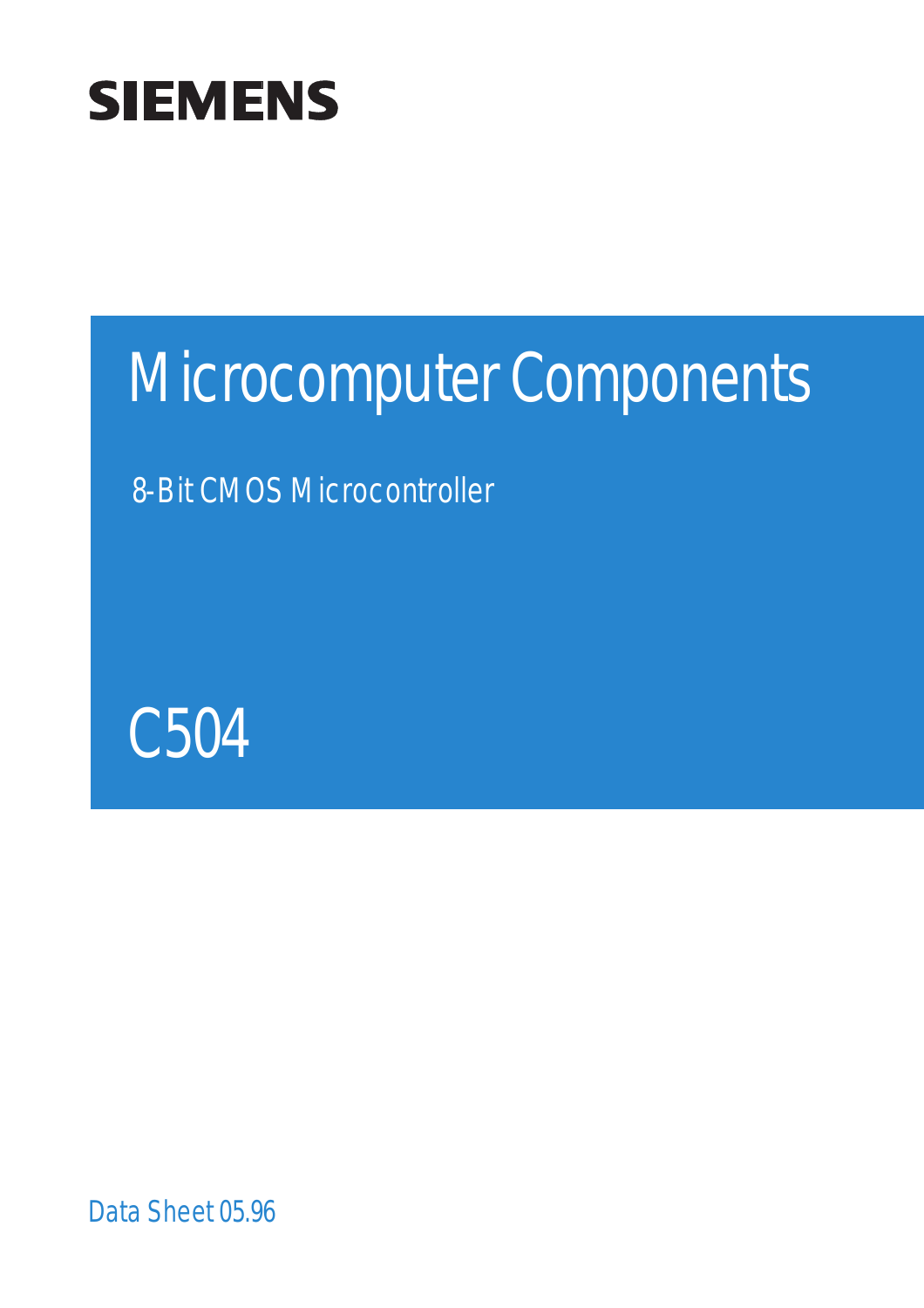

# Microcomputer Components

8-Bit CMOS Microcontroller



Data Sheet 05.96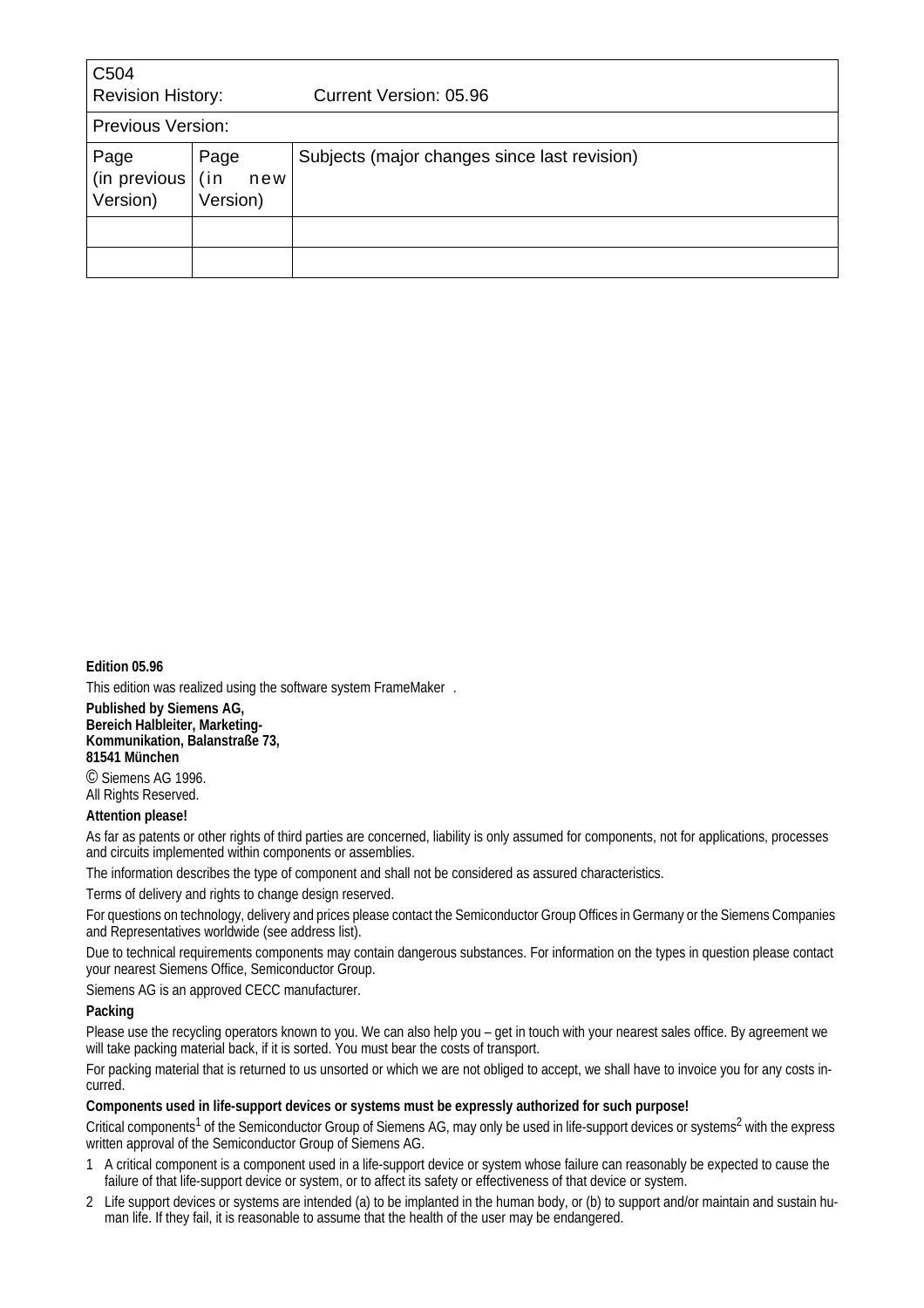| C <sub>504</sub><br><b>Revision History:</b>                       |  | Current Version: 05.96                       |
|--------------------------------------------------------------------|--|----------------------------------------------|
| <b>Previous Version:</b>                                           |  |                                              |
| Page<br>Page<br>(in previous<br>(in<br>new<br>Version)<br>Version) |  | Subjects (major changes since last revision) |
|                                                                    |  |                                              |
|                                                                    |  |                                              |

#### **Edition 05.96**

This edition was realized using the software system FrameMaker®.

**Published by Siemens AG, Bereich Halbleiter, Marketing-Kommunikation, Balanstraße 73, 81541 München** © Siemens AG 1996.

All Rights Reserved.

#### **Attention please!**

As far as patents or other rights of third parties are concerned, liability is only assumed for components, not for applications, processes and circuits implemented within components or assemblies.

The information describes the type of component and shall not be considered as assured characteristics.

Terms of delivery and rights to change design reserved.

For questions on technology, delivery and prices please contact the Semiconductor Group Offices in Germany or the Siemens Companies and Representatives worldwide (see address list).

Due to technical requirements components may contain dangerous substances. For information on the types in question please contact your nearest Siemens Office, Semiconductor Group.

Siemens AG is an approved CECC manufacturer.

#### **Packing**

Please use the recycling operators known to you. We can also help you – get in touch with your nearest sales office. By agreement we will take packing material back, if it is sorted. You must bear the costs of transport.

For packing material that is returned to us unsorted or which we are not obliged to accept, we shall have to invoice you for any costs incurred.

#### **Components used in life-support devices or systems must be expressly authorized for such purpose!**

Critical components<sup>1</sup> of the Semiconductor Group of Siemens AG, may only be used in life-support devices or systems<sup>2</sup> with the express written approval of the Semiconductor Group of Siemens AG.

- 1 A critical component is a component used in a life-support device or system whose failure can reasonably be expected to cause the failure of that life-support device or system, or to affect its safety or effectiveness of that device or system.
- 2 Life support devices or systems are intended (a) to be implanted in the human body, or (b) to support and/or maintain and sustain human life. If they fail, it is reasonable to assume that the health of the user may be endangered.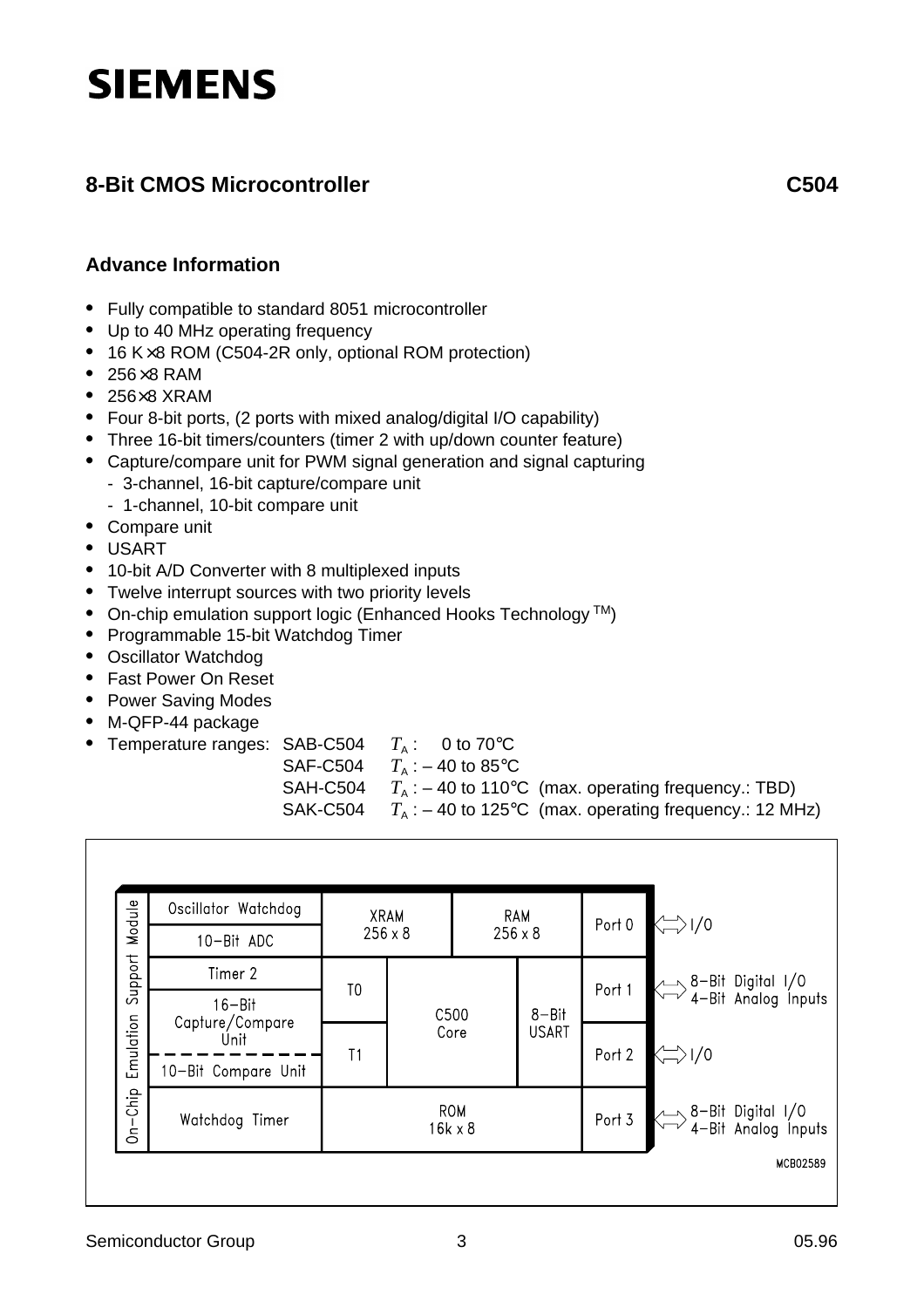# **SIEMENS**

### **8-Bit CMOS Microcontroller** C504

#### **Advance Information**

- **•** Fully compatible to standard 8051 microcontroller
- **•** Up to 40 MHz operating frequency
- **•** 16 K×8 ROM (C504-2R only, optional ROM protection)
- **•** 256×8 RAM
- **•** 256×8 XRAM
- **•** Four 8-bit ports, (2 ports with mixed analog/digital I/O capability)
- **•** Three 16-bit timers/counters (timer 2 with up/down counter feature)
- **•** Capture/compare unit for PWM signal generation and signal capturing - 3-channel, 16-bit capture/compare unit
	- 1-channel, 10-bit compare unit
- **•** Compare unit
- **•** USART
- **•** 10-bit A/D Converter with 8 multiplexed inputs
- **•** Twelve interrupt sources with two priority levels
- On-chip emulation support logic (Enhanced Hooks Technology<sup>TM</sup>)
- **•** Programmable 15-bit Watchdog Timer
- **•** Oscillator Watchdog
- **•** Fast Power On Reset
- **•** Power Saving Modes
- **•** M-QFP-44 package
- Temperature ranges: SAB-C504  $T_A$ : 0 to 70 $^{\circ}$ C
	- SAF-C504  $T_A$  : 40 to 85 °C
		-
	- SAH-C504  $T_A := 40$  to 110°C (max. operating frequency.: TBD)<br>SAK-C504  $T_A := 40$  to 125°C (max. operating frequency.: 12 MH  $T_{\rm A}$ : – 40 to 125°C (max. operating frequency.: 12 MHz)

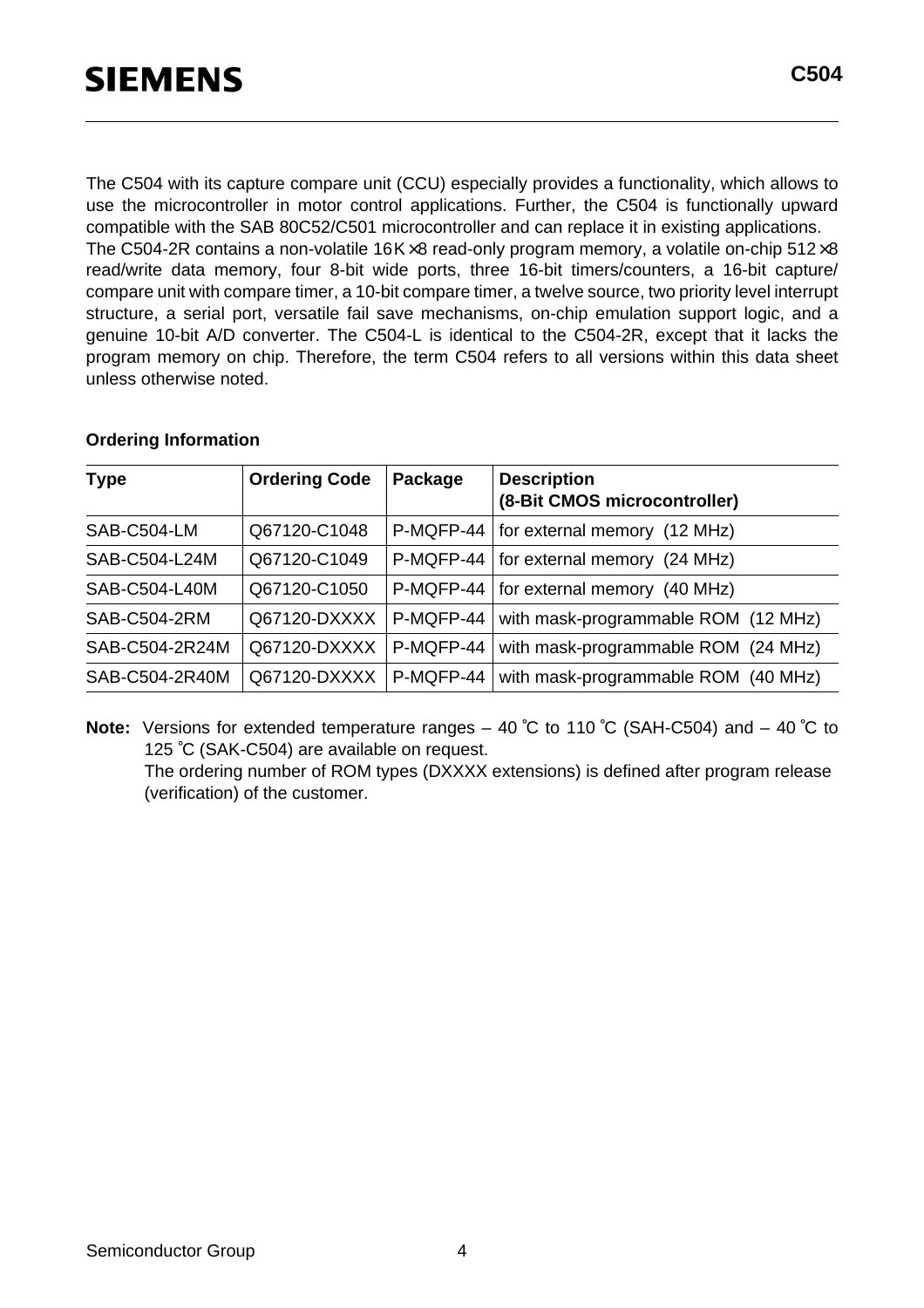The C504 with its capture compare unit (CCU) especially provides a functionality, which allows to use the microcontroller in motor control applications. Further, the C504 is functionally upward compatible with the SAB 80C52/C501 microcontroller and can replace it in existing applications. The C504-2R contains a non-volatile  $16K \times 8$  read-only program memory, a volatile on-chip 512 $\times 8$ read/write data memory, four 8-bit wide ports, three 16-bit timers/counters, a 16-bit capture/ compare unit with compare timer, a 10-bit compare timer, a twelve source, two priority level interrupt structure, a serial port, versatile fail save mechanisms, on-chip emulation support logic, and a genuine 10-bit A/D converter. The C504-L is identical to the C504-2R, except that it lacks the program memory on chip. Therefore, the term C504 refers to all versions within this data sheet unless otherwise noted.

| <b>Type</b>    | <b>Ordering Code</b> | Package     | <b>Description</b><br>(8-Bit CMOS microcontroller) |
|----------------|----------------------|-------------|----------------------------------------------------|
| SAB-C504-LM    | Q67120-C1048         |             | $P-MQFP-44$   for external memory (12 MHz)         |
| SAB-C504-L24M  | Q67120-C1049         |             | P-MQFP-44   for external memory (24 MHz)           |
| SAB-C504-L40M  | Q67120-C1050         | $P-MQFP-44$ | for external memory (40 MHz)                       |
| SAB-C504-2RM   | Q67120-DXXXX         | P-MQFP-44   | with mask-programmable ROM (12 MHz)                |
| SAB-C504-2R24M | Q67120-DXXXX         | P-MQFP-44   | with mask-programmable ROM (24 MHz)                |
| SAB-C504-2R40M | Q67120-DXXXX         | P-MQFP-44   | with mask-programmable ROM (40 MHz)                |

#### **Ordering Information**

**Note:** Versions for extended temperature ranges – 40 ˚C to 110 ˚C (SAH-C504) and – 40 ˚C to 125 ˚C (SAK-C504) are available on request.

The ordering number of ROM types (DXXXX extensions) is defined after program release (verification) of the customer.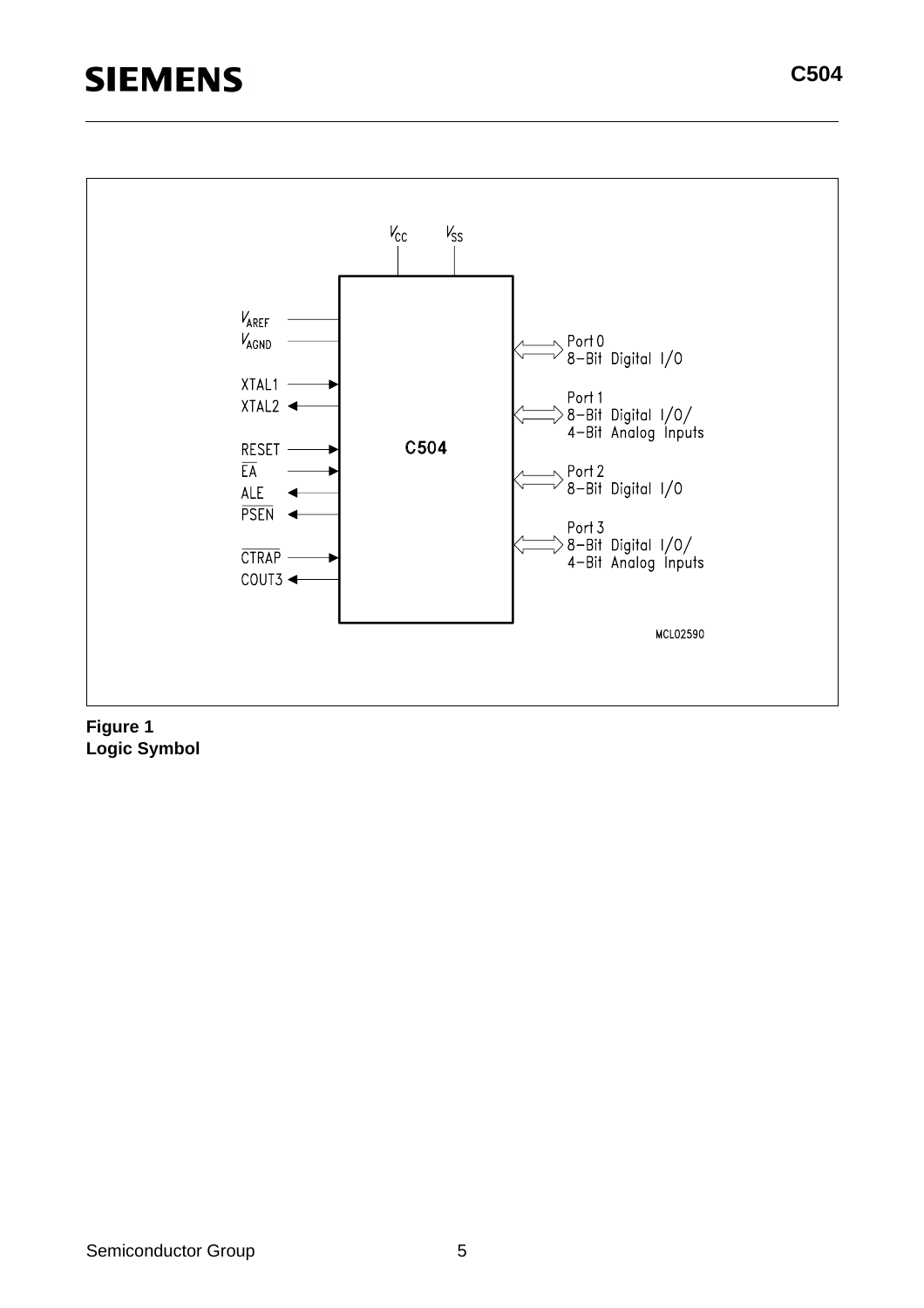## **SIEMENS**



**Logic Symbol**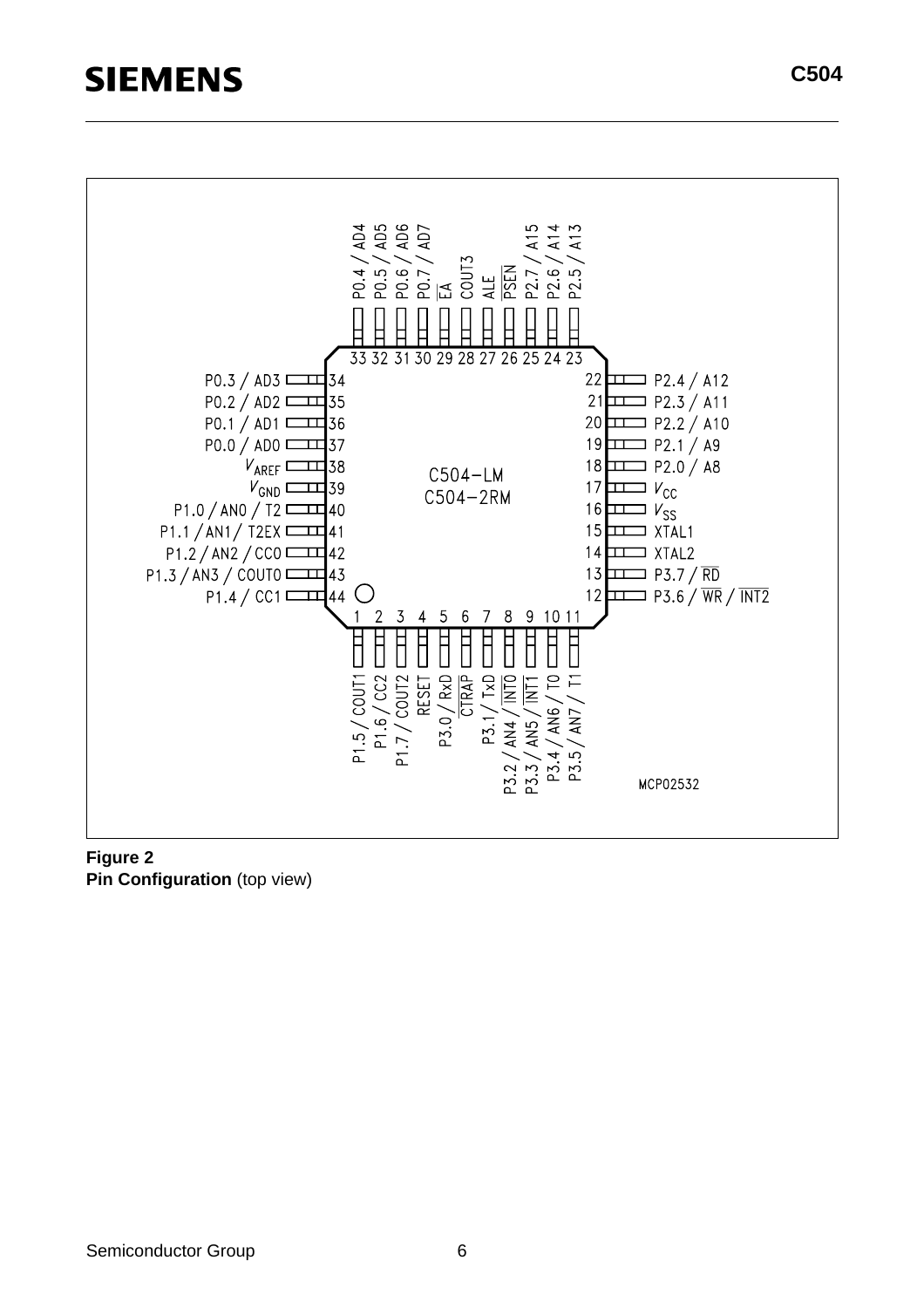### **SIEMENS**



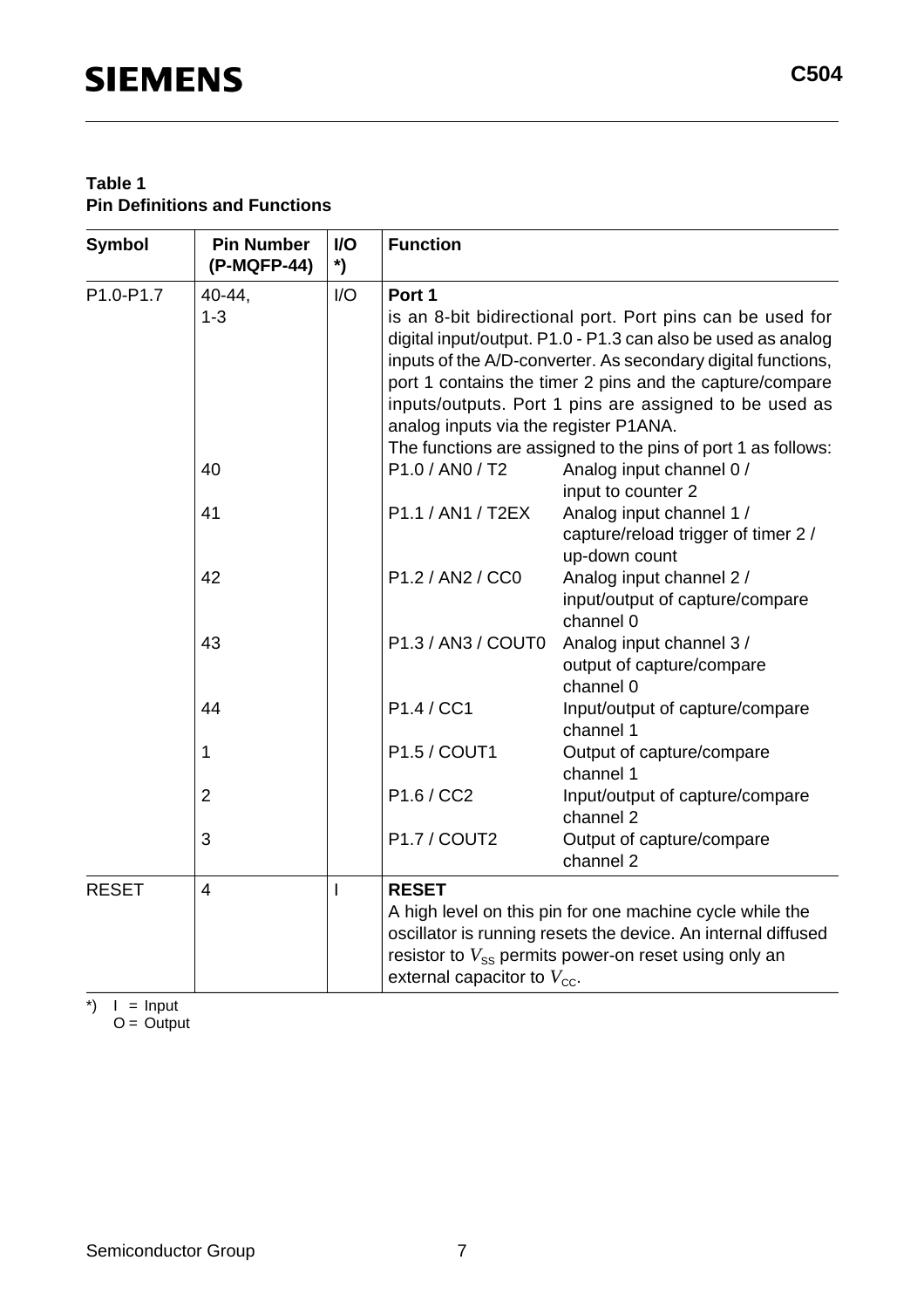| <b>Symbol</b> | <b>Pin Number</b><br>(P-MQFP-44) | $UO$<br>$\boldsymbol{\zeta}$ | <b>Function</b>                                         |                                                                                                                                                                                                                                                                                                                 |
|---------------|----------------------------------|------------------------------|---------------------------------------------------------|-----------------------------------------------------------------------------------------------------------------------------------------------------------------------------------------------------------------------------------------------------------------------------------------------------------------|
| P1.0-P1.7     | 40-44,<br>$1 - 3$                | I/O                          | Port 1<br>analog inputs via the register P1ANA.         | is an 8-bit bidirectional port. Port pins can be used for<br>digital input/output. P1.0 - P1.3 can also be used as analog<br>inputs of the A/D-converter. As secondary digital functions,<br>port 1 contains the timer 2 pins and the capture/compare<br>inputs/outputs. Port 1 pins are assigned to be used as |
|               | 40                               |                              | P1.0 / AN0 / T2                                         | The functions are assigned to the pins of port 1 as follows:<br>Analog input channel 0 /<br>input to counter 2                                                                                                                                                                                                  |
|               | 41                               |                              | P1.1 / AN1 / T2EX                                       | Analog input channel 1 /<br>capture/reload trigger of timer 2 /<br>up-down count                                                                                                                                                                                                                                |
|               | 42                               |                              | P1.2 / AN2 / CC0                                        | Analog input channel 2 /<br>input/output of capture/compare<br>channel 0                                                                                                                                                                                                                                        |
|               | 43                               |                              | P1.3 / AN3 / COUT0                                      | Analog input channel 3 /<br>output of capture/compare<br>channel 0                                                                                                                                                                                                                                              |
|               | 44                               |                              | P1.4 / CC1                                              | Input/output of capture/compare<br>channel 1                                                                                                                                                                                                                                                                    |
|               | 1                                |                              | P1.5 / COUT1                                            | Output of capture/compare<br>channel 1                                                                                                                                                                                                                                                                          |
|               | $\overline{2}$                   |                              | P1.6 / CC2                                              | Input/output of capture/compare<br>channel 2                                                                                                                                                                                                                                                                    |
|               | 3                                |                              | P1.7 / COUT2                                            | Output of capture/compare<br>channel 2                                                                                                                                                                                                                                                                          |
| <b>RESET</b>  | $\overline{4}$                   | $\overline{1}$               | <b>RESET</b><br>external capacitor to $V_{\text{cc}}$ . | A high level on this pin for one machine cycle while the<br>oscillator is running resets the device. An internal diffused<br>resistor to $V_{ss}$ permits power-on reset using only an                                                                                                                          |

 $\check{\ }$  | = Input  $O =$  Output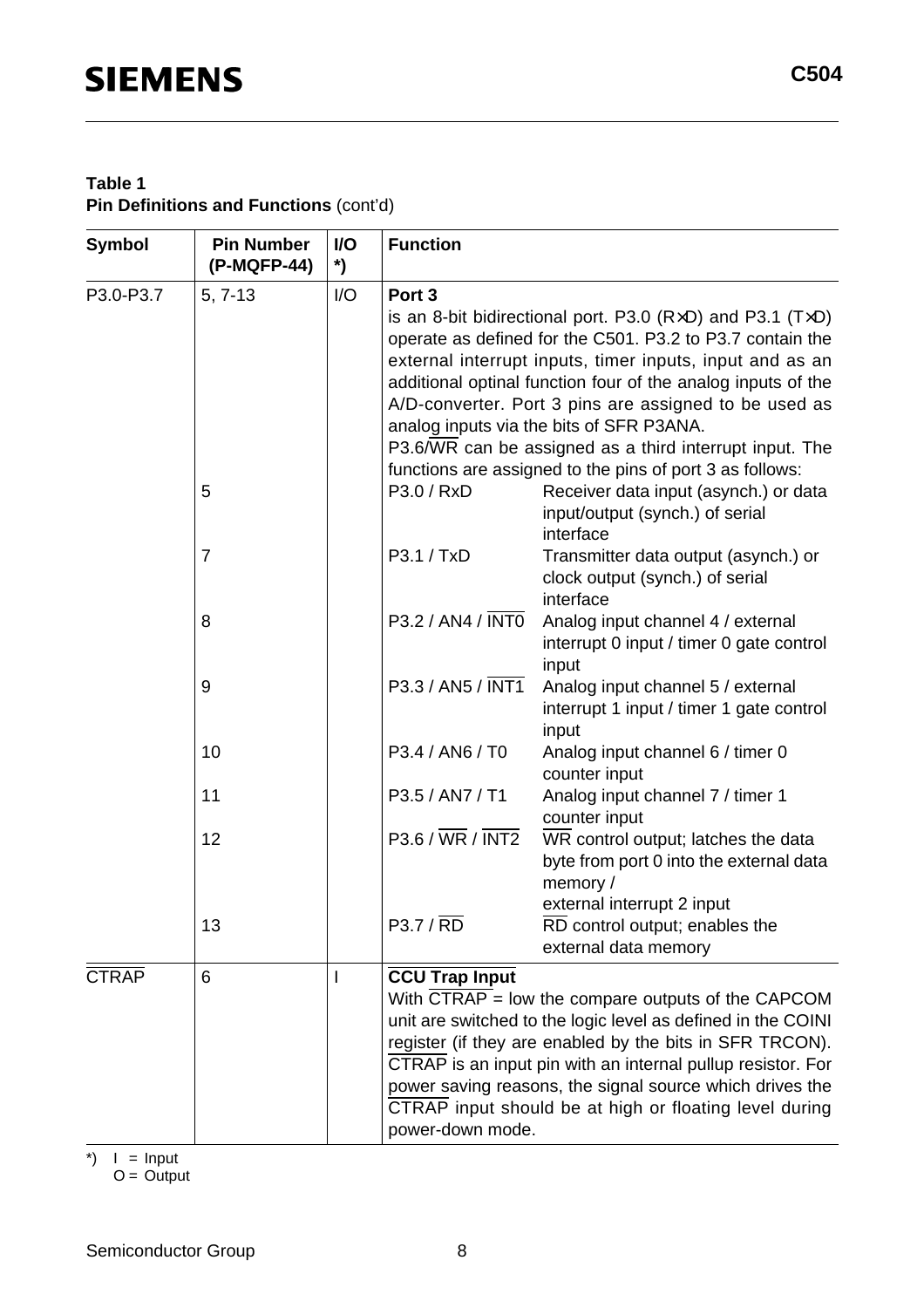#### **Table 1 Pin Definitions and Functions** (cont'd)

| <b>Symbol</b> | <b>Pin Number</b><br>(P-MQFP-44) | I/O<br>*) | <b>Function</b>                                                                                                     |                                                                   |  |  |  |  |  |
|---------------|----------------------------------|-----------|---------------------------------------------------------------------------------------------------------------------|-------------------------------------------------------------------|--|--|--|--|--|
| P3.0-P3.7     | $5, 7-13$                        | I/O       | Port <sub>3</sub>                                                                                                   |                                                                   |  |  |  |  |  |
|               |                                  |           |                                                                                                                     | is an 8-bit bidirectional port. P3.0 ( $RxD$ ) and P3.1 ( $TxD$ ) |  |  |  |  |  |
|               |                                  |           |                                                                                                                     | operate as defined for the C501. P3.2 to P3.7 contain the         |  |  |  |  |  |
|               |                                  |           | external interrupt inputs, timer inputs, input and as an                                                            |                                                                   |  |  |  |  |  |
|               |                                  |           | additional optinal function four of the analog inputs of the                                                        |                                                                   |  |  |  |  |  |
|               |                                  |           | A/D-converter. Port 3 pins are assigned to be used as                                                               |                                                                   |  |  |  |  |  |
|               |                                  |           | analog inputs via the bits of SFR P3ANA.                                                                            |                                                                   |  |  |  |  |  |
|               |                                  |           | P3.6/WR can be assigned as a third interrupt input. The<br>functions are assigned to the pins of port 3 as follows: |                                                                   |  |  |  |  |  |
|               | 5                                |           | P3.0 / RxD                                                                                                          | Receiver data input (asynch.) or data                             |  |  |  |  |  |
|               |                                  |           |                                                                                                                     | input/output (synch.) of serial                                   |  |  |  |  |  |
|               |                                  |           |                                                                                                                     | interface                                                         |  |  |  |  |  |
|               | $\overline{7}$                   |           | P3.1 / TxD                                                                                                          | Transmitter data output (asynch.) or                              |  |  |  |  |  |
|               |                                  |           |                                                                                                                     | clock output (synch.) of serial                                   |  |  |  |  |  |
|               |                                  |           |                                                                                                                     | interface                                                         |  |  |  |  |  |
|               | 8                                |           | P3.2 / AN4 / INTO                                                                                                   | Analog input channel 4 / external                                 |  |  |  |  |  |
|               |                                  |           |                                                                                                                     | interrupt 0 input / timer 0 gate control                          |  |  |  |  |  |
|               |                                  |           |                                                                                                                     | input                                                             |  |  |  |  |  |
|               | 9                                |           | P3.3 / AN5 / INT1                                                                                                   | Analog input channel 5 / external                                 |  |  |  |  |  |
|               |                                  |           |                                                                                                                     | interrupt 1 input / timer 1 gate control                          |  |  |  |  |  |
|               | 10                               |           | P3.4 / AN6 / T0                                                                                                     | input                                                             |  |  |  |  |  |
|               |                                  |           |                                                                                                                     | Analog input channel 6 / timer 0<br>counter input                 |  |  |  |  |  |
|               | 11                               |           | P3.5 / AN7 / T1                                                                                                     | Analog input channel 7 / timer 1                                  |  |  |  |  |  |
|               |                                  |           |                                                                                                                     | counter input                                                     |  |  |  |  |  |
|               | 12                               |           | $P3.6 / \overline{WR} / \overline{INT2}$                                                                            | WR control output; latches the data                               |  |  |  |  |  |
|               |                                  |           |                                                                                                                     | byte from port 0 into the external data                           |  |  |  |  |  |
|               |                                  |           |                                                                                                                     | memory /                                                          |  |  |  |  |  |
|               |                                  |           |                                                                                                                     | external interrupt 2 input                                        |  |  |  |  |  |
|               | 13                               |           | P3.7 / RD                                                                                                           | RD control output; enables the                                    |  |  |  |  |  |
|               |                                  |           |                                                                                                                     | external data memory                                              |  |  |  |  |  |
| <b>CTRAP</b>  | 6                                |           | <b>CCU Trap Input</b>                                                                                               |                                                                   |  |  |  |  |  |
|               |                                  |           |                                                                                                                     | With CTRAP $=$ low the compare outputs of the CAPCOM              |  |  |  |  |  |
|               |                                  |           |                                                                                                                     | unit are switched to the logic level as defined in the COINI      |  |  |  |  |  |
|               |                                  |           |                                                                                                                     | register (if they are enabled by the bits in SFR TRCON).          |  |  |  |  |  |
|               |                                  |           |                                                                                                                     | CTRAP is an input pin with an internal pullup resistor. For       |  |  |  |  |  |
|               |                                  |           |                                                                                                                     | power saving reasons, the signal source which drives the          |  |  |  |  |  |
|               |                                  |           |                                                                                                                     | CTRAP input should be at high or floating level during            |  |  |  |  |  |
|               |                                  |           | power-down mode.                                                                                                    |                                                                   |  |  |  |  |  |

 $\uparrow$  | = Input

 $O =$  Output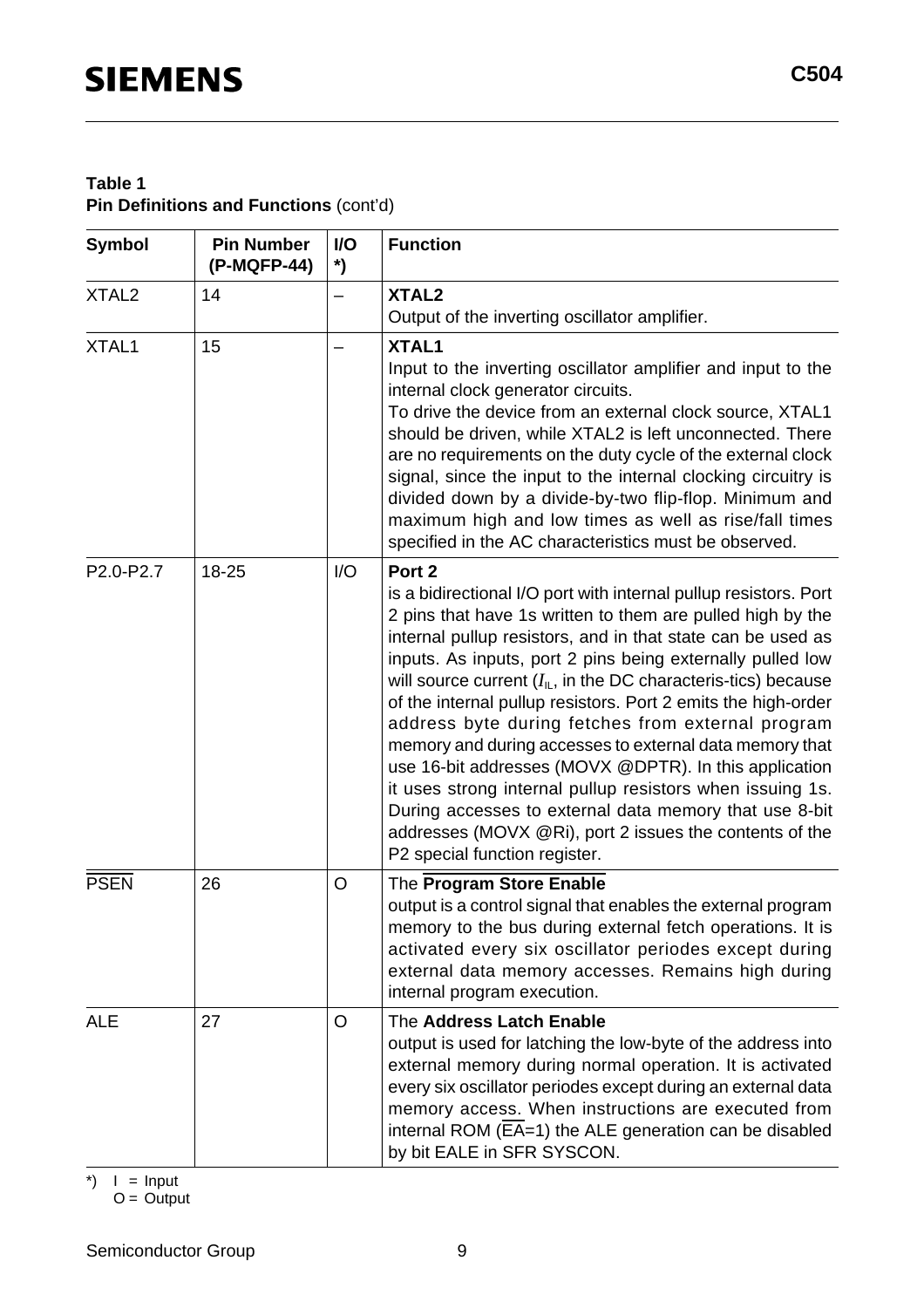#### **Table 1 Pin Definitions and Functions** (cont'd)

| <b>Symbol</b>     | <b>Pin Number</b><br>(P-MQFP-44) | I/O<br>*) | <b>Function</b>                                                                                                                                                                                                                                                                                                                                                                                                                                                                                                                                                                                                                                                                                                                                                                                                                |
|-------------------|----------------------------------|-----------|--------------------------------------------------------------------------------------------------------------------------------------------------------------------------------------------------------------------------------------------------------------------------------------------------------------------------------------------------------------------------------------------------------------------------------------------------------------------------------------------------------------------------------------------------------------------------------------------------------------------------------------------------------------------------------------------------------------------------------------------------------------------------------------------------------------------------------|
| XTAL <sub>2</sub> | 14                               |           | XTAL <sub>2</sub><br>Output of the inverting oscillator amplifier.                                                                                                                                                                                                                                                                                                                                                                                                                                                                                                                                                                                                                                                                                                                                                             |
| XTAL1             | 15                               |           | XTAL1<br>Input to the inverting oscillator amplifier and input to the<br>internal clock generator circuits.<br>To drive the device from an external clock source, XTAL1<br>should be driven, while XTAL2 is left unconnected. There<br>are no requirements on the duty cycle of the external clock<br>signal, since the input to the internal clocking circuitry is<br>divided down by a divide-by-two flip-flop. Minimum and<br>maximum high and low times as well as rise/fall times<br>specified in the AC characteristics must be observed.                                                                                                                                                                                                                                                                                |
| P2.0-P2.7         | 18-25                            | 1/O       | Port <sub>2</sub><br>is a bidirectional I/O port with internal pullup resistors. Port<br>2 pins that have 1s written to them are pulled high by the<br>internal pullup resistors, and in that state can be used as<br>inputs. As inputs, port 2 pins being externally pulled low<br>will source current $(I_{\mathbb{L}})$ , in the DC characteris-tics) because<br>of the internal pullup resistors. Port 2 emits the high-order<br>address byte during fetches from external program<br>memory and during accesses to external data memory that<br>use 16-bit addresses (MOVX @DPTR). In this application<br>it uses strong internal pullup resistors when issuing 1s.<br>During accesses to external data memory that use 8-bit<br>addresses (MOVX @Ri), port 2 issues the contents of the<br>P2 special function register. |
| <b>PSEN</b>       | 26                               | O         | The Program Store Enable<br>output is a control signal that enables the external program<br>memory to the bus during external fetch operations. It is<br>activated every six oscillator periodes except during<br>external data memory accesses. Remains high during<br>internal program execution.                                                                                                                                                                                                                                                                                                                                                                                                                                                                                                                            |
| <b>ALE</b>        | 27                               | O         | The Address Latch Enable<br>output is used for latching the low-byte of the address into<br>external memory during normal operation. It is activated<br>every six oscillator periodes except during an external data<br>memory access. When instructions are executed from<br>internal ROM (EA=1) the ALE generation can be disabled<br>by bit EALE in SFR SYSCON.                                                                                                                                                                                                                                                                                                                                                                                                                                                             |

 $\uparrow$  | = Input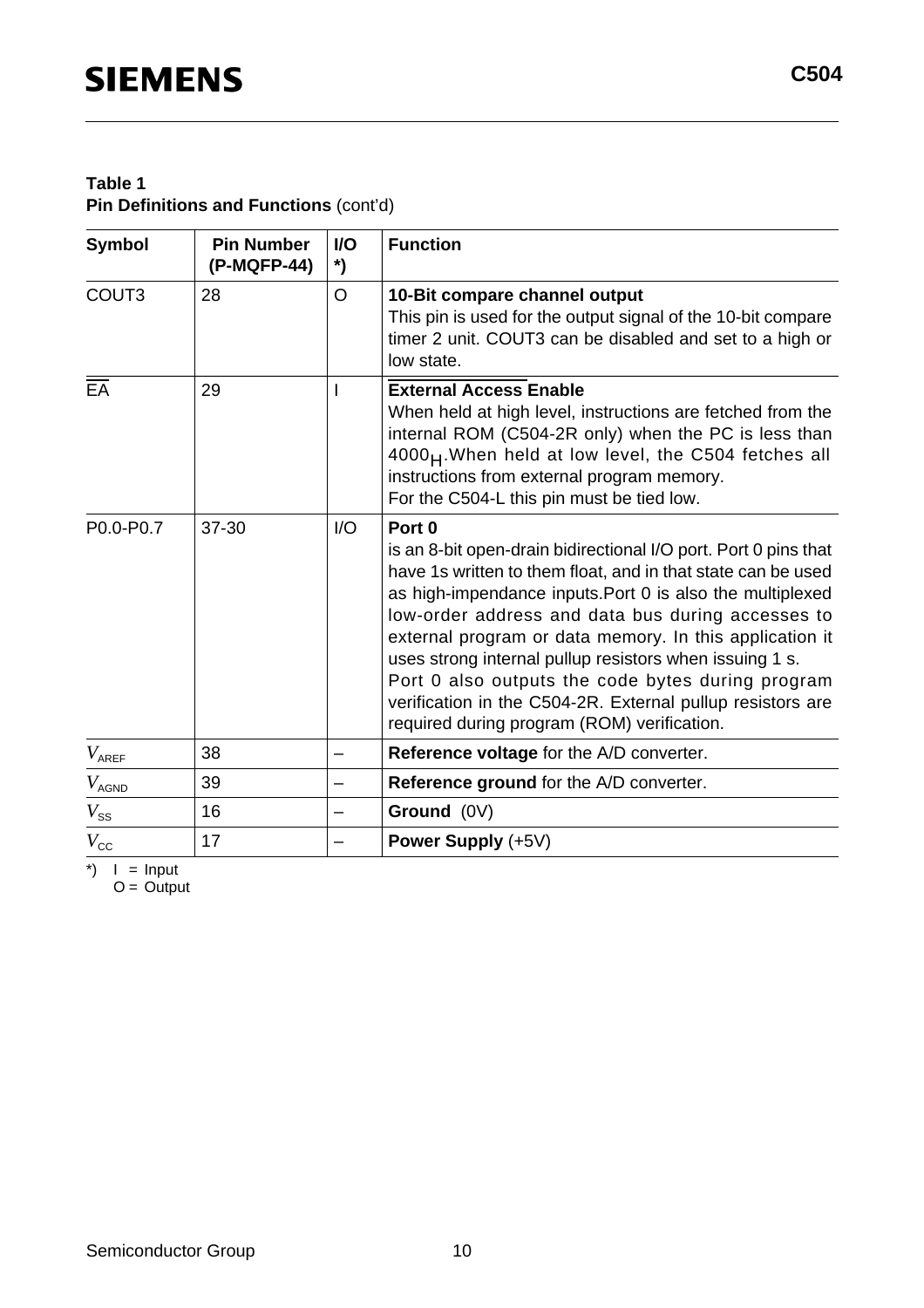#### **Table 1 Pin Definitions and Functions** (cont'd)

| <b>Symbol</b>     | <b>Pin Number</b><br>(P-MQFP-44) | <b>VO</b><br>*) | <b>Function</b>                                                                                                                                                                                                                                                                                                                                                                                                                                                                                                                                                |
|-------------------|----------------------------------|-----------------|----------------------------------------------------------------------------------------------------------------------------------------------------------------------------------------------------------------------------------------------------------------------------------------------------------------------------------------------------------------------------------------------------------------------------------------------------------------------------------------------------------------------------------------------------------------|
| COUT <sub>3</sub> | 28                               | $\circ$         | 10-Bit compare channel output<br>This pin is used for the output signal of the 10-bit compare<br>timer 2 unit. COUT3 can be disabled and set to a high or<br>low state.                                                                                                                                                                                                                                                                                                                                                                                        |
| $E\overline{A}$   | 29                               |                 | <b>External Access Enable</b><br>When held at high level, instructions are fetched from the<br>internal ROM (C504-2R only) when the PC is less than<br>4000 <sub>H</sub> . When held at low level, the C504 fetches all<br>instructions from external program memory.<br>For the C504-L this pin must be tied low.                                                                                                                                                                                                                                             |
| P0.0-P0.7         | 37-30                            | I/O             | Port <sub>0</sub><br>is an 8-bit open-drain bidirectional I/O port. Port 0 pins that<br>have 1s written to them float, and in that state can be used<br>as high-impendance inputs. Port 0 is also the multiplexed<br>low-order address and data bus during accesses to<br>external program or data memory. In this application it<br>uses strong internal pullup resistors when issuing 1 s.<br>Port 0 also outputs the code bytes during program<br>verification in the C504-2R. External pullup resistors are<br>required during program (ROM) verification. |
| $V_{AREF}$        | 38                               |                 | Reference voltage for the A/D converter.                                                                                                                                                                                                                                                                                                                                                                                                                                                                                                                       |
| $V_\mathsf{AGND}$ | 39                               |                 | Reference ground for the A/D converter.                                                                                                                                                                                                                                                                                                                                                                                                                                                                                                                        |
| $V_{\rm SS}$      | 16                               |                 | Ground (0V)                                                                                                                                                                                                                                                                                                                                                                                                                                                                                                                                                    |
| $V_{\rm CC}$      | 17                               |                 | Power Supply (+5V)                                                                                                                                                                                                                                                                                                                                                                                                                                                                                                                                             |

 $\uparrow$  | = Input

 $O =$  Output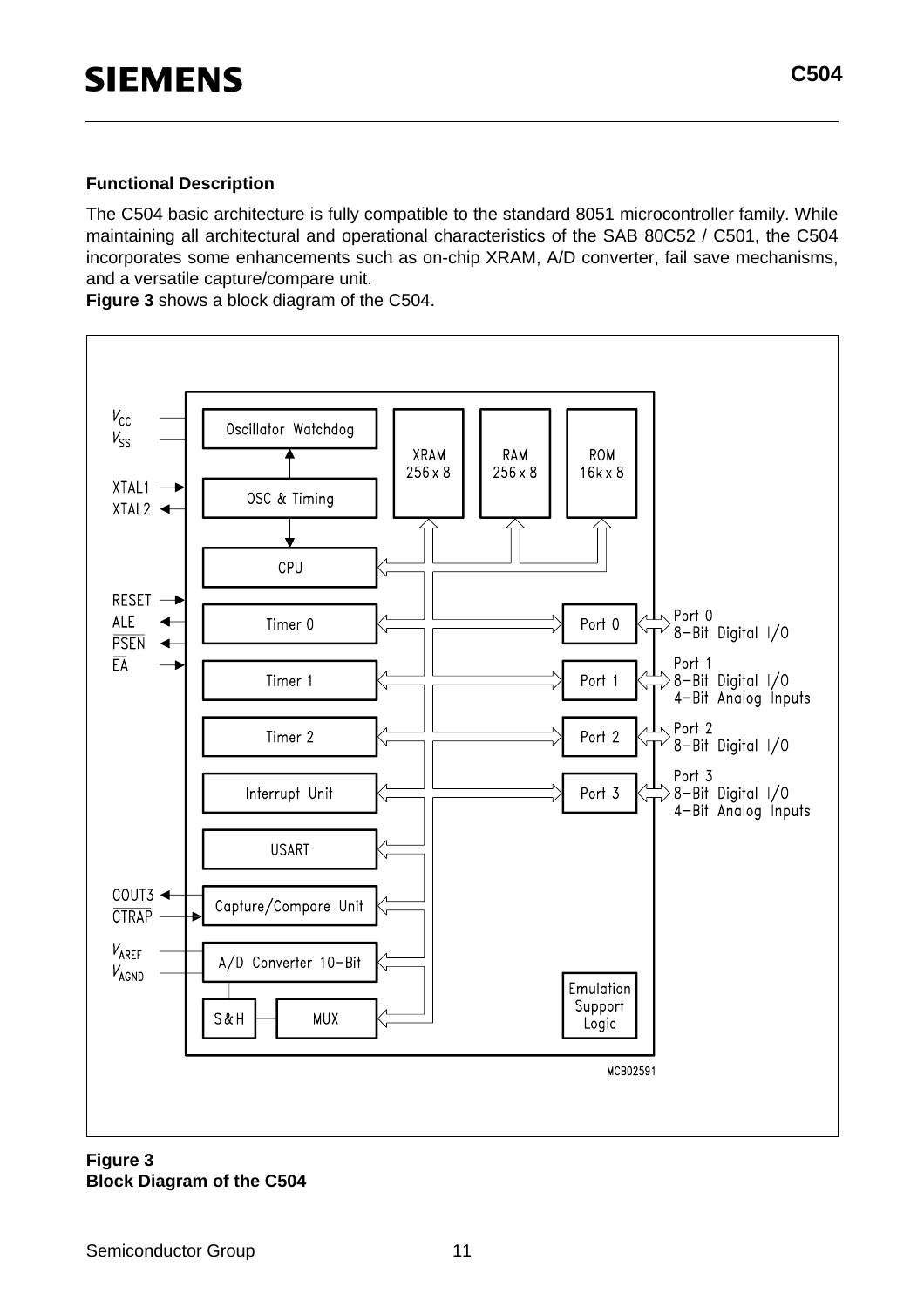#### **Functional Description**

The C504 basic architecture is fully compatible to the standard 8051 microcontroller family. While maintaining all architectural and operational characteristics of the SAB 80C52 / C501, the C504 incorporates some enhancements such as on-chip XRAM, A/D converter, fail save mechanisms, and a versatile capture/compare unit.

**Figure 3** shows a block diagram of the C504.



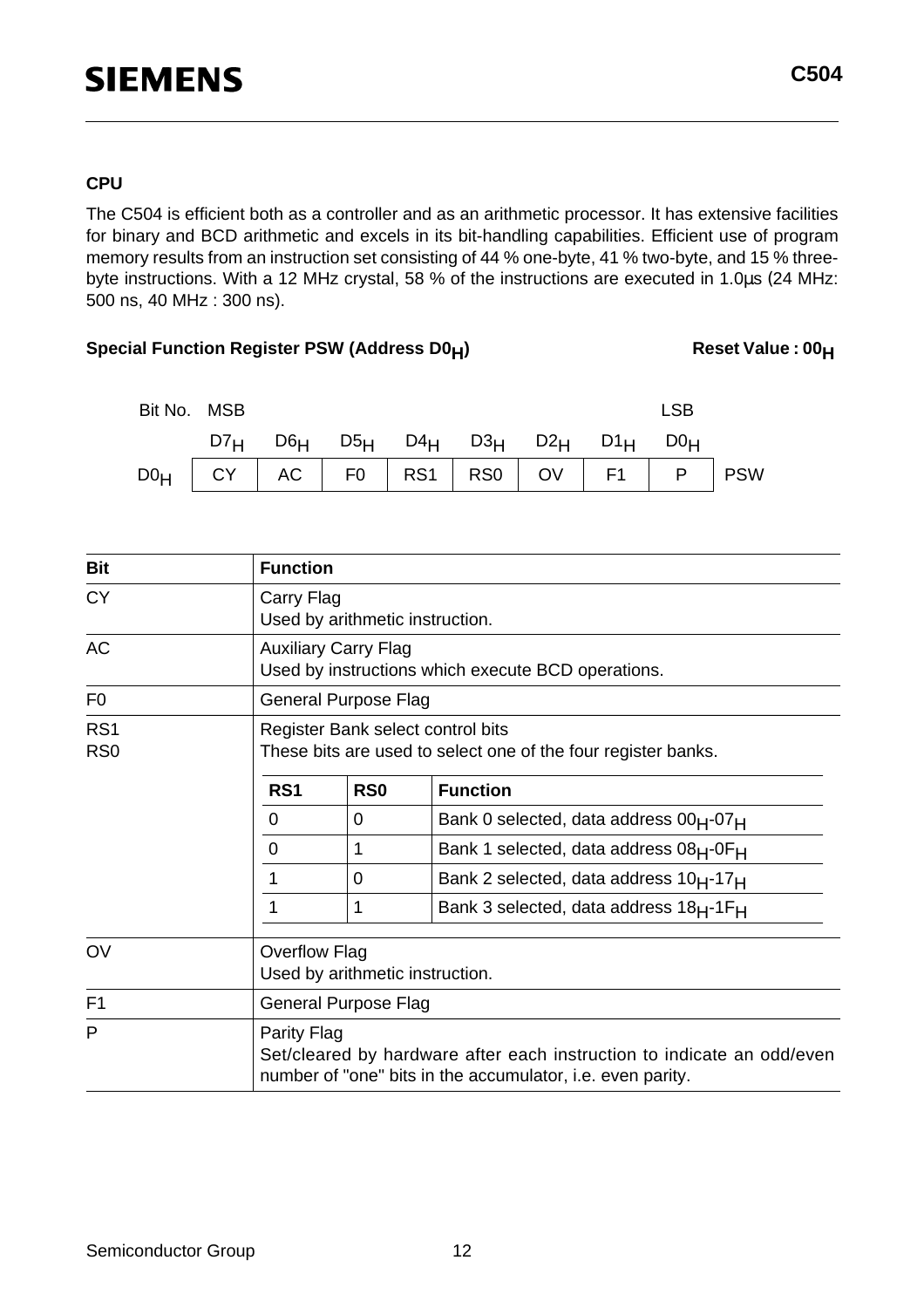#### **CPU**

The C504 is efficient both as a controller and as an arithmetic processor. It has extensive facilities for binary and BCD arithmetic and excels in its bit-handling capabilities. Efficient use of program memory results from an instruction set consisting of 44 % one-byte, 41 % two-byte, and 15 % threebyte instructions. With a 12 MHz crystal, 58 % of the instructions are executed in 1.0µs (24 MHz: 500 ns, 40 MHz : 300 ns).

#### Special Function Register PSW (Address D0<sub>H</sub>) Reset Value : 00<sub>H</sub>



| <b>Bit</b>                         | <b>Function</b>      |                                                                                   |                                                                                                                                      |  |  |  |  |
|------------------------------------|----------------------|-----------------------------------------------------------------------------------|--------------------------------------------------------------------------------------------------------------------------------------|--|--|--|--|
| <b>CY</b>                          |                      | Carry Flag<br>Used by arithmetic instruction.                                     |                                                                                                                                      |  |  |  |  |
| <b>AC</b>                          |                      | <b>Auxiliary Carry Flag</b><br>Used by instructions which execute BCD operations. |                                                                                                                                      |  |  |  |  |
| F <sub>0</sub>                     |                      | <b>General Purpose Flag</b>                                                       |                                                                                                                                      |  |  |  |  |
| RS <sub>1</sub><br>R <sub>S0</sub> |                      |                                                                                   | Register Bank select control bits<br>These bits are used to select one of the four register banks.                                   |  |  |  |  |
|                                    | RS <sub>1</sub>      | R <sub>S0</sub>                                                                   | <b>Function</b>                                                                                                                      |  |  |  |  |
|                                    | 0                    | 0                                                                                 | Bank 0 selected, data address 00 <sub>H</sub> -07 <sub>H</sub>                                                                       |  |  |  |  |
|                                    | 0                    | 1                                                                                 | Bank 1 selected, data address 08 <sub>H</sub> -0F <sub>H</sub>                                                                       |  |  |  |  |
|                                    | 1                    | 0                                                                                 | Bank 2 selected, data address $10_H - 17_H$                                                                                          |  |  |  |  |
|                                    | 1                    | 1                                                                                 | Bank 3 selected, data address 18 <sub>H</sub> -1F <sub>H</sub>                                                                       |  |  |  |  |
| OV                                 | <b>Overflow Flag</b> | Used by arithmetic instruction.                                                   |                                                                                                                                      |  |  |  |  |
| F <sub>1</sub>                     |                      | <b>General Purpose Flag</b>                                                       |                                                                                                                                      |  |  |  |  |
| P                                  | Parity Flag          |                                                                                   | Set/cleared by hardware after each instruction to indicate an odd/even<br>number of "one" bits in the accumulator, i.e. even parity. |  |  |  |  |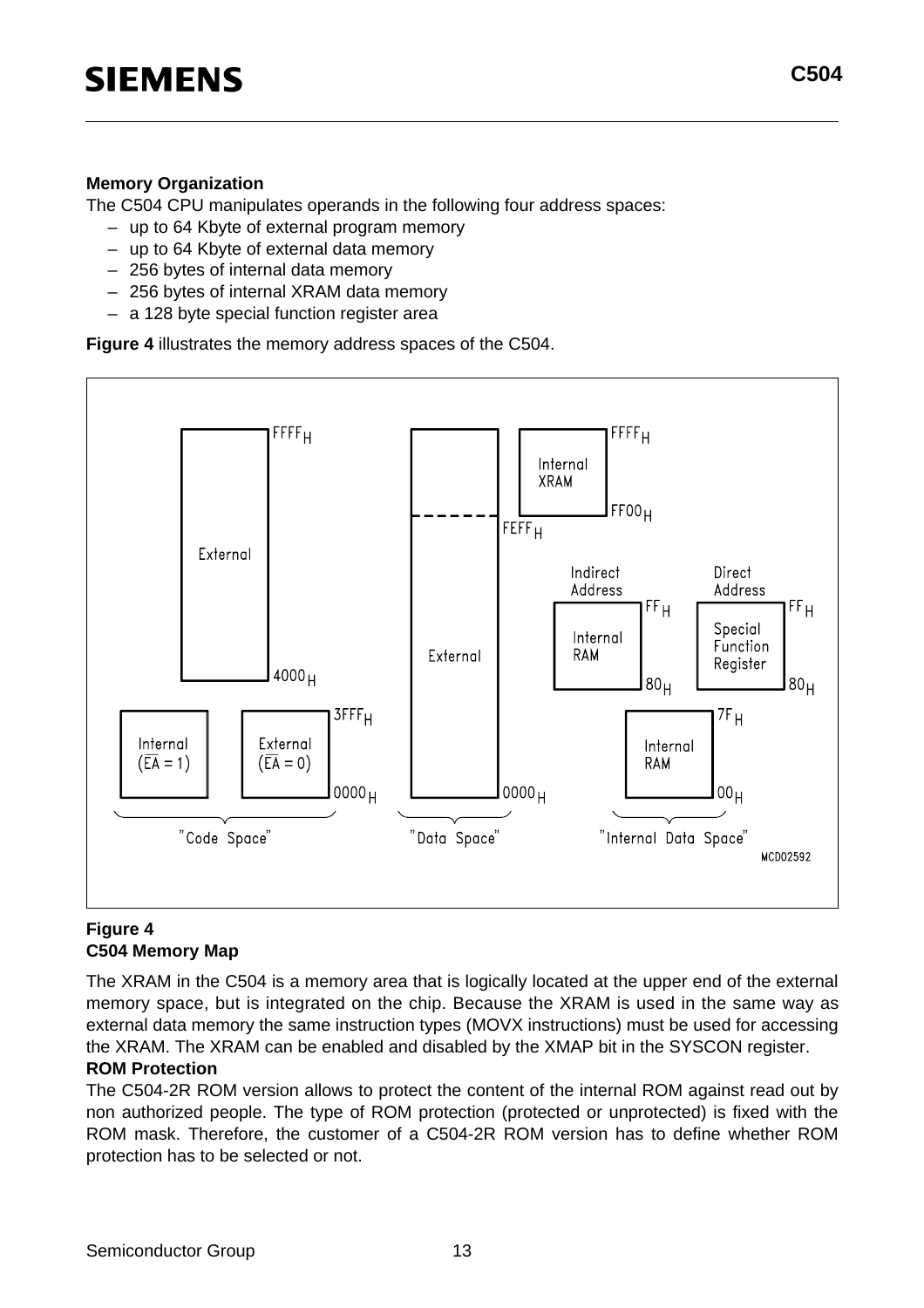#### **Memory Organization**

The C504 CPU manipulates operands in the following four address spaces:

- up to 64 Kbyte of external program memory
- up to 64 Kbyte of external data memory
- 256 bytes of internal data memory
- 256 bytes of internal XRAM data memory
- a 128 byte special function register area

**Figure 4** illustrates the memory address spaces of the C504.



#### **Figure 4 C504 Memory Map**

The XRAM in the C504 is a memory area that is logically located at the upper end of the external memory space, but is integrated on the chip. Because the XRAM is used in the same way as external data memory the same instruction types (MOVX instructions) must be used for accessing the XRAM. The XRAM can be enabled and disabled by the XMAP bit in the SYSCON register.

#### **ROM Protection**

The C504-2R ROM version allows to protect the content of the internal ROM against read out by non authorized people. The type of ROM protection (protected or unprotected) is fixed with the ROM mask. Therefore, the customer of a C504-2R ROM version has to define whether ROM protection has to be selected or not.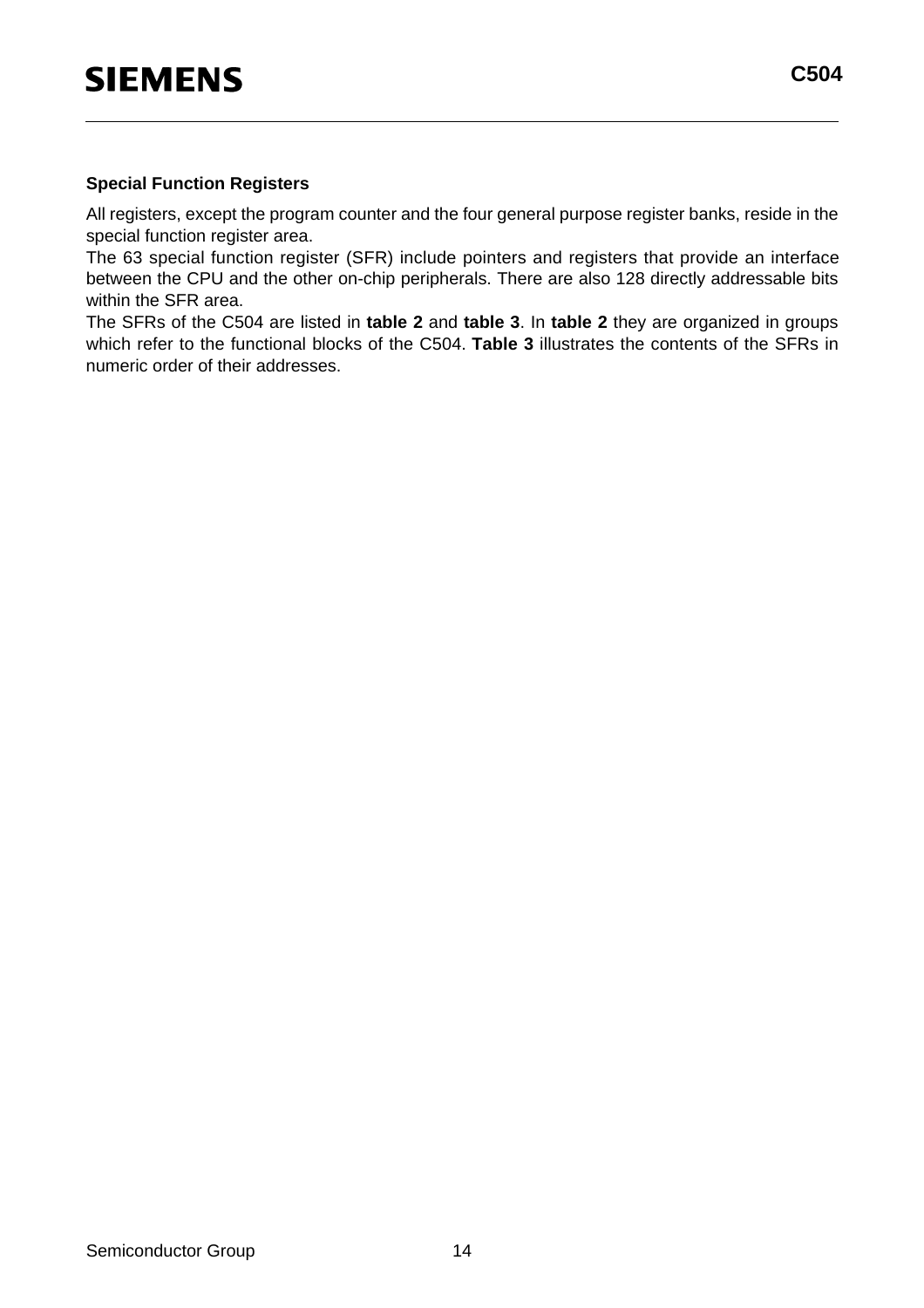#### **Special Function Registers**

All registers, except the program counter and the four general purpose register banks, reside in the special function register area.

The 63 special function register (SFR) include pointers and registers that provide an interface between the CPU and the other on-chip peripherals. There are also 128 directly addressable bits within the SFR area.

The SFRs of the C504 are listed in **table 2** and **table 3**. In **table 2** they are organized in groups which refer to the functional blocks of the C504. **Table 3** illustrates the contents of the SFRs in numeric order of their addresses.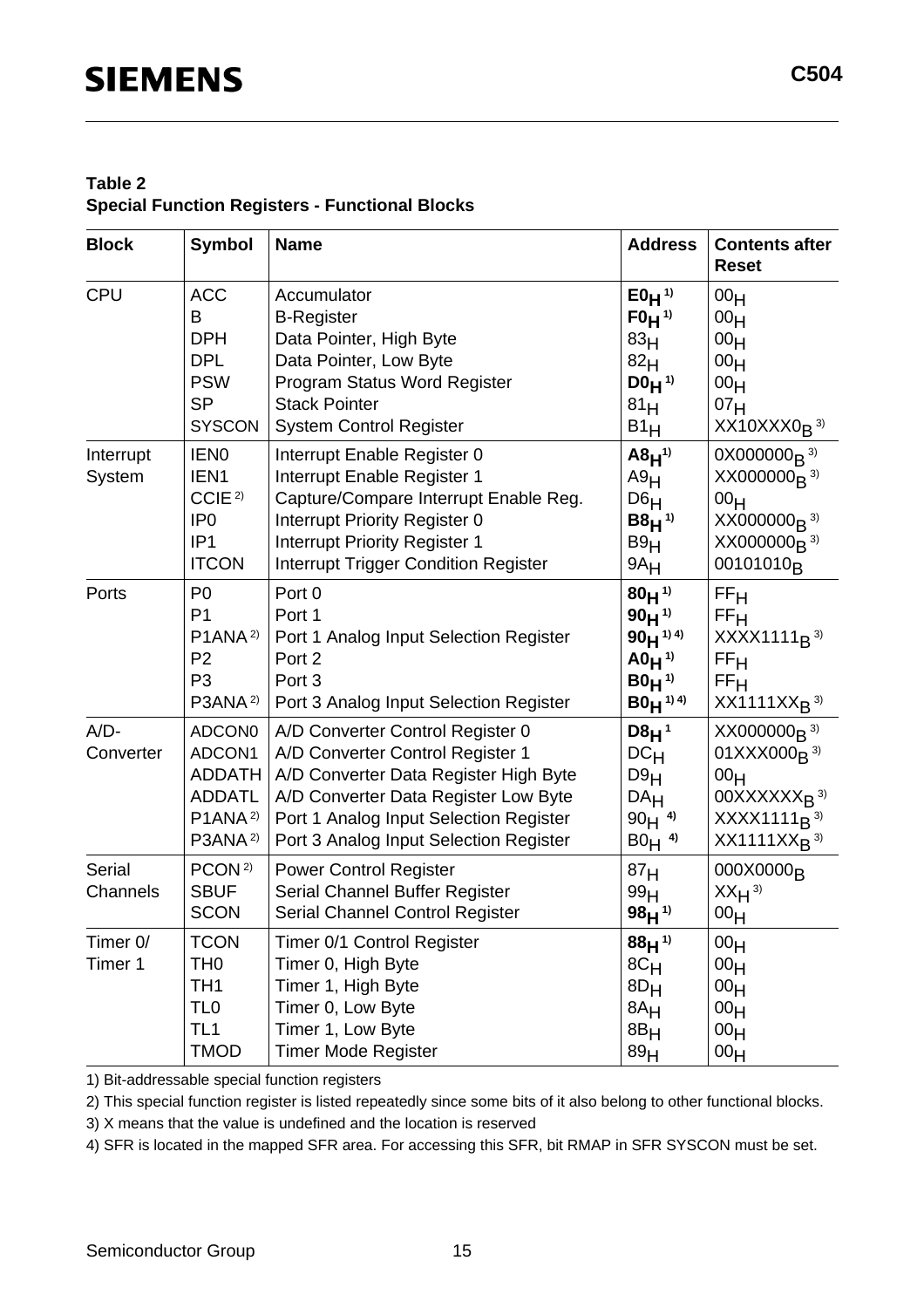#### **Table 2 Special Function Registers - Functional Blocks**

| <b>Block</b>              | <b>Symbol</b>                                                                                                      | <b>Name</b>                                                                                                                                                                                                                               | <b>Address</b>                                                                                        | <b>Contents after</b><br><b>Reset</b>                                                                                                                                   |
|---------------------------|--------------------------------------------------------------------------------------------------------------------|-------------------------------------------------------------------------------------------------------------------------------------------------------------------------------------------------------------------------------------------|-------------------------------------------------------------------------------------------------------|-------------------------------------------------------------------------------------------------------------------------------------------------------------------------|
| CPU                       | <b>ACC</b><br>B<br><b>DPH</b><br><b>DPL</b><br><b>PSW</b><br><b>SP</b><br><b>SYSCON</b>                            | Accumulator<br><b>B-Register</b><br>Data Pointer, High Byte<br>Data Pointer, Low Byte<br>Program Status Word Register<br><b>Stack Pointer</b><br><b>System Control Register</b>                                                           | $E0H^{1}$<br>$F0H^{1}$<br>83 <sub>H</sub><br>82 <sub>H</sub><br>$D0H^{(1)}$<br>81 <sub>H</sub><br>B1H | 00 <sub>H</sub><br>00 <sub>H</sub><br>00 <sub>H</sub><br>00 <sub>H</sub><br>00 <sub>H</sub><br>07 <sub>H</sub><br>$XX10XXX0R$ <sup>3)</sup>                             |
| Interrupt<br>System       | <b>IENO</b><br>IEN1<br>CCIE <sup>2)</sup><br>IP <sub>0</sub><br>IP <sub>1</sub><br><b>ITCON</b>                    | Interrupt Enable Register 0<br>Interrupt Enable Register 1<br>Capture/Compare Interrupt Enable Reg.<br>Interrupt Priority Register 0<br><b>Interrupt Priority Register 1</b><br>Interrupt Trigger Condition Register                      | $ABH^{(1)}$<br>A9H<br>D6H<br>$B8H^{1}$<br>B9H<br>$9A_H$                                               | $0X000000_B$ <sup>3)</sup><br>$XX000000R$ <sup>3)</sup><br>00 <sub>H</sub><br>XX000000 <sub>B</sub> <sup>3)</sup><br>$XX000000B$ <sup>3)</sup><br>00101010 <sub>R</sub> |
| Ports                     | P <sub>0</sub><br>P <sub>1</sub><br>P1ANA <sup>2)</sup><br>P <sub>2</sub><br>P <sub>3</sub><br>P3ANA <sup>2)</sup> | Port 0<br>Port 1<br>Port 1 Analog Input Selection Register<br>Port 2<br>Port 3<br>Port 3 Analog Input Selection Register                                                                                                                  | $80H^{1}$<br>$90H^{1}$<br>$90H^{194}$<br>$AD_{H}$ <sup>1)</sup><br>$B0H^{1}$<br>$B0H^{1/4}$           | FF <sub>H</sub><br>FF <sub>H</sub><br>$XXX1111_B$ <sup>3)</sup><br>FF <sub>H</sub><br>FF <sub>H</sub><br>$XX1111XX_R^{3}$                                               |
| $A/D-$<br>Converter       | ADCON0<br>ADCON1<br><b>ADDATH</b><br><b>ADDATL</b><br>P1ANA <sup>2)</sup><br>P3ANA <sup>2)</sup>                   | A/D Converter Control Register 0<br>A/D Converter Control Register 1<br>A/D Converter Data Register High Byte<br>A/D Converter Data Register Low Byte<br>Port 1 Analog Input Selection Register<br>Port 3 Analog Input Selection Register | $DBH^1$<br>DC <sub>H</sub><br>D9H<br>DA <sub>H</sub><br>$90H^{4}$<br>$B0H$ <sup>4)</sup>              | $XX000000B$ <sup>3)</sup><br>01XXX000 <sub>R</sub> 3)<br>00 <sub>H</sub><br>$00XXXXXX_R$ <sup>3)</sup><br>$XXX1111_B$ <sup>3)</sup><br>$XX1111XXB$ <sup>3)</sup>        |
| <b>Serial</b><br>Channels | PCON <sup>2)</sup><br><b>SBUF</b><br><b>SCON</b>                                                                   | <b>Power Control Register</b><br>Serial Channel Buffer Register<br>Serial Channel Control Register                                                                                                                                        | 87 <sub>H</sub><br>99 <sub>H</sub><br>$98H^{1}$                                                       | 000X0000 <sub>R</sub><br>$XX_H$ <sup>3)</sup><br>00 <sub>H</sub>                                                                                                        |
| Timer 0/<br>Timer 1       | <b>TCON</b><br>TH <sub>0</sub><br>TH <sub>1</sub><br>TL <sub>0</sub><br>TL <sub>1</sub><br><b>TMOD</b>             | Timer 0/1 Control Register<br>Timer 0, High Byte<br>Timer 1, High Byte<br>Timer 0, Low Byte<br>Timer 1, Low Byte<br><b>Timer Mode Register</b>                                                                                            | $88H^{1}$<br>8C <sub>H</sub><br>$8D_H$<br>8A <sub>H</sub><br>8B <sub>H</sub><br>89 <sub>H</sub>       | 00 <sub>H</sub><br>00 <sub>H</sub><br>00 <sub>H</sub><br>00 <sub>H</sub><br>00 <sub>H</sub><br>00 <sub>H</sub>                                                          |

1) Bit-addressable special function registers

2) This special function register is listed repeatedly since some bits of it also belong to other functional blocks.

3) X means that the value is undefined and the location is reserved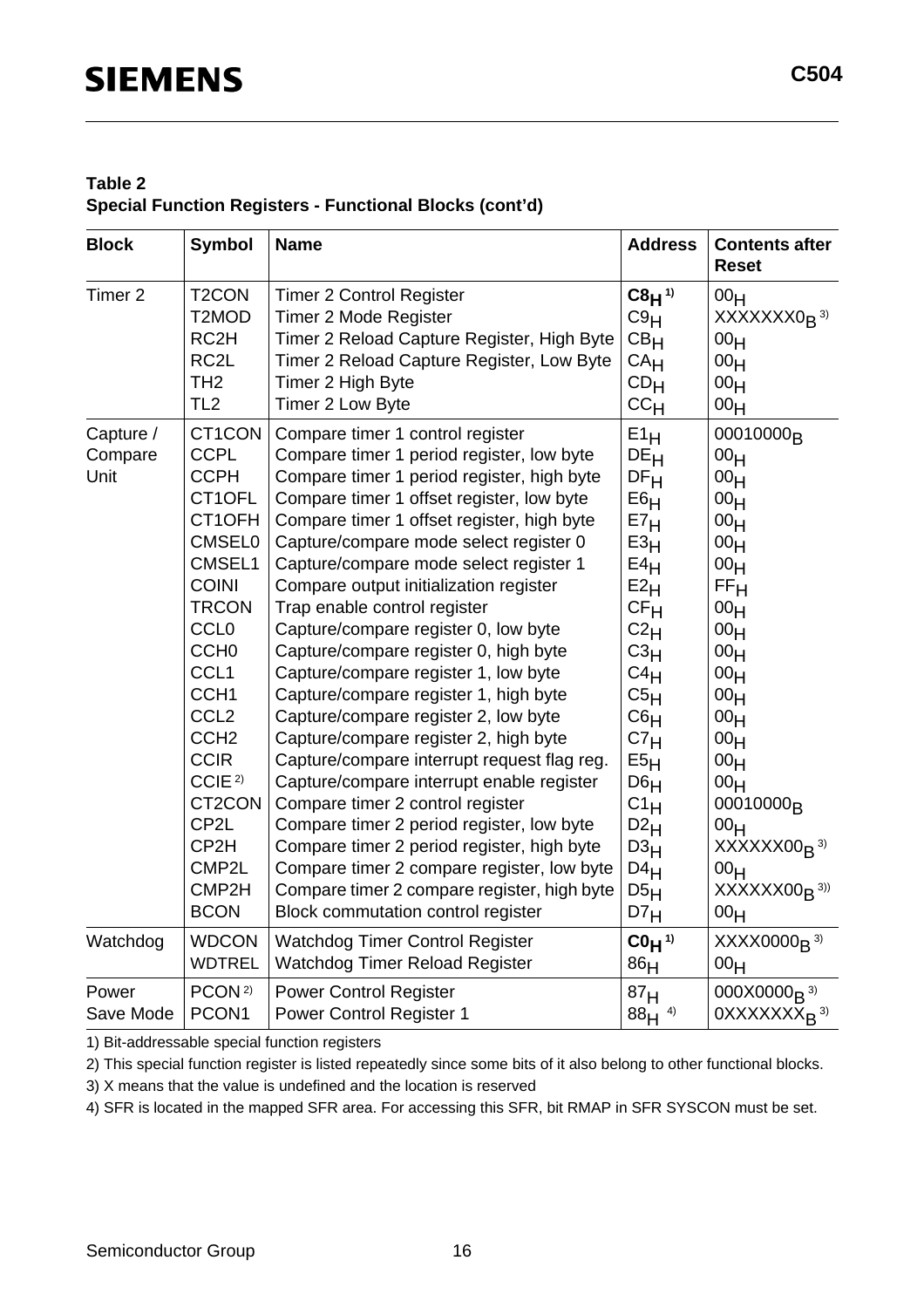#### **Table 2 Special Function Registers - Functional Blocks (cont'd)**

| <b>Block</b>                 | <b>Symbol</b>                                                                                                                                                                                                                                                                                                                          | <b>Name</b>                                                                                                                                                                                                                                                                                                                                                                                                                                                                                                                                                                                                                                                                                                                                                                                                                                                                                                                                                                                           | <b>Address</b>                                                                                                                                                                                                                                                                                                                                | <b>Contents after</b><br><b>Reset</b>                                                                                                                                                                                                                                                                                                                                                                                                                                            |
|------------------------------|----------------------------------------------------------------------------------------------------------------------------------------------------------------------------------------------------------------------------------------------------------------------------------------------------------------------------------------|-------------------------------------------------------------------------------------------------------------------------------------------------------------------------------------------------------------------------------------------------------------------------------------------------------------------------------------------------------------------------------------------------------------------------------------------------------------------------------------------------------------------------------------------------------------------------------------------------------------------------------------------------------------------------------------------------------------------------------------------------------------------------------------------------------------------------------------------------------------------------------------------------------------------------------------------------------------------------------------------------------|-----------------------------------------------------------------------------------------------------------------------------------------------------------------------------------------------------------------------------------------------------------------------------------------------------------------------------------------------|----------------------------------------------------------------------------------------------------------------------------------------------------------------------------------------------------------------------------------------------------------------------------------------------------------------------------------------------------------------------------------------------------------------------------------------------------------------------------------|
| Timer 2                      | T <sub>2</sub> CON                                                                                                                                                                                                                                                                                                                     | <b>Timer 2 Control Register</b>                                                                                                                                                                                                                                                                                                                                                                                                                                                                                                                                                                                                                                                                                                                                                                                                                                                                                                                                                                       | $C8H^{1}$                                                                                                                                                                                                                                                                                                                                     | 00 <sub>H</sub>                                                                                                                                                                                                                                                                                                                                                                                                                                                                  |
|                              | T2MOD                                                                                                                                                                                                                                                                                                                                  | Timer 2 Mode Register                                                                                                                                                                                                                                                                                                                                                                                                                                                                                                                                                                                                                                                                                                                                                                                                                                                                                                                                                                                 | C9H                                                                                                                                                                                                                                                                                                                                           | XXXXXXX0 <sub>R</sub> <sup>3)</sup>                                                                                                                                                                                                                                                                                                                                                                                                                                              |
|                              | RC <sub>2</sub> H                                                                                                                                                                                                                                                                                                                      | Timer 2 Reload Capture Register, High Byte                                                                                                                                                                                                                                                                                                                                                                                                                                                                                                                                                                                                                                                                                                                                                                                                                                                                                                                                                            | CB <sub>H</sub>                                                                                                                                                                                                                                                                                                                               | 00 <sub>H</sub>                                                                                                                                                                                                                                                                                                                                                                                                                                                                  |
|                              | RC <sub>2</sub> L                                                                                                                                                                                                                                                                                                                      | Timer 2 Reload Capture Register, Low Byte                                                                                                                                                                                                                                                                                                                                                                                                                                                                                                                                                                                                                                                                                                                                                                                                                                                                                                                                                             | CA <sub>H</sub>                                                                                                                                                                                                                                                                                                                               | 00 <sub>H</sub>                                                                                                                                                                                                                                                                                                                                                                                                                                                                  |
|                              | TH <sub>2</sub>                                                                                                                                                                                                                                                                                                                        | Timer 2 High Byte                                                                                                                                                                                                                                                                                                                                                                                                                                                                                                                                                                                                                                                                                                                                                                                                                                                                                                                                                                                     | CD <sub>H</sub>                                                                                                                                                                                                                                                                                                                               | 00 <sub>H</sub>                                                                                                                                                                                                                                                                                                                                                                                                                                                                  |
|                              | TL <sub>2</sub>                                                                                                                                                                                                                                                                                                                        | Timer 2 Low Byte                                                                                                                                                                                                                                                                                                                                                                                                                                                                                                                                                                                                                                                                                                                                                                                                                                                                                                                                                                                      | cc <sub>H</sub>                                                                                                                                                                                                                                                                                                                               | 00 <sub>H</sub>                                                                                                                                                                                                                                                                                                                                                                                                                                                                  |
| Capture /<br>Compare<br>Unit | CT1CON<br><b>CCPL</b><br><b>CCPH</b><br>CT1OFL<br>CT1OFH<br><b>CMSEL0</b><br>CMSEL1<br><b>COINI</b><br><b>TRCON</b><br><b>CCL0</b><br>CCH <sub>0</sub><br>CCL <sub>1</sub><br>CCH <sub>1</sub><br>CCL <sub>2</sub><br>CCH <sub>2</sub><br><b>CCIR</b><br>CCIE <sup>2)</sup><br>CT2CON<br>CP2L<br>CP2H<br>CMP2L<br>CMP2H<br><b>BCON</b> | Compare timer 1 control register<br>Compare timer 1 period register, low byte<br>Compare timer 1 period register, high byte<br>Compare timer 1 offset register, low byte<br>Compare timer 1 offset register, high byte<br>Capture/compare mode select register 0<br>Capture/compare mode select register 1<br>Compare output initialization register<br>Trap enable control register<br>Capture/compare register 0, low byte<br>Capture/compare register 0, high byte<br>Capture/compare register 1, low byte<br>Capture/compare register 1, high byte<br>Capture/compare register 2, low byte<br>Capture/compare register 2, high byte<br>Capture/compare interrupt request flag reg.<br>Capture/compare interrupt enable register<br>Compare timer 2 control register<br>Compare timer 2 period register, low byte<br>Compare timer 2 period register, high byte<br>Compare timer 2 compare register, low byte<br>Compare timer 2 compare register, high byte<br>Block commutation control register | $E1_H$<br>DE <sub>H</sub><br>DF <sub>H</sub><br>E6H<br>E7 <sub>H</sub><br>E3 <sub>H</sub><br>E4H<br>E2H<br>CF <sub>H</sub><br>$C2_H$<br>$C_{}^{3}H$<br>$C4_H$<br>C5 <sub>H</sub><br>C6 <sub>H</sub><br>C7 <sub>H</sub><br>E5 <sub>H</sub><br>D6 <sub>H</sub><br>$C1_H$<br>D2H<br>D3 <sub>H</sub><br>D4H<br>D5 <sub>H</sub><br>D7 <sub>H</sub> | 00010000 <sub>R</sub><br>00 <sub>H</sub><br>00 <sub>H</sub><br>00 <sub>H</sub><br>00 <sub>H</sub><br>00 <sub>H</sub><br>00 <sub>H</sub><br>FF <sub>H</sub><br>00 <sub>H</sub><br>00 <sub>H</sub><br>00 <sub>H</sub><br>00 <sub>H</sub><br>00 <sub>H</sub><br>00 <sub>H</sub><br>00 <sub>H</sub><br>00 <sub>H</sub><br>00 <sub>H</sub><br>00010000 <sub>R</sub><br>00 <sub>H</sub><br>$XXXXX00R$ <sup>3)</sup><br>00 <sub>H</sub><br>$XXXXX00R$ <sup>3))</sup><br>00 <sub>H</sub> |
| Watchdog                     | <b>WDCON</b>                                                                                                                                                                                                                                                                                                                           | <b>Watchdog Timer Control Register</b>                                                                                                                                                                                                                                                                                                                                                                                                                                                                                                                                                                                                                                                                                                                                                                                                                                                                                                                                                                | $COH$ <sup>1)</sup>                                                                                                                                                                                                                                                                                                                           | $XXX0000B$ <sup>3)</sup>                                                                                                                                                                                                                                                                                                                                                                                                                                                         |
|                              | <b>WDTREL</b>                                                                                                                                                                                                                                                                                                                          | Watchdog Timer Reload Register                                                                                                                                                                                                                                                                                                                                                                                                                                                                                                                                                                                                                                                                                                                                                                                                                                                                                                                                                                        | 86 <sub>H</sub>                                                                                                                                                                                                                                                                                                                               | 00 <sub>H</sub>                                                                                                                                                                                                                                                                                                                                                                                                                                                                  |
| Power                        | PCON <sup>2)</sup>                                                                                                                                                                                                                                                                                                                     | <b>Power Control Register</b>                                                                                                                                                                                                                                                                                                                                                                                                                                                                                                                                                                                                                                                                                                                                                                                                                                                                                                                                                                         | 87 <sub>H</sub>                                                                                                                                                                                                                                                                                                                               | 000X0000 <sub>B</sub> $^{3)}$                                                                                                                                                                                                                                                                                                                                                                                                                                                    |
| Save Mode                    | PCON1                                                                                                                                                                                                                                                                                                                                  | <b>Power Control Register 1</b>                                                                                                                                                                                                                                                                                                                                                                                                                                                                                                                                                                                                                                                                                                                                                                                                                                                                                                                                                                       | $88H^{4}$                                                                                                                                                                                                                                                                                                                                     | 0XXXXXXX <sub>R</sub> <sup>3)</sup>                                                                                                                                                                                                                                                                                                                                                                                                                                              |

1) Bit-addressable special function registers

2) This special function register is listed repeatedly since some bits of it also belong to other functional blocks.

3) X means that the value is undefined and the location is reserved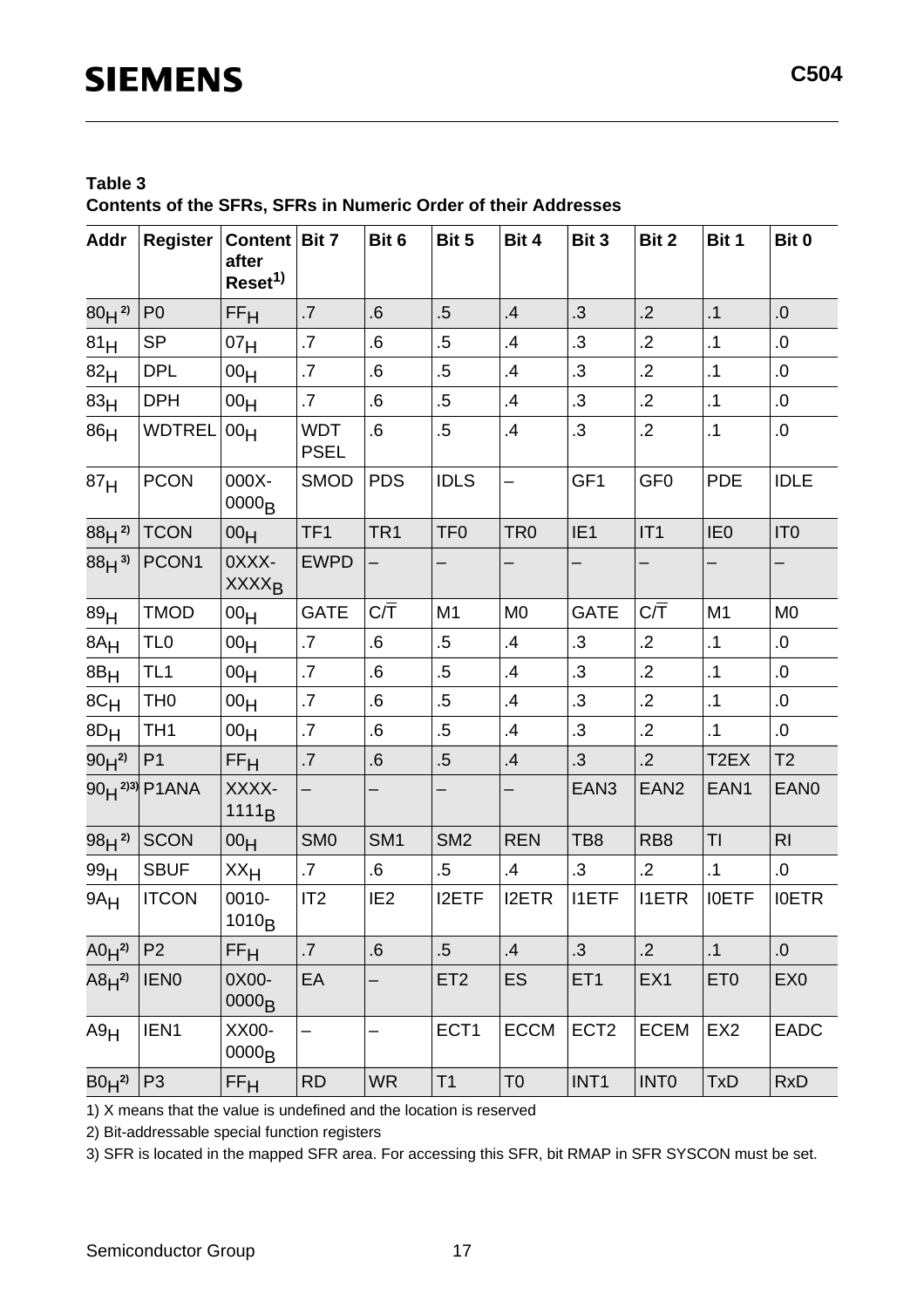#### **Table 3 Contents of the SFRs, SFRs in Numeric Order of their Addresses**

| <b>Addr</b>     | <b>Register</b>                 | Content   Bit 7<br>after<br>Reset <sup>1)</sup> |                           | Bit 6            | Bit 5           | Bit 4           | Bit 3            | Bit 2            | Bit 1             | Bit 0            |
|-----------------|---------------------------------|-------------------------------------------------|---------------------------|------------------|-----------------|-----------------|------------------|------------------|-------------------|------------------|
| $80H^{2}$       | P <sub>0</sub>                  | FF <sub>H</sub>                                 | .7                        | .6               | $.5\,$          | .4              | .3               | $\cdot$ .2       | $\cdot$ 1         | 0.               |
| 81 <sub>H</sub> | <b>SP</b>                       | 07 <sub>H</sub>                                 | $\cdot$                   | .6               | $.5\,$          | .4              | $\cdot$          | $\cdot$ .2       | $\cdot$ 1         | 0.               |
| 82 <sub>H</sub> | <b>DPL</b>                      | 00 <sub>H</sub>                                 | $\overline{\mathcal{L}}$  | .6               | $.5\,$          | .4              | .3               | $\cdot$ .2       | $\cdot$ 1         | 0.               |
| 83 <sub>H</sub> | <b>DPH</b>                      | 00 <sub>H</sub>                                 | $\cdot$ 7                 | .6               | $.5\,$          | .4              | .3               | $\cdot$ .2       | $\cdot$ 1         | 0.               |
| 86 <sub>H</sub> | <b>WDTREL</b>                   | 00 <sub>H</sub>                                 | <b>WDT</b><br><b>PSEL</b> | .6               | $.5\,$          | $\mathbf{.4}$   | $\cdot$ 3        | $\cdot$ .2       | $\cdot$ 1         | .0               |
| 87 <sub>H</sub> | <b>PCON</b>                     | 000X-<br>0000 <sub>B</sub>                      | <b>SMOD</b>               | <b>PDS</b>       | <b>IDLS</b>     |                 | GF1              | GF <sub>0</sub>  | <b>PDE</b>        | <b>IDLE</b>      |
| $88H^{2}$       | <b>TCON</b>                     | 00 <sub>H</sub>                                 | TF <sub>1</sub>           | TR <sub>1</sub>  | TF <sub>0</sub> | TR <sub>0</sub> | IE <sub>1</sub>  | IT1              | IE <sub>0</sub>   | IT <sub>0</sub>  |
| $88H^{3}$       | PCON1                           | OXXX-<br><b>XXXX<sub>B</sub></b>                | <b>EWPD</b>               |                  |                 |                 |                  |                  |                   | —                |
| 89 <sub>H</sub> | <b>TMOD</b>                     | 00 <sub>H</sub>                                 | <b>GATE</b>               | $C/\overline{T}$ | M <sub>1</sub>  | M <sub>0</sub>  | <b>GATE</b>      | $C/\overline{T}$ | M <sub>1</sub>    | M <sub>0</sub>   |
| $8A_H$          | TL <sub>0</sub>                 | 00 <sub>H</sub>                                 | .7                        | .6               | $.5\,$          | .4              | $\cdot$ 3        | $\cdot$ .2       | $\cdot$ 1         | 0.               |
| 8B <sub>H</sub> | TL <sub>1</sub>                 | 00 <sub>H</sub>                                 | .7                        | .6               | $.5\,$          | .4              | .3               | $\cdot$ .2       | $\cdot$ 1         | .0               |
| $8C_H$          | TH <sub>0</sub>                 | 00 <sub>H</sub>                                 | .7                        | .6               | $.5\,$          | $\cdot$         | $\cdot$          | $\cdot$ .2       | $\cdot$ 1         | $0.5\,$          |
| $8D_H$          | TH <sub>1</sub>                 | 00 <sub>H</sub>                                 | .7                        | .6               | $.5\,$          | .4              | $\overline{3}$   | $\cdot$ .2       | $\cdot$ 1         | 0.               |
| $90H^{2}$       | P <sub>1</sub>                  | FF <sub>H</sub>                                 | .7                        | .6               | $.5\,$          | $\cdot$         | .3               | .2               | T <sub>2</sub> EX | T <sub>2</sub>   |
|                 | $90H^{2}$ <sup>2)3)</sup> P1ANA | XXXX-<br>1111 <sub>B</sub>                      | $\overline{\phantom{0}}$  |                  |                 |                 | EAN <sub>3</sub> | EAN <sub>2</sub> | EAN1              | EAN <sub>0</sub> |
| $98H^{2}$       | <b>SCON</b>                     | 00 <sub>H</sub>                                 | SM <sub>0</sub>           | SM <sub>1</sub>  | SM <sub>2</sub> | <b>REN</b>      | TB <sub>8</sub>  | RB <sub>8</sub>  | TI                | R <sub>l</sub>   |
| 99H             | <b>SBUF</b>                     | $XX_{H}$                                        | $\cdot$ 7                 | $.6\,$           | $.5\,$          | $\mathbf{.4}$   | .3               | .2               | $\cdot$ 1         | .0               |
| $9A_H$          | <b>ITCON</b>                    | 0010-<br>1010 <sub>B</sub>                      | IT2                       | IE <sub>2</sub>  | <b>I2ETF</b>    | <b>I2ETR</b>    | <b>I1ETF</b>     | <b>I1ETR</b>     | <b>IOETF</b>      | <b>IOETR</b>     |
| $A0H^{2}$       | P <sub>2</sub>                  | FF <sub>H</sub>                                 | .7                        | .6               | $.5\,$          | .4              | .3               | .2               | $\cdot$ 1         | 0.               |
| $ABH^{2}$       | <b>IENO</b>                     | 0X00-<br>0000 <sub>B</sub>                      | EA                        |                  | ET <sub>2</sub> | ES              | ET <sub>1</sub>  | EX1              | ET <sub>0</sub>   | EX <sub>0</sub>  |
| A9H             | IEN1                            | XX00-<br>0000 <sub>B</sub>                      | $\overline{\phantom{0}}$  |                  | ECT1            | <b>ECCM</b>     | ECT <sub>2</sub> | <b>ECEM</b>      | EX <sub>2</sub>   | <b>EADC</b>      |
| $B0H^{2}$       | P <sub>3</sub>                  | FF <sub>H</sub>                                 | <b>RD</b>                 | <b>WR</b>        | T1              | T <sub>0</sub>  | INT1             | <b>INTO</b>      | TxD               | <b>RxD</b>       |

1) X means that the value is undefined and the location is reserved

2) Bit-addressable special function registers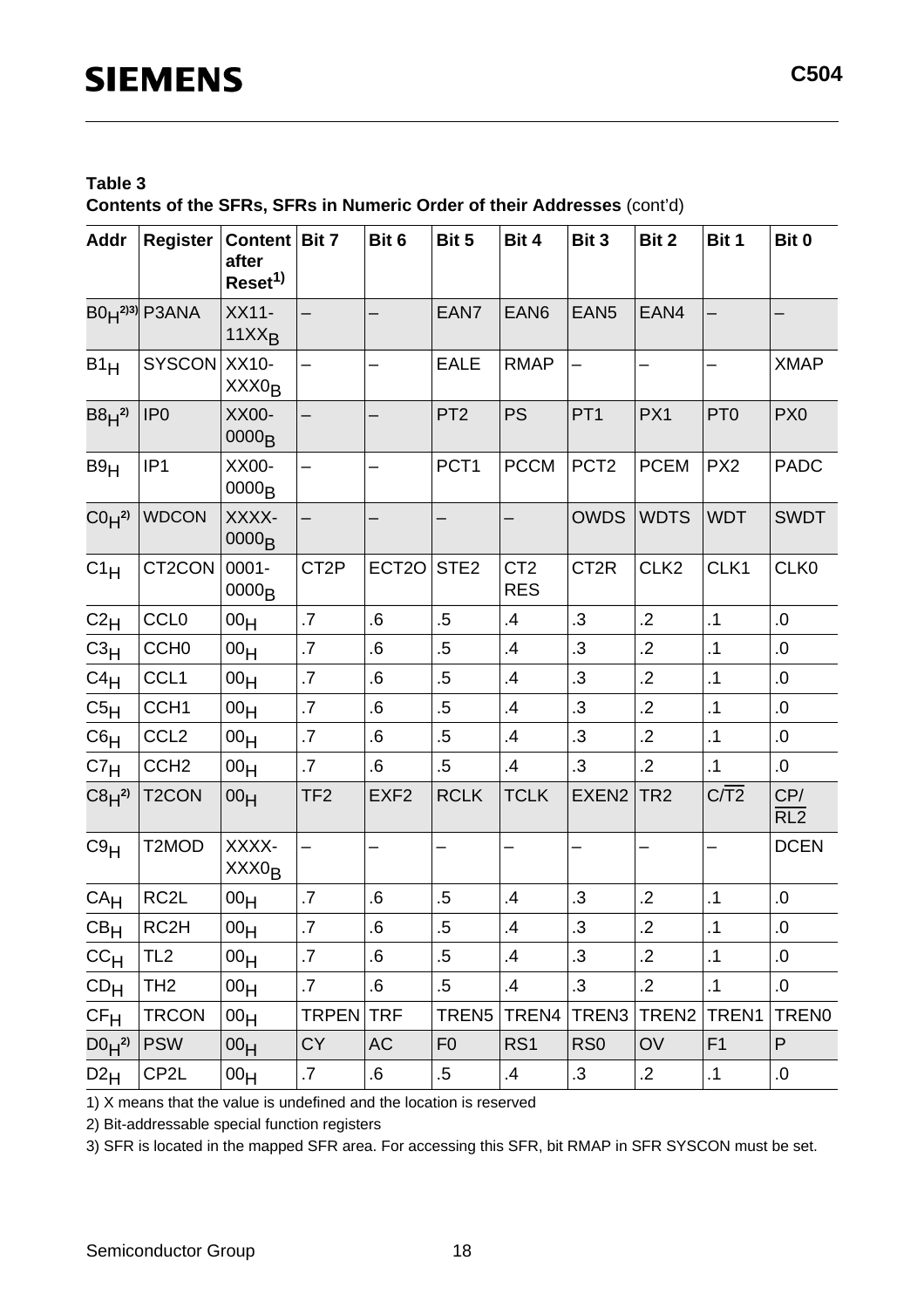#### **Table 3**

**Contents of the SFRs, SFRs in Numeric Order of their Addresses** (cont'd)

| <b>Addr</b>                  | <b>Register</b>    | Content   Bit 7<br>after<br>Reset <sup>1)</sup> |                          | Bit 6                    | Bit 5             | Bit 4                         | Bit 3             | Bit 2            | Bit 1           | Bit 0                   |
|------------------------------|--------------------|-------------------------------------------------|--------------------------|--------------------------|-------------------|-------------------------------|-------------------|------------------|-----------------|-------------------------|
|                              | $B0H^{2(3)}$ P3ANA | XX11-<br>$11XX_B$                               |                          |                          | EAN7              | EAN <sub>6</sub>              | EAN <sub>5</sub>  | EAN4             |                 |                         |
| B1 <sub>H</sub>              | SYSCON             | XX10-<br>XXX <sub>OB</sub>                      |                          |                          | <b>EALE</b>       | <b>RMAP</b>                   |                   | —                |                 | <b>XMAP</b>             |
| $B8H^{2}$                    | IP <sub>0</sub>    | XX00-<br>0000 <sub>B</sub>                      | $\overline{\phantom{0}}$ | $\overline{\phantom{0}}$ | PT <sub>2</sub>   | <b>PS</b>                     | PT <sub>1</sub>   | PX1              | PT <sub>0</sub> | PX <sub>0</sub>         |
| B9H                          | IP <sub>1</sub>    | XX00-<br>0000 <sub>B</sub>                      |                          |                          | PCT <sub>1</sub>  | <b>PCCM</b>                   | PCT <sub>2</sub>  | <b>PCEM</b>      | PX <sub>2</sub> | <b>PADC</b>             |
| CO <sub>H</sub> <sup>2</sup> | <b>WDCON</b>       | XXXX-<br>0000 <sub>B</sub>                      | $\overline{\phantom{0}}$ |                          |                   |                               | <b>OWDS</b>       | <b>WDTS</b>      | <b>WDT</b>      | <b>SWDT</b>             |
| $C1_H$                       | CT2CON             | $0001 -$<br>0000 <sub>B</sub>                   | CT <sub>2</sub> P        | ECT <sub>20</sub>        | STE <sub>2</sub>  | CT <sub>2</sub><br><b>RES</b> | CT <sub>2R</sub>  | CLK <sub>2</sub> | CLK1            | CLK0                    |
| C2 <sub>H</sub>              | <b>CCL0</b>        | 00 <sub>H</sub>                                 | .7                       | .6                       | $.5\,$            | .4                            | .3                | $\cdot$ .2       | $\cdot$ 1       | .0                      |
| $C_3H$                       | CCH <sub>0</sub>   | 00 <sub>H</sub>                                 | .7                       | .6                       | $.5\,$            | .4                            | $\cdot$ 3         | $\cdot$ .2       | .1              | 0.                      |
| $C4_H$                       | CCL <sub>1</sub>   | 00 <sub>H</sub>                                 | .7                       | .6                       | $.5\,$            | $\mathbf{.4}$                 | .3                | $\cdot$ .2       | $\cdot$ 1       | .0                      |
| C5 <sub>H</sub>              | CCH <sub>1</sub>   | 00 <sub>H</sub>                                 | .7                       | .6                       | $.5\,$            | .4                            | .3                | $\cdot$ .2       | $\cdot$ 1       | 0.                      |
| C6 <sub>H</sub>              | CCL <sub>2</sub>   | 00 <sub>H</sub>                                 | .7                       | .6                       | $.5\,$            | $\cdot$                       | $\cdot$ 3         | $\cdot$ .2       | .1              | 0.                      |
| C7 <sub>H</sub>              | CCH <sub>2</sub>   | 00 <sub>H</sub>                                 | .7                       | .6                       | $.5\,$            | .4                            | .3                | $\cdot$ .2       | $\cdot$ 1       | $.0\,$                  |
| $C8H^{2}$                    | T <sub>2</sub> CON | 00 <sub>H</sub>                                 | TF <sub>2</sub>          | EXF <sub>2</sub>         | <b>RCLK</b>       | <b>TCLK</b>                   | EXEN <sub>2</sub> | TR <sub>2</sub>  | C <sub>1</sub>  | CP/<br>$\overline{RL2}$ |
| C9H                          | T2MOD              | XXXX-<br>XXX <sub>OB</sub>                      |                          |                          |                   |                               |                   |                  |                 | <b>DCEN</b>             |
| CA <sub>H</sub>              | RC <sub>2</sub> L  | 00 <sub>H</sub>                                 | .7                       | .6                       | $.5\,$            | $\mathbf{.4}$                 | $\cdot$ 3         | $\cdot$ .2       | $\cdot$ 1       | $.0\,$                  |
| CB <sub>H</sub>              | RC <sub>2</sub> H  | 00 <sub>H</sub>                                 | .7                       | .6                       | .5                | .4                            | .3                | .2               | $\cdot$ 1       | .0                      |
| cc <sub>H</sub>              | TL <sub>2</sub>    | 00 <sub>H</sub>                                 | $.7\,$                   | 6.6                      | $.5\,$            | $\cdot$                       | .3                | $\cdot$ .2       | $\cdot$ 1       | 0.                      |
| CD <sub>H</sub>              | TH <sub>2</sub>    | 00 <sub>H</sub>                                 | $\cdot$ 7                | 6.6                      | $.5\,$            | $\mathbf{.4}$                 | $\cdot$ 3         | $\cdot$ .2       | $\cdot$ 1       | $.0\,$                  |
| CF <sub>H</sub>              | <b>TRCON</b>       | 00 <sub>H</sub>                                 | TRPEN                    | <b>TRF</b>               | TREN <sub>5</sub> | TREN4                         | TREN <sub>3</sub> | TREN2            | TREN1           | TREN0                   |
| $D0H^{2}$                    | <b>PSW</b>         | 00 <sub>H</sub>                                 | <b>CY</b>                | <b>AC</b>                | F <sub>0</sub>    | RS <sub>1</sub>               | RS <sub>0</sub>   | OV               | F <sub>1</sub>  | P                       |
| $D2_H$                       | CP2L               | 00 <sub>H</sub>                                 | $\cdot$                  | 6.6                      | $.5\,$            | $\cdot$                       | $\cdot$ 3         | $\cdot$ .2       | $\cdot$ 1       | 0.                      |

1) X means that the value is undefined and the location is reserved

2) Bit-addressable special function registers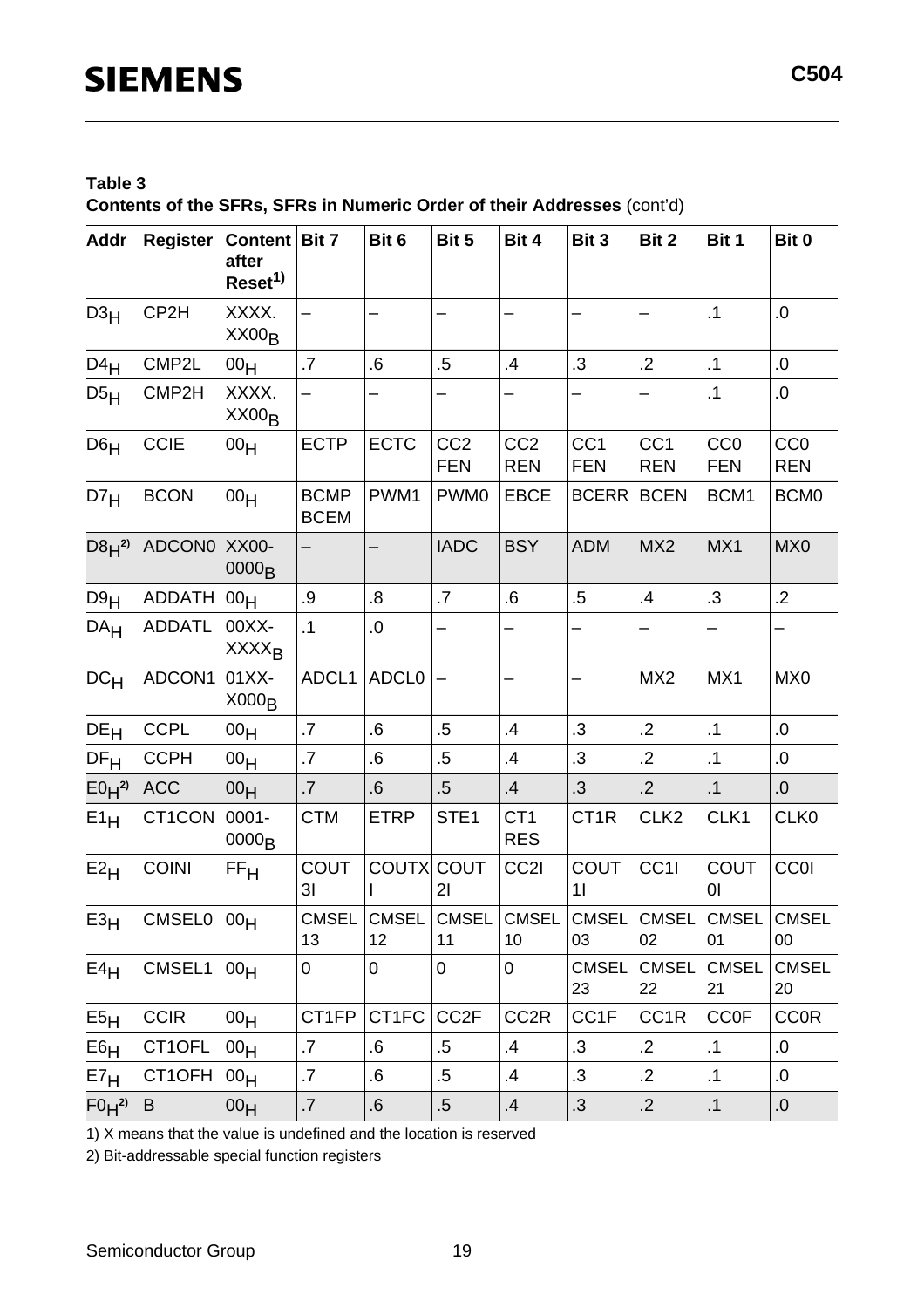#### **Table 3**

**Contents of the SFRs, SFRs in Numeric Order of their Addresses** (cont'd)

| <b>Addr</b>     | <b>Register</b> | Content   Bit 7<br>after<br>Reset <sup>1)</sup> |                               | Bit 6              | Bit 5                         | Bit 4                         | Bit 3                         | Bit 2                         | Bit 1                         | Bit 0                         |
|-----------------|-----------------|-------------------------------------------------|-------------------------------|--------------------|-------------------------------|-------------------------------|-------------------------------|-------------------------------|-------------------------------|-------------------------------|
| D3 <sub>H</sub> | CP2H            | XXXX.<br>$XX00_B$                               |                               |                    |                               |                               |                               |                               | .1                            | 0.                            |
| $D4_H$          | CMP2L           | 00 <sub>H</sub>                                 | .7                            | .6                 | $.5\,$                        | .4                            | $\cdot$ 3                     | $\cdot$ .2                    | .1                            | 0.                            |
| D5H             | CMP2H           | XXXX.<br>$XX00_B$                               | —                             |                    | -                             | —                             |                               |                               | .1                            | 0.                            |
| D6 <sub>H</sub> | <b>CCIE</b>     | 00 <sub>H</sub>                                 | <b>ECTP</b>                   | <b>ECTC</b>        | CC <sub>2</sub><br><b>FEN</b> | CC <sub>2</sub><br><b>REN</b> | CC <sub>1</sub><br><b>FEN</b> | CC <sub>1</sub><br><b>REN</b> | CC <sub>0</sub><br><b>FEN</b> | CC <sub>0</sub><br><b>REN</b> |
| D7 <sub>H</sub> | <b>BCON</b>     | 00 <sub>H</sub>                                 | <b>BCMP</b><br><b>BCEM</b>    | PWM1               | PWM <sub>0</sub>              | <b>EBCE</b>                   | <b>BCERR</b>                  | <b>BCEN</b>                   | BCM1                          | BCM <sub>0</sub>              |
| $D8H^{2}$       | ADCON0          | XX00-<br>0000 <sub>B</sub>                      |                               |                    | <b>IADC</b>                   | <b>BSY</b>                    | <b>ADM</b>                    | MX <sub>2</sub>               | MX1                           | MX <sub>0</sub>               |
| D9H             | <b>ADDATH</b>   | 00 <sub>H</sub>                                 | .9                            | .8                 | .7                            | .6                            | $.5\,$                        | .4                            | .3                            | $\cdot$ .2                    |
| DA <sub>H</sub> | <b>ADDATL</b>   | 00XX-<br><b>XXXX<sub>B</sub></b>                | $\cdot$ 1                     | 0.                 |                               |                               |                               |                               |                               |                               |
| DC <sub>H</sub> | ADCON1          | $01XX -$<br>X000 <sub>B</sub>                   | ADCL1                         | <b>ADCL0</b>       |                               |                               |                               | MX <sub>2</sub>               | MX1                           | MX <sub>0</sub>               |
| DE <sub>H</sub> | <b>CCPL</b>     | 00 <sub>H</sub>                                 | .7                            | .6                 | $.5\,$                        | .4                            | $\cdot$ 3                     | $\overline{2}$                | $\cdot$ 1                     | 0.                            |
| DF <sub>H</sub> | <b>CCPH</b>     | 00 <sub>H</sub>                                 | .7                            | .6                 | $.5\,$                        | .4                            | $\cdot$ 3                     | $\cdot$ .2                    | .1                            | 0.                            |
| $E0H^{2}$       | <b>ACC</b>      | 00 <sub>H</sub>                                 | .7                            | 6.6                | $.5\,$                        | .4                            | $\cdot$ 3                     | $\cdot$ .2                    | .1                            | 0.                            |
| E1H             | CT1CON          | $0001 -$<br>0000 <sub>B</sub>                   | <b>CTM</b>                    | <b>ETRP</b>        | STE <sub>1</sub>              | CT <sub>1</sub><br><b>RES</b> | CT <sub>1R</sub>              | CLK <sub>2</sub>              | CLK1                          | CLK0                          |
| E2H             | <b>COINI</b>    | FF <sub>H</sub>                                 | <b>COUT</b><br>3 <sub>l</sub> | COUTX COUT         | 21                            | CC2I                          | <b>COUT</b><br>11             | CC1I                          | <b>COUT</b><br>01             | CCOI                          |
| $E3_H$          | CMSEL0 $ 00_H$  |                                                 | CMSEL<br>13                   | <b>CMSEL</b><br>12 | <b>CMSEL</b><br>11            | <b>CMSEL</b><br>10            | <b>CMSEL</b><br>03            | <b>CMSEL</b><br>02            | <b>CMSEL</b><br>01            | <b>CMSEL</b><br>$00\,$        |
| E4H             | CMSEL1          | $ 00_H$                                         | 0                             | $\overline{0}$     | $\overline{0}$                | 0                             | <b>CMSEL</b><br>23            | <b>CMSEL</b><br>22            | <b>CMSEL</b><br>21            | <b>CMSEL</b><br>20            |
| E5 <sub>H</sub> | <b>CCIR</b>     | 00 <sub>H</sub>                                 | CT1FP                         | CT1FC              | CC <sub>2</sub> F             | CC <sub>2R</sub>              | CC1F                          | CC <sub>1R</sub>              | <b>CCOF</b>                   | <b>CCOR</b>                   |
| E6H             | CT1OFL          | 00 <sub>H</sub>                                 | $\cdot$ 7                     | .6                 | $.5\,$                        | $\cdot$                       | $\cdot 3$                     | $\cdot$                       | $\cdot$ 1                     | 0.                            |
| E7 <sub>H</sub> | CT1OFH          | 00 <sub>H</sub>                                 | .7                            | .6                 | $.5\,$                        | $\cdot$                       | $\cdot 3$                     | $\cdot$                       | $\cdot$ 1                     | 0.                            |
| $F0H^{2}$       | B               | 00 <sub>H</sub>                                 | $.7\,$                        | .6                 | $.5\,$                        | .4                            | $\cdot$                       | $\cdot$ .2                    | $\cdot$ 1                     | 0.                            |

1) X means that the value is undefined and the location is reserved

2) Bit-addressable special function registers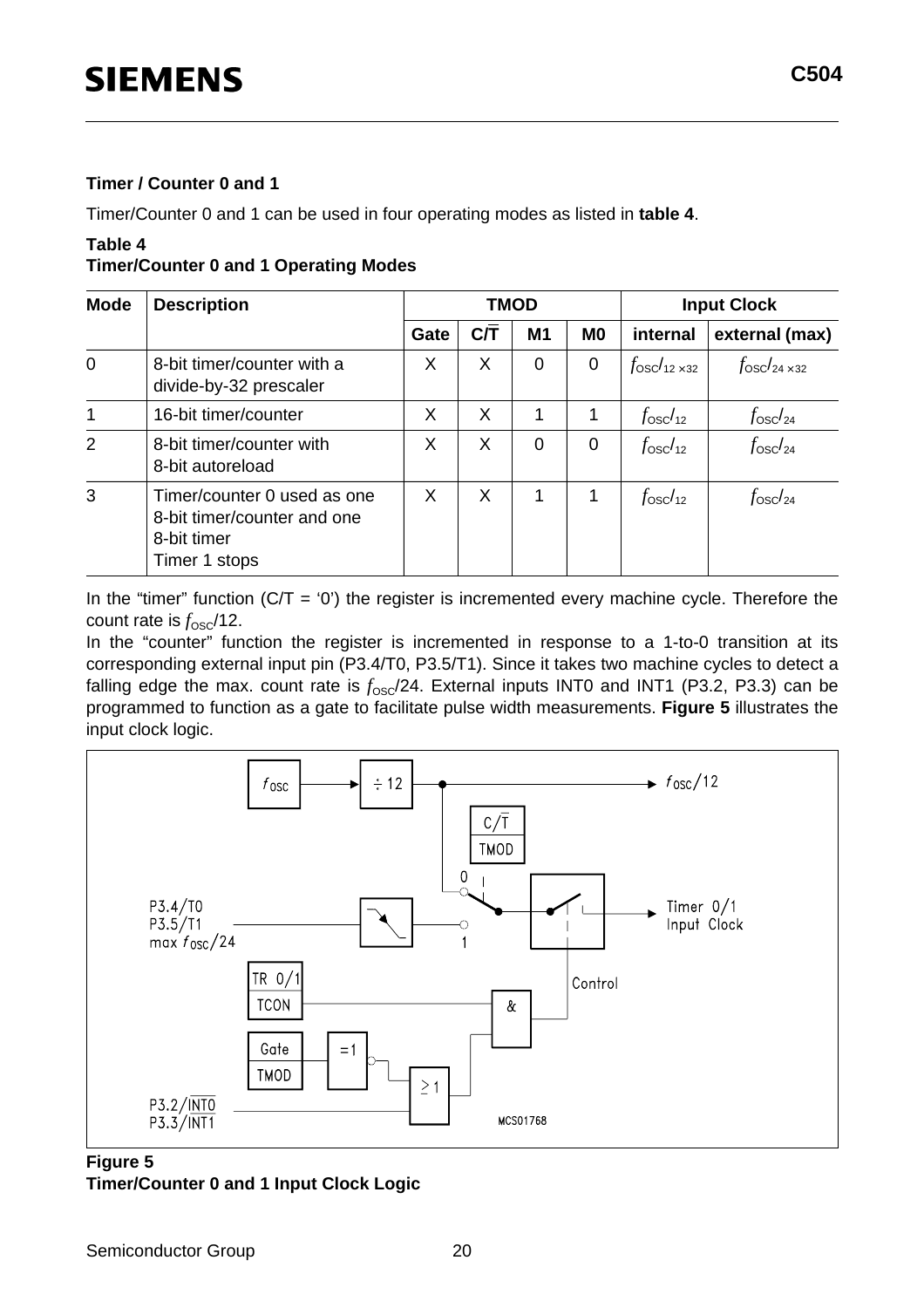#### **Timer / Counter 0 and 1**

Timer/Counter 0 and 1 can be used in four operating modes as listed in **table 4**.

#### **Table 4**

**Timer/Counter 0 and 1 Operating Modes**

| <b>Mode</b>    | <b>Description</b>                                                                         |      |          | <b>TMOD</b>    |                | <b>Input Clock</b>           |                             |  |
|----------------|--------------------------------------------------------------------------------------------|------|----------|----------------|----------------|------------------------------|-----------------------------|--|
|                |                                                                                            | Gate | C/T      | M <sub>1</sub> | M <sub>0</sub> | internal                     | external (max)              |  |
| $\overline{0}$ | 8-bit timer/counter with a<br>divide-by-32 prescaler                                       | X    | X        | 0              | $\overline{0}$ | $f_{\rm osc}/_{12\times 32}$ | $f_{\rm OSC}/_{24\times32}$ |  |
| 1              | 16-bit timer/counter                                                                       | X    | X        | 1              | 1              | f <sub>osc/12</sub>          | $f_{\rm osc}/_{24}$         |  |
| $\overline{2}$ | 8-bit timer/counter with<br>8-bit autoreload                                               | X    | X        | 0              | 0              | $f_{\rm osc}/_{12}$          | $f_{\rm osc}/_{24}$         |  |
| 3              | Timer/counter 0 used as one<br>8-bit timer/counter and one<br>8-bit timer<br>Timer 1 stops | X    | $\times$ | 1              |                | $f_{\rm osc}/_{12}$          | $f_{\rm osc}/_{24}$         |  |

In the "timer" function  $(C/T = '0')$  the register is incremented every machine cycle. Therefore the count rate is  $f_{\rm osc}/12$ .

In the "counter" function the register is incremented in response to a 1-to-0 transition at its corresponding external input pin (P3.4/T0, P3.5/T1). Since it takes two machine cycles to detect a falling edge the max. count rate is  $f_{\text{OSC}}/24$ . External inputs INT0 and INT1 (P3.2, P3.3) can be programmed to function as a gate to facilitate pulse width measurements. **Figure 5** illustrates the input clock logic.



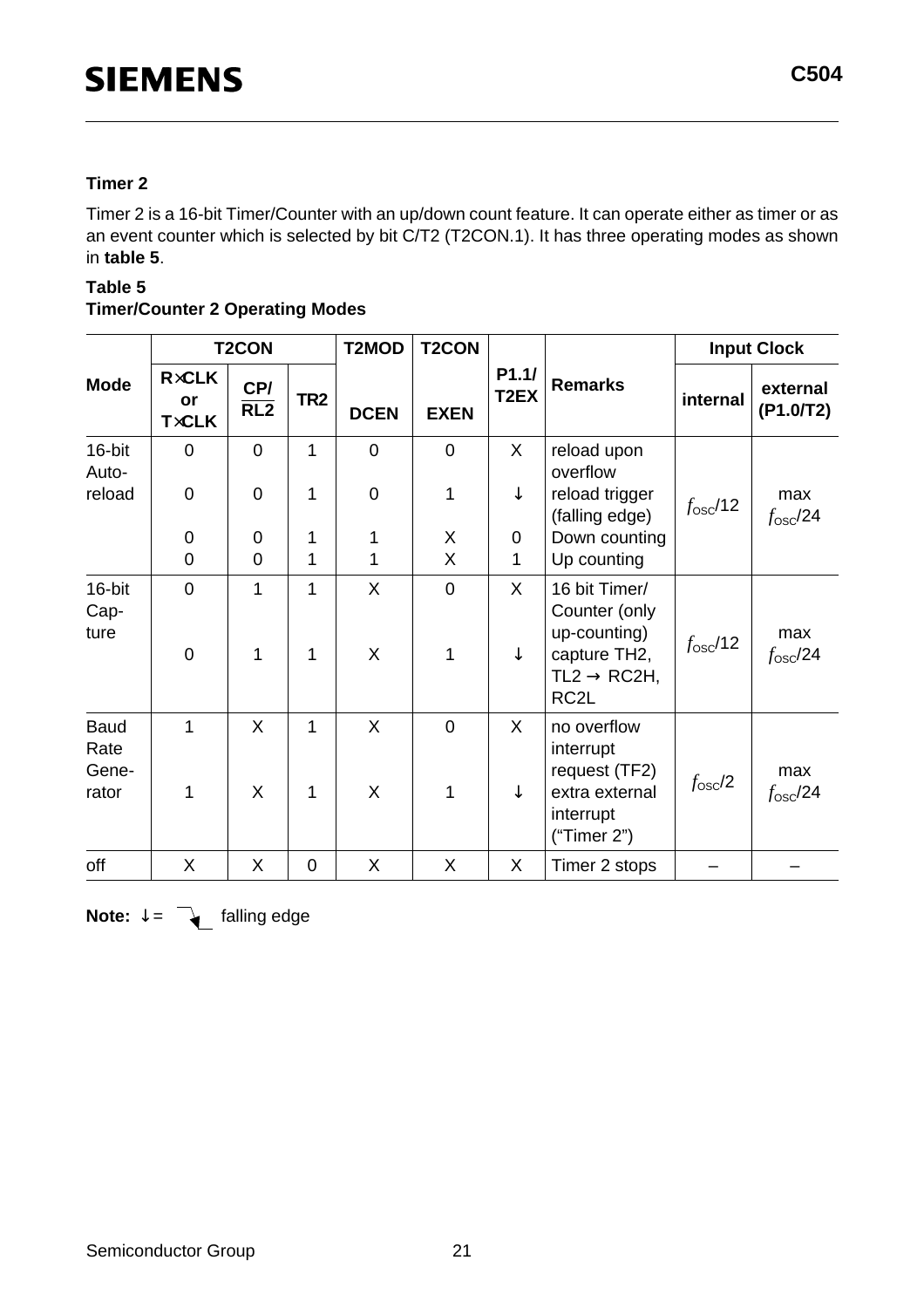#### **Timer 2**

Timer 2 is a 16-bit Timer/Counter with an up/down count feature. It can operate either as timer or as an event counter which is selected by bit C/T2 (T2CON.1). It has three operating modes as shown in **table 5**.

#### **Table 5**

#### **Timer/Counter 2 Operating Modes**

|                                       |                                    | <b>T2CON</b>            |                   | T2MOD            | <b>T2CON</b>        |                            |                                                                                                                | <b>Input Clock</b> |                         |
|---------------------------------------|------------------------------------|-------------------------|-------------------|------------------|---------------------|----------------------------|----------------------------------------------------------------------------------------------------------------|--------------------|-------------------------|
| <b>Mode</b>                           | <b>RxCLK</b><br>or<br><b>TxCLK</b> | CP/<br>$\overline{RL2}$ | TR <sub>2</sub>   | <b>DCEN</b>      | <b>EXEN</b>         | P1.1/<br>T <sub>2</sub> EX | <b>Remarks</b>                                                                                                 | internal           | external<br>(P1.0/T2)   |
| 16-bit<br>Auto-                       | $\mathbf 0$                        | $\mathbf 0$             | 1                 | $\mathbf 0$      | 0                   | X                          | reload upon<br>overflow                                                                                        |                    |                         |
| reload                                | $\mathbf 0$                        | $\overline{0}$          | $\mathbf{1}$      | $\boldsymbol{0}$ | 1                   | $\downarrow$               | reload trigger<br>(falling edge)                                                                               | $f_{\rm osc}/12$   | max<br>$f_{\rm osc}/24$ |
|                                       | $\mathbf 0$                        | 0                       | 1                 | 1                | X                   | $\mathbf 0$                | Down counting                                                                                                  |                    |                         |
|                                       | $\overline{0}$                     | $\overline{0}$          | 1                 | 1                | X                   | 1                          | Up counting                                                                                                    |                    |                         |
| 16-bit<br>Cap-<br>ture                | $\overline{0}$<br>$\mathbf 0$      | 1<br>1                  | $\mathbf{1}$<br>1 | X<br>X           | $\overline{0}$<br>1 | X<br>$\downarrow$          | 16 bit Timer/<br>Counter (only<br>up-counting)<br>capture TH2,<br>$TL2 \rightarrow RC2H,$<br>RC <sub>2</sub> L | $f_{\rm osc}/12$   | max<br>$f_{\rm osc}/24$ |
| <b>Baud</b><br>Rate<br>Gene-<br>rator | 1<br>1                             | X<br>X                  | 1<br>1            | X<br>X           | $\overline{0}$<br>1 | $\mathsf{X}$<br>↓          | no overflow<br>interrupt<br>request (TF2)<br>extra external<br>interrupt<br>("Timer 2")                        | $f_{\rm osc}/2$    | max<br>$f_{\rm osc}/24$ |
| off                                   | X                                  | X                       | $\mathbf 0$       | X                | X                   | X                          | Timer 2 stops                                                                                                  |                    |                         |

**Note:**  $\downarrow$  =  $\leftarrow$  falling edge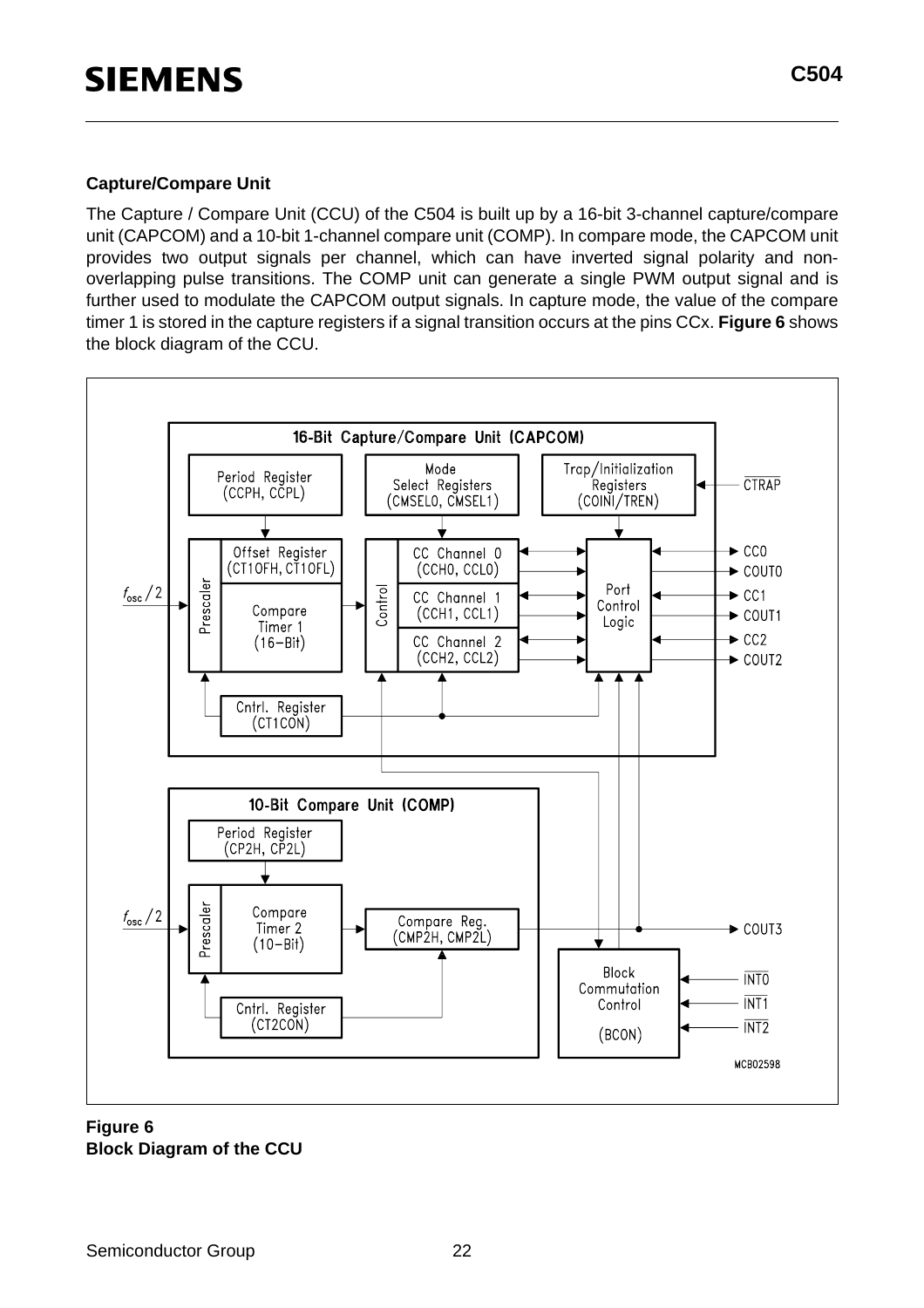#### **Capture/Compare Unit**

The Capture / Compare Unit (CCU) of the C504 is built up by a 16-bit 3-channel capture/compare unit (CAPCOM) and a 10-bit 1-channel compare unit (COMP). In compare mode, the CAPCOM unit provides two output signals per channel, which can have inverted signal polarity and nonoverlapping pulse transitions. The COMP unit can generate a single PWM output signal and is further used to modulate the CAPCOM output signals. In capture mode, the value of the compare timer 1 is stored in the capture registers if a signal transition occurs at the pins CCx. **Figure 6** shows the block diagram of the CCU.



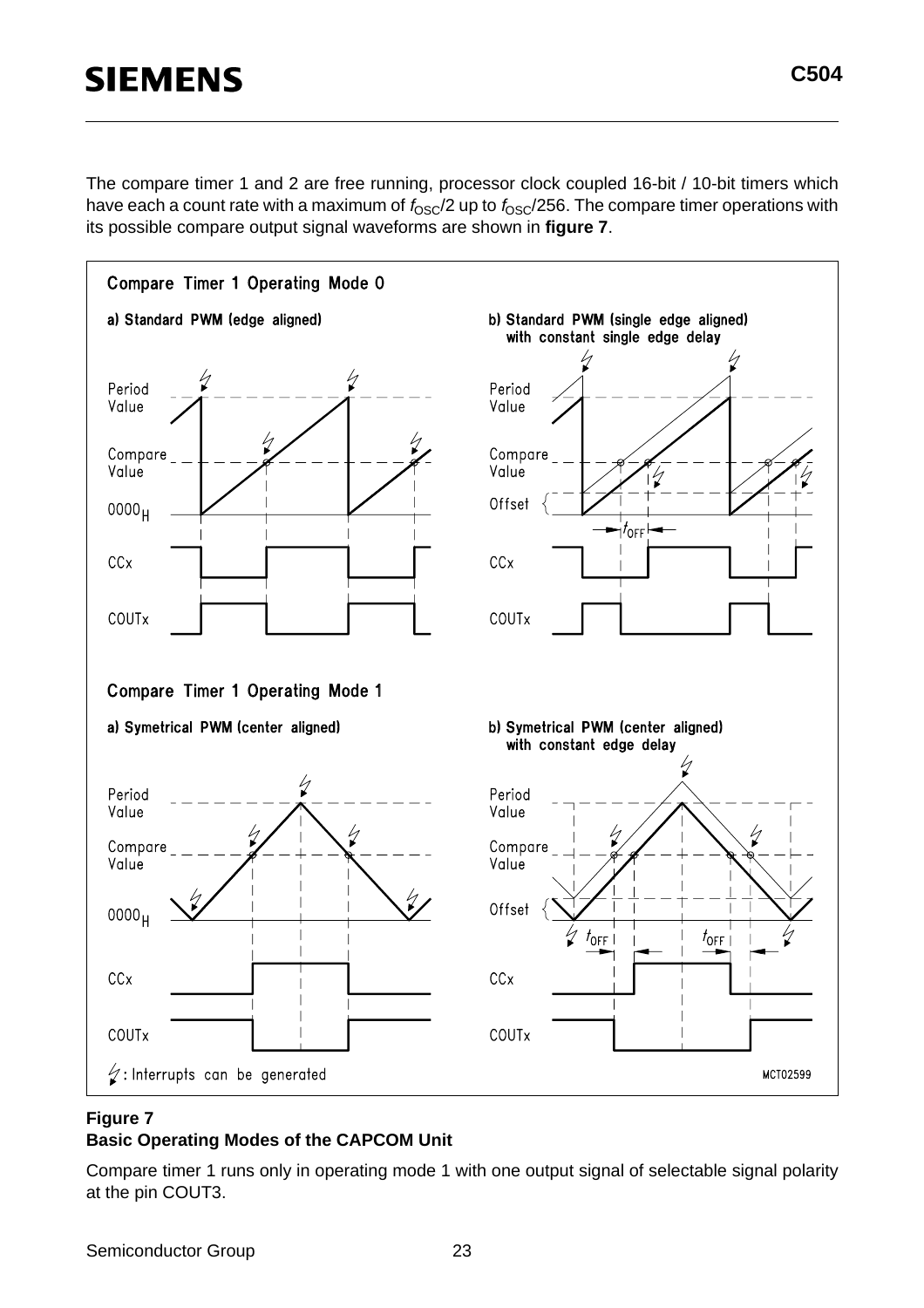The compare timer 1 and 2 are free running, processor clock coupled 16-bit / 10-bit timers which have each a count rate with a maximum of  $f_{\rm OSC}/2$  up to  $f_{\rm OSC}/256$ . The compare timer operations with its possible compare output signal waveforms are shown in **figure 7**.



#### **Figure 7**

#### **Basic Operating Modes of the CAPCOM Unit**

Compare timer 1 runs only in operating mode 1 with one output signal of selectable signal polarity at the pin COUT3.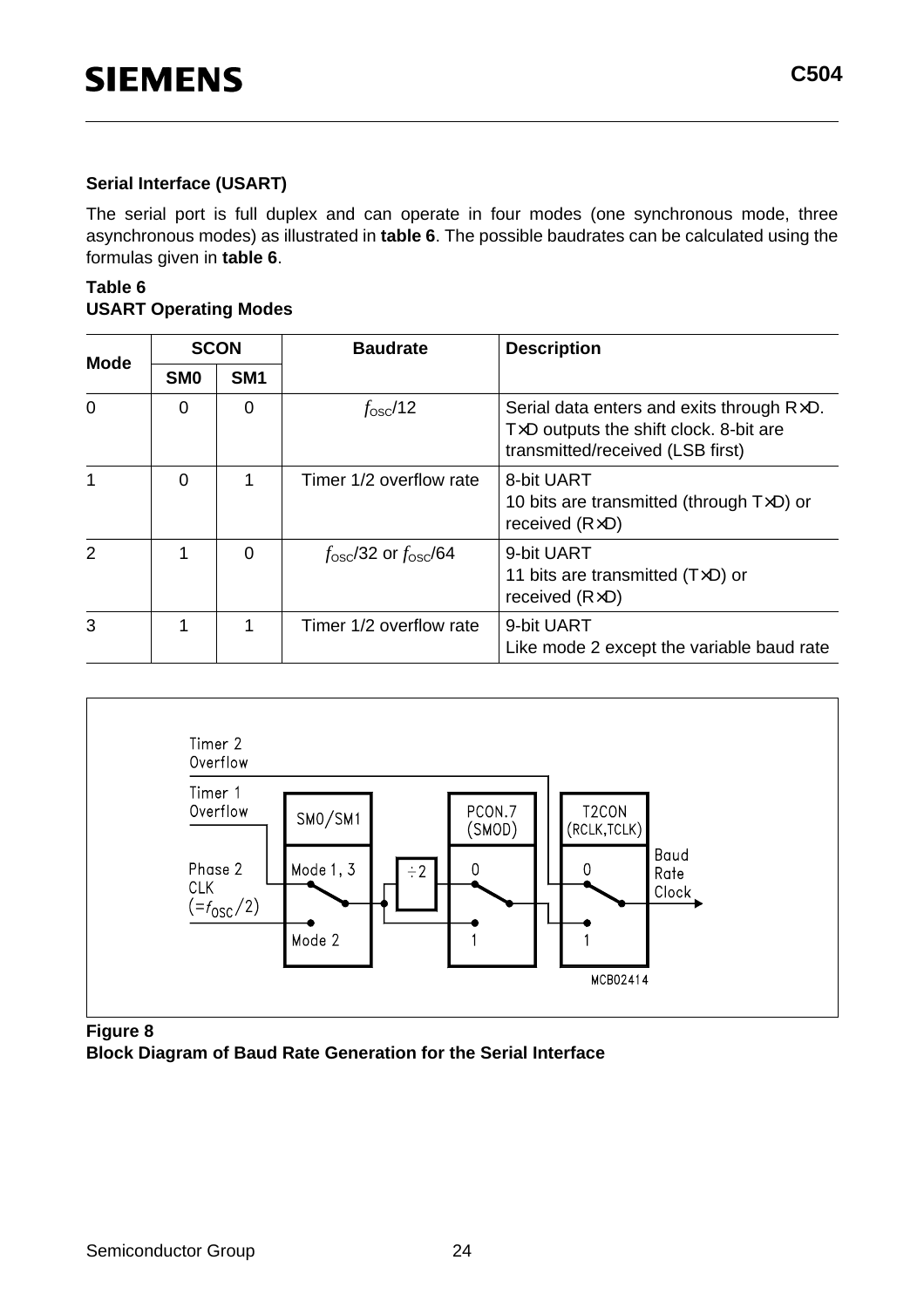#### **Serial Interface (USART)**

The serial port is full duplex and can operate in four modes (one synchronous mode, three asynchronous modes) as illustrated in **table 6**. The possible baudrates can be calculated using the formulas given in **table 6**.

#### **Table 6 USART Operating Modes**

|                |                 | <b>SCON</b>     | <b>Baudrate</b>                      | <b>Description</b>                                                                                                                        |
|----------------|-----------------|-----------------|--------------------------------------|-------------------------------------------------------------------------------------------------------------------------------------------|
| <b>Mode</b>    | SM <sub>0</sub> | SM <sub>1</sub> |                                      |                                                                                                                                           |
| $\Omega$       | $\Omega$        | 0               | $f_{\rm osc}/12$                     | Serial data enters and exits through $R\times D$ .<br>$T \times D$ outputs the shift clock. 8-bit are<br>transmitted/received (LSB first) |
| 1              | $\Omega$        |                 | Timer 1/2 overflow rate              | 8-bit UART<br>10 bits are transmitted (through $T\times D$ ) or<br>received $(R \times D)$                                                |
| $\overline{2}$ |                 | $\Omega$        | $f_{\rm osc}/32$ or $f_{\rm osc}/64$ | 9-bit UART<br>11 bits are transmitted $(T\times D)$ or<br>received $(R \times D)$                                                         |
| 3              |                 | 1               | Timer 1/2 overflow rate              | 9-bit UART<br>Like mode 2 except the variable baud rate                                                                                   |



**Figure 8**

**Block Diagram of Baud Rate Generation for the Serial Interface**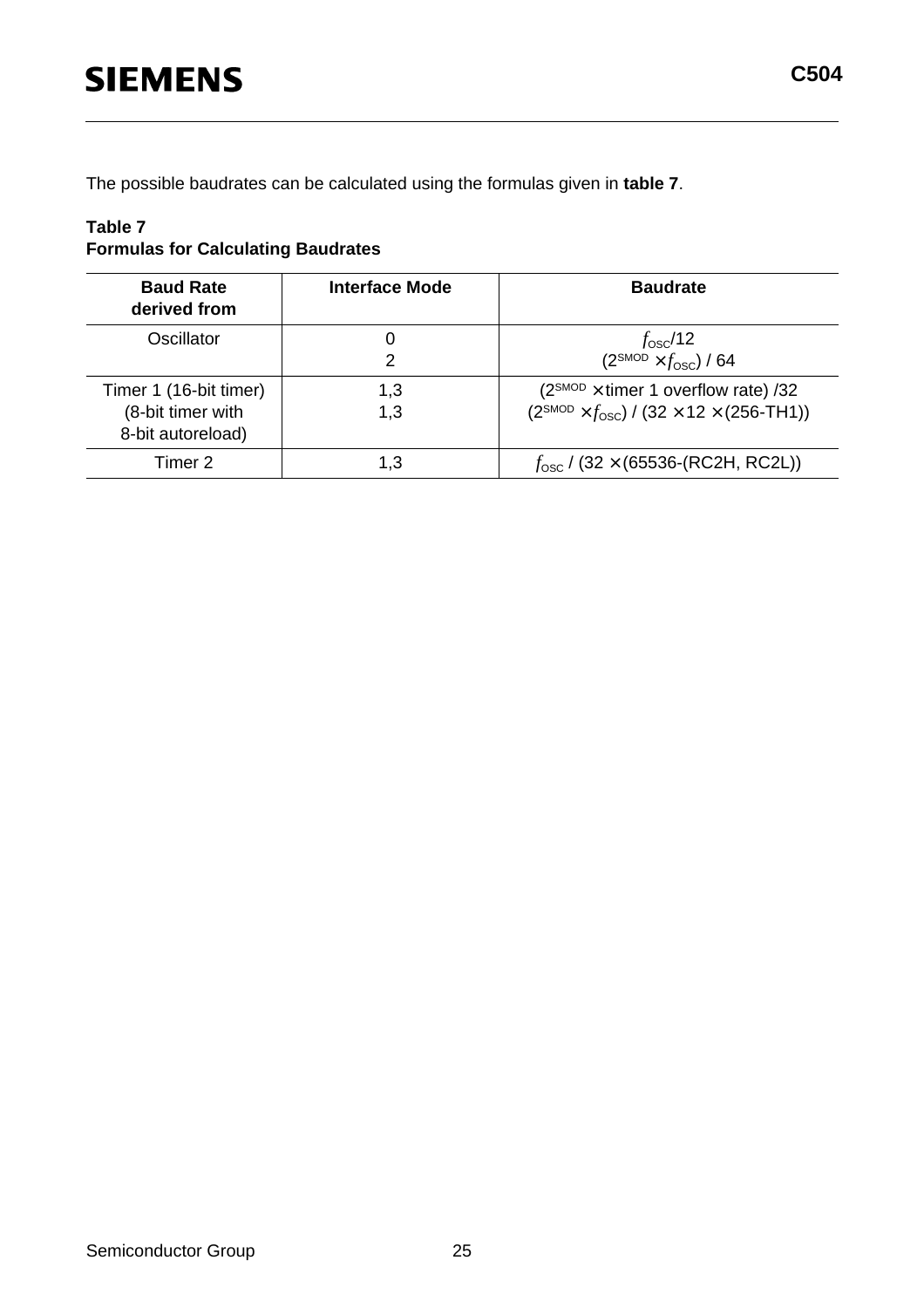The possible baudrates can be calculated using the formulas given in **table 7**.

#### **Table 7 Formulas for Calculating Baudrates**

| <b>Baud Rate</b><br>derived from                                 | Interface Mode | <b>Baudrate</b>                                                                                                       |
|------------------------------------------------------------------|----------------|-----------------------------------------------------------------------------------------------------------------------|
| Oscillator                                                       | Ő<br>2         | $f_{\rm osc}/12$<br>$(2^{SMOD} \times f_{OSC})$ / 64                                                                  |
| Timer 1 (16-bit timer)<br>(8-bit timer with<br>8-bit autoreload) | 1,3<br>1,3     | $(2^{SMOD} \times \text{timer 1 overflow rate})$ /32<br>$(2^{SMOD} \times f_{OSC}) / (32 \times 12 \times (256-TH1))$ |
| Timer 2                                                          | 1.3            | $f_{\rm osc}$ / (32 × (65536-(RC2H, RC2L))                                                                            |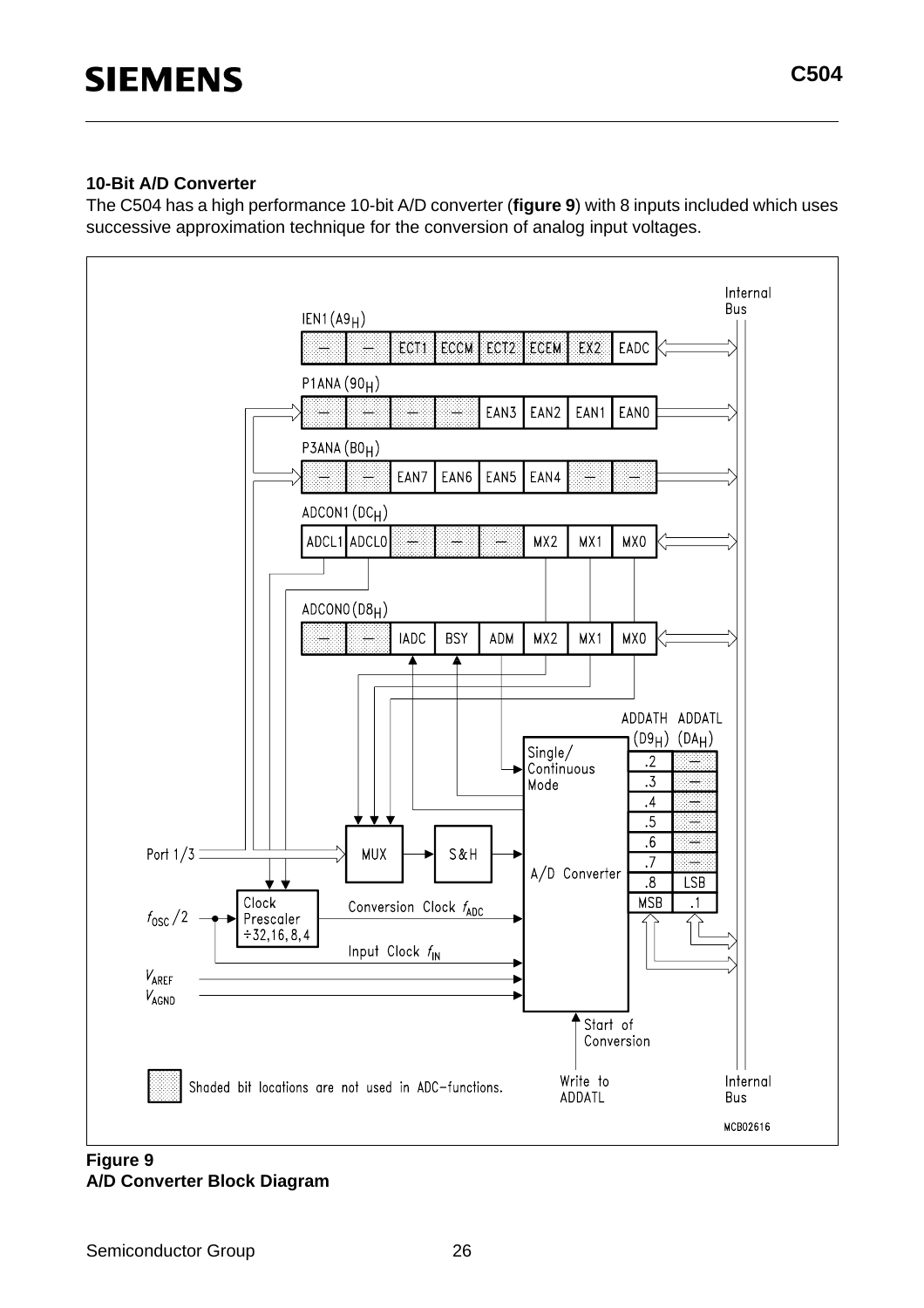The C504 has a high performance 10-bit A/D converter (**figure 9**) with 8 inputs included which uses successive approximation technique for the conversion of analog input voltages.



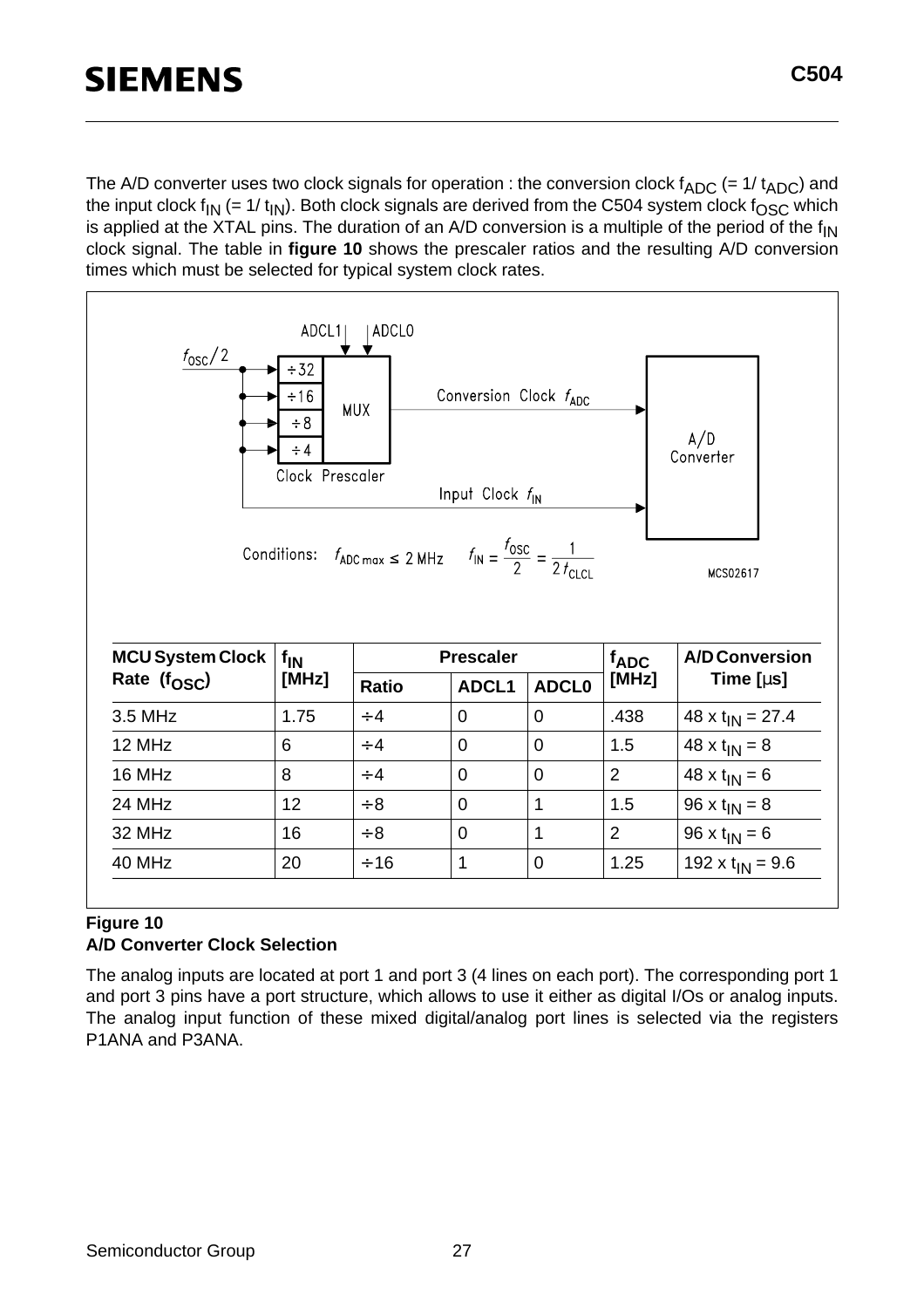The A/D converter uses two clock signals for operation : the conversion clock  $f_{ADC}$  (= 1/  $t_{ADC}$ ) and the input clock  $f_{IN}$  (= 1/  $t_{IN}$ ). Both clock signals are derived from the C504 system clock  $f_{OSC}$  which is applied at the XTAL pins. The duration of an A/D conversion is a multiple of the period of the  $f_{IN}$ clock signal. The table in **figure 10** shows the prescaler ratios and the resulting A/D conversion times which must be selected for typical system clock rates.



#### **Figure 10 A/D Converter Clock Selection**

The analog inputs are located at port 1 and port 3 (4 lines on each port). The corresponding port 1 and port 3 pins have a port structure, which allows to use it either as digital I/Os or analog inputs. The analog input function of these mixed digital/analog port lines is selected via the registers P1ANA and P3ANA.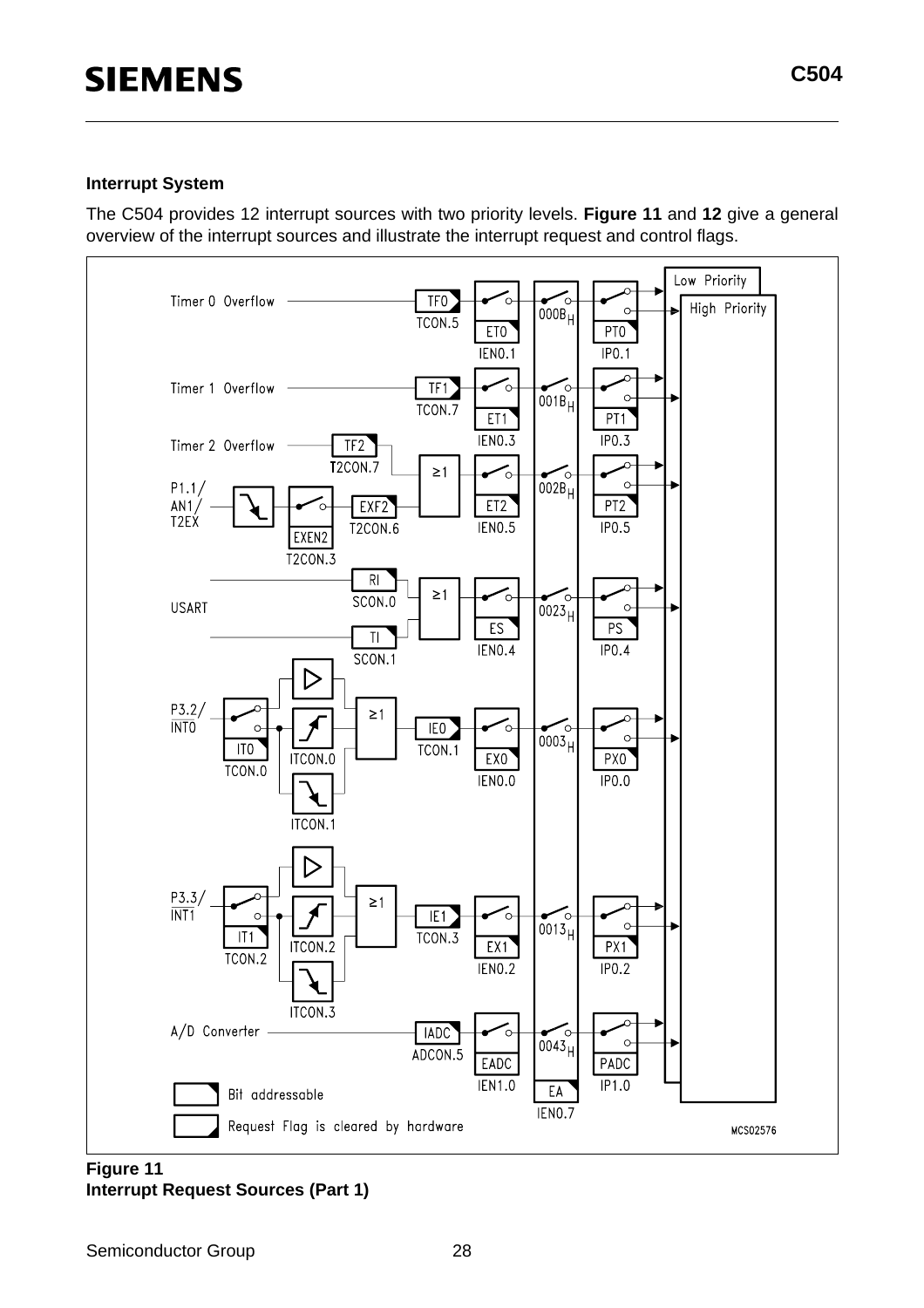#### **Interrupt System**

The C504 provides 12 interrupt sources with two priority levels. **Figure 11** and **12** give a general overview of the interrupt sources and illustrate the interrupt request and control flags.



#### **Figure 11 Interrupt Request Sources (Part 1)**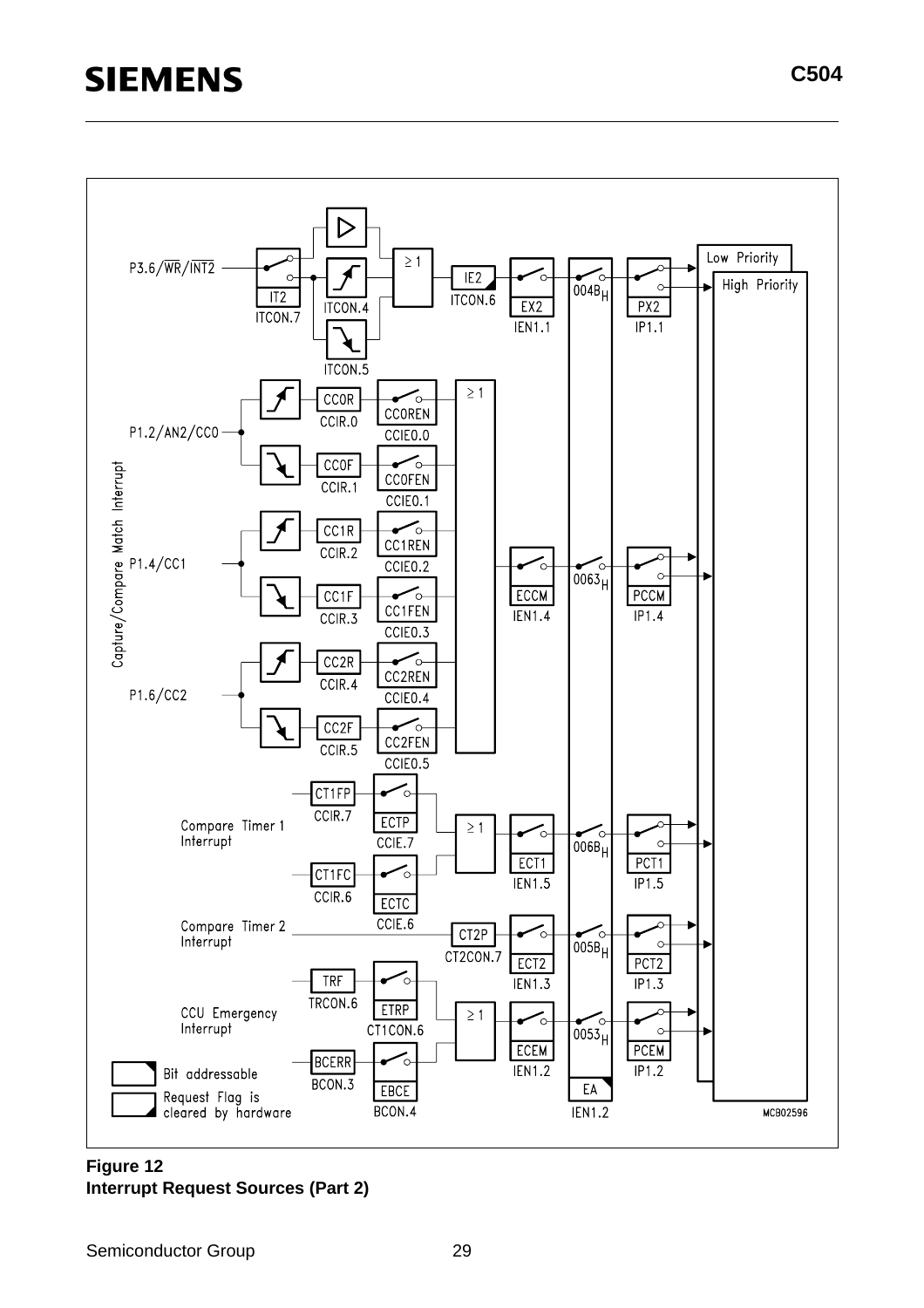

**Figure 12 Interrupt Request Sources (Part 2)**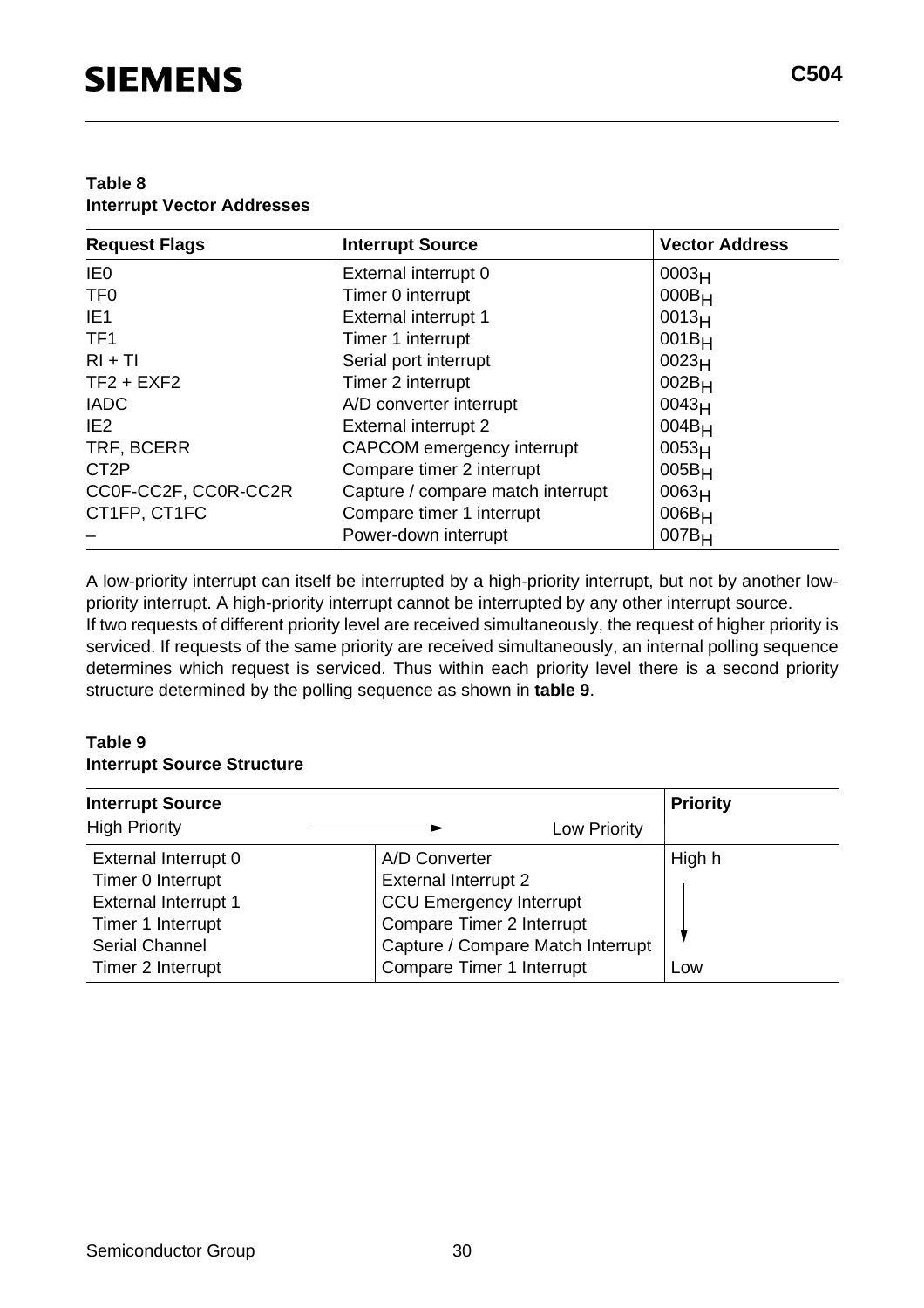#### **Table 8 Interrupt Vector Addresses**

| <b>Request Flags</b> | <b>Interrupt Source</b>           | <b>Vector Address</b> |
|----------------------|-----------------------------------|-----------------------|
| IE <sub>0</sub>      | External interrupt 0              | 0003 <sub>H</sub>     |
| TF <sub>0</sub>      | Timer 0 interrupt                 | $000B_H$              |
| IE <sub>1</sub>      | External interrupt 1              | 0013 <sub>H</sub>     |
| TF <sub>1</sub>      | Timer 1 interrupt                 | $001B_H$              |
| $RI + TI$            | Serial port interrupt             | 0023 <sub>H</sub>     |
| $TF2 + EXF2$         | Timer 2 interrupt                 | $002B_H$              |
| <b>IADC</b>          | A/D converter interrupt           | 0043 <sub>H</sub>     |
| IE <sub>2</sub>      | <b>External interrupt 2</b>       | $004B_H$              |
| TRF, BCERR           | CAPCOM emergency interrupt        | 0053 <sub>H</sub>     |
| CT <sub>2</sub> P    | Compare timer 2 interrupt         | $005B_H$              |
| CC0F-CC2F, CC0R-CC2R | Capture / compare match interrupt | 0063 <sub>H</sub>     |
| CT1FP, CT1FC         | Compare timer 1 interrupt         | $006B_H$              |
|                      | Power-down interrupt              | $007B_H$              |

A low-priority interrupt can itself be interrupted by a high-priority interrupt, but not by another lowpriority interrupt. A high-priority interrupt cannot be interrupted by any other interrupt source. If two requests of different priority level are received simultaneously, the request of higher priority is serviced. If requests of the same priority are received simultaneously, an internal polling sequence determines which request is serviced. Thus within each priority level there is a second priority structure determined by the polling sequence as shown in **table 9**.

#### **Table 9 Interrupt Source Structure**

| <b>Interrupt Source</b>     |                                   | <b>Priority</b> |
|-----------------------------|-----------------------------------|-----------------|
| <b>High Priority</b>        | Low Priority                      |                 |
| External Interrupt 0        | A/D Converter                     | High h          |
| Timer 0 Interrupt           | <b>External Interrupt 2</b>       |                 |
| <b>External Interrupt 1</b> | <b>CCU Emergency Interrupt</b>    |                 |
| Timer 1 Interrupt           | Compare Timer 2 Interrupt         |                 |
| <b>Serial Channel</b>       | Capture / Compare Match Interrupt |                 |
| Timer 2 Interrupt           | Compare Timer 1 Interrupt         | Low             |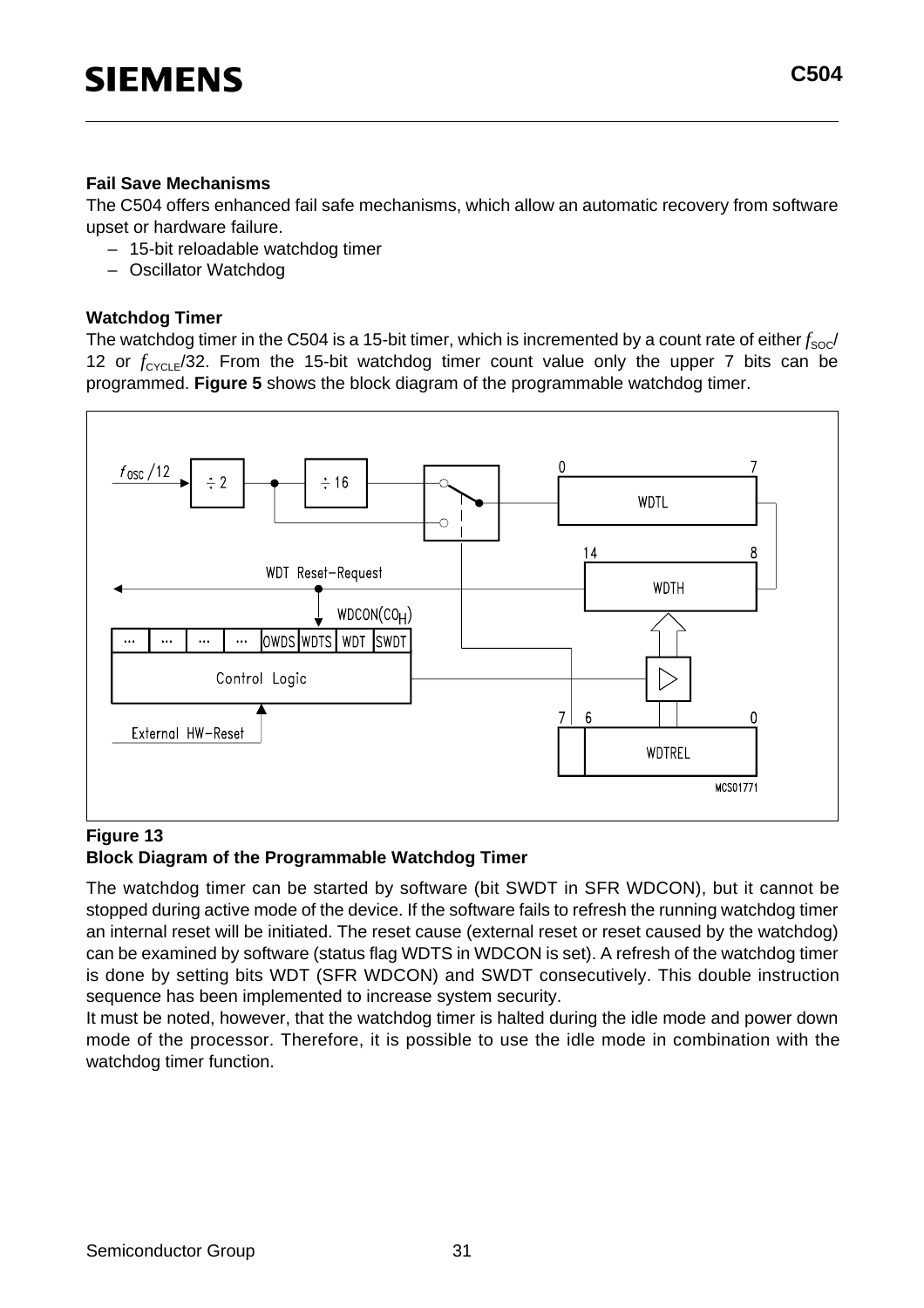**C504**

#### **Fail Save Mechanisms**

The C504 offers enhanced fail safe mechanisms, which allow an automatic recovery from software upset or hardware failure.

- 15-bit reloadable watchdog timer
- Oscillator Watchdog

#### **Watchdog Timer**

The watchdog timer in the C504 is a 15-bit timer, which is incremented by a count rate of either  $f_{\text{SOC}}$ 12 or  $f_{\text{CYCI F}}/32$ . From the 15-bit watchdog timer count value only the upper 7 bits can be programmed. **Figure 5** shows the block diagram of the programmable watchdog timer.



#### **Figure 13 Block Diagram of the Programmable Watchdog Timer**

The watchdog timer can be started by software (bit SWDT in SFR WDCON), but it cannot be stopped during active mode of the device. If the software fails to refresh the running watchdog timer an internal reset will be initiated. The reset cause (external reset or reset caused by the watchdog) can be examined by software (status flag WDTS in WDCON is set). A refresh of the watchdog timer is done by setting bits WDT (SFR WDCON) and SWDT consecutively. This double instruction sequence has been implemented to increase system security.

It must be noted, however, that the watchdog timer is halted during the idle mode and power down mode of the processor. Therefore, it is possible to use the idle mode in combination with the watchdog timer function.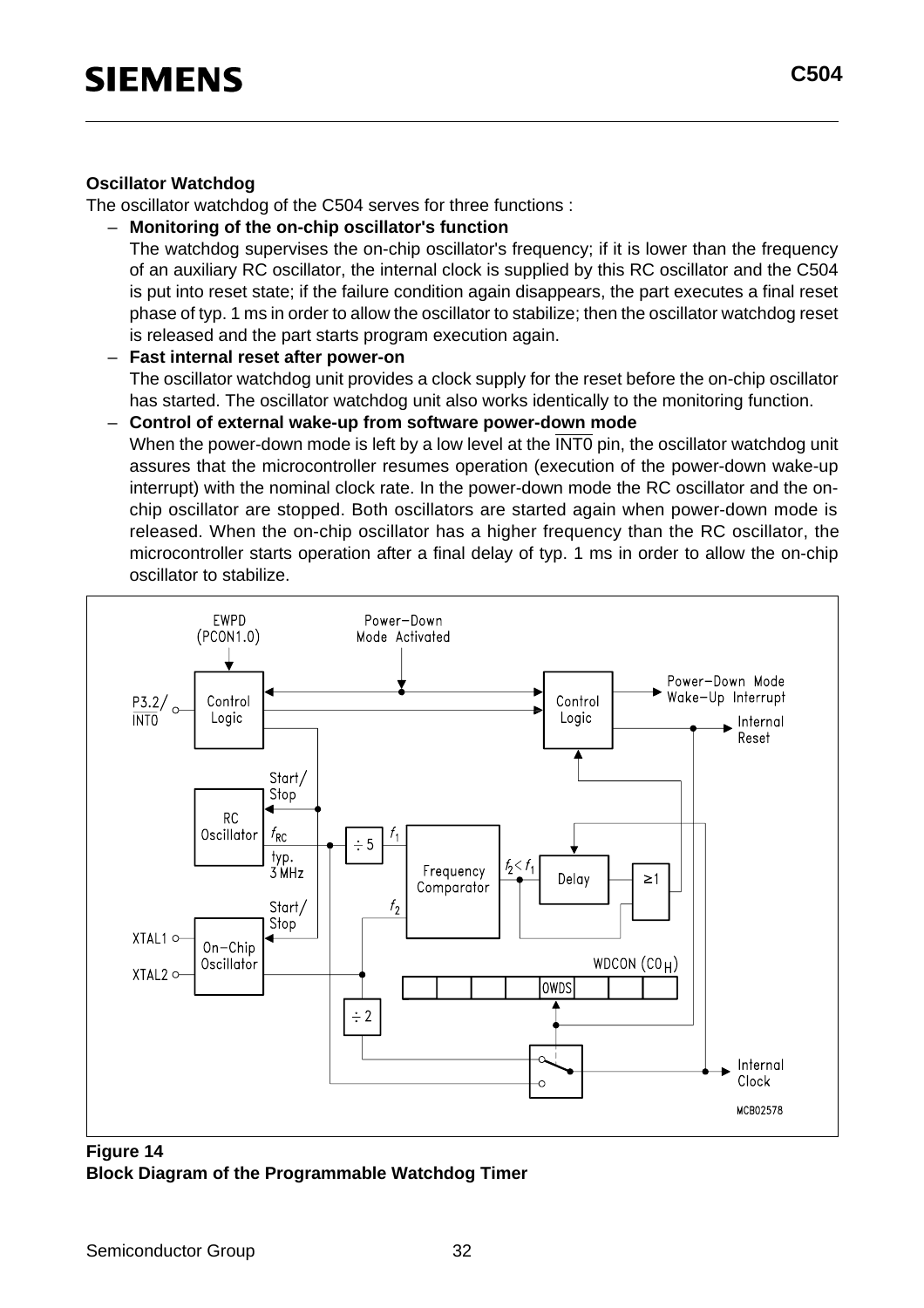#### **Oscillator Watchdog**

The oscillator watchdog of the C504 serves for three functions :

– **Monitoring of the on-chip oscillator's function**

The watchdog supervises the on-chip oscillator's frequency; if it is lower than the frequency of an auxiliary RC oscillator, the internal clock is supplied by this RC oscillator and the C504 is put into reset state; if the failure condition again disappears, the part executes a final reset phase of typ. 1 ms in order to allow the oscillator to stabilize; then the oscillator watchdog reset is released and the part starts program execution again.

– **Fast internal reset after power-on**

The oscillator watchdog unit provides a clock supply for the reset before the on-chip oscillator has started. The oscillator watchdog unit also works identically to the monitoring function.

– **Control of external wake-up from software power-down mode**

When the power-down mode is left by a low level at the INTO pin, the oscillator watchdog unit assures that the microcontroller resumes operation (execution of the power-down wake-up interrupt) with the nominal clock rate. In the power-down mode the RC oscillator and the onchip oscillator are stopped. Both oscillators are started again when power-down mode is released. When the on-chip oscillator has a higher frequency than the RC oscillator, the microcontroller starts operation after a final delay of typ. 1 ms in order to allow the on-chip oscillator to stabilize.



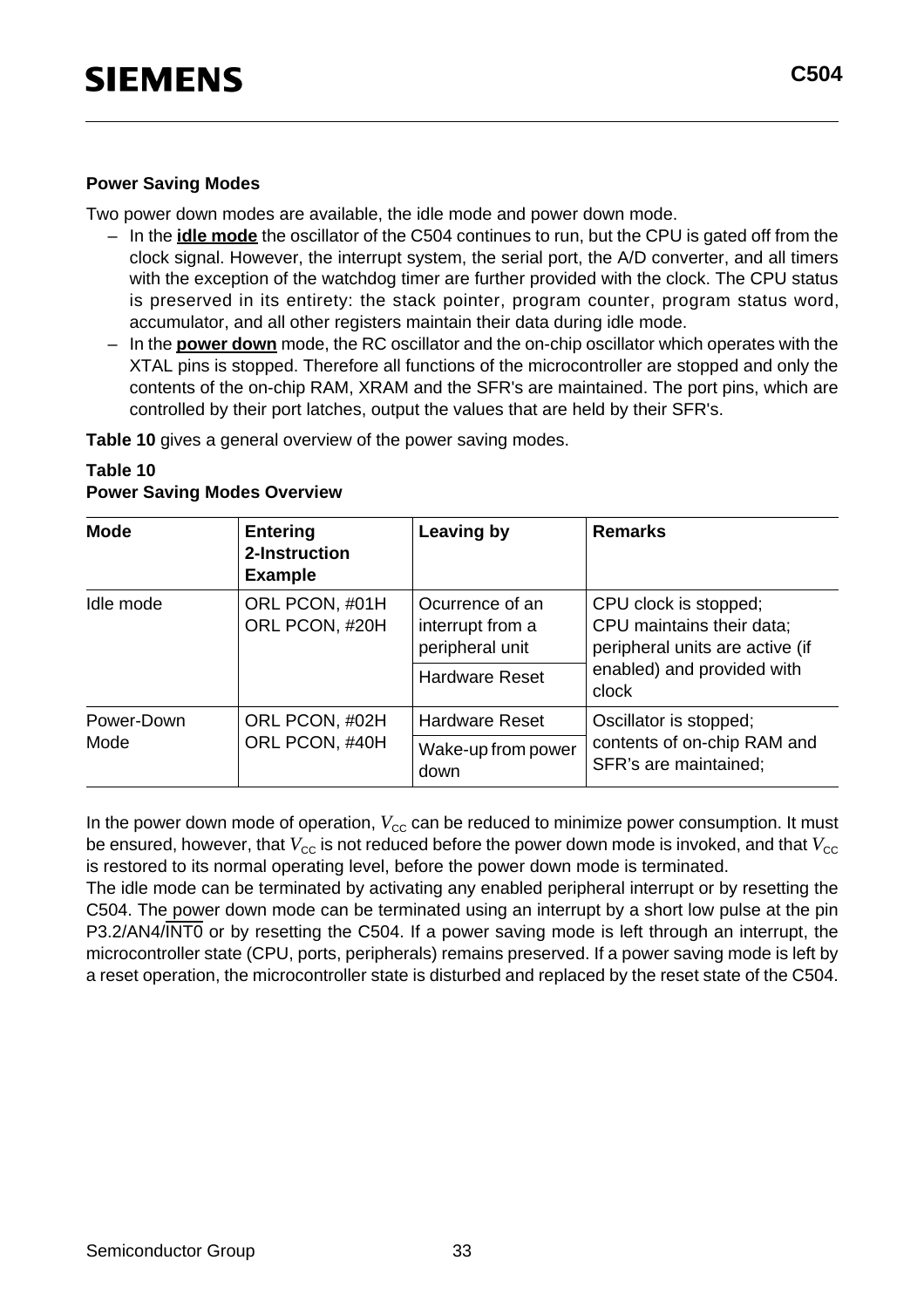#### **Power Saving Modes**

Two power down modes are available, the idle mode and power down mode.

- In the **idle mode** the oscillator of the C504 continues to run, but the CPU is gated off from the clock signal. However, the interrupt system, the serial port, the A/D converter, and all timers with the exception of the watchdog timer are further provided with the clock. The CPU status is preserved in its entirety: the stack pointer, program counter, program status word, accumulator, and all other registers maintain their data during idle mode.
- In the **power down** mode, the RC oscillator and the on-chip oscillator which operates with the XTAL pins is stopped. Therefore all functions of the microcontroller are stopped and only the contents of the on-chip RAM, XRAM and the SFR's are maintained. The port pins, which are controlled by their port latches, output the values that are held by their SFR's.

**Table 10** gives a general overview of the power saving modes.

| <b>Mode</b> | <b>Entering</b><br>2-Instruction<br><b>Example</b> | <b>Leaving by</b>                                      | <b>Remarks</b>                                                                        |  |  |
|-------------|----------------------------------------------------|--------------------------------------------------------|---------------------------------------------------------------------------------------|--|--|
| Idle mode   | ORL PCON, #01H<br>ORL PCON, #20H                   | Ocurrence of an<br>interrupt from a<br>peripheral unit | CPU clock is stopped;<br>CPU maintains their data;<br>peripheral units are active (if |  |  |
|             |                                                    | Hardware Reset                                         | enabled) and provided with<br>clock                                                   |  |  |
| Power-Down  | ORL PCON, #02H                                     | <b>Hardware Reset</b>                                  | Oscillator is stopped;                                                                |  |  |
| Mode        | ORL PCON, #40H                                     | Wake-up from power<br>down                             | contents of on-chip RAM and<br>SFR's are maintained;                                  |  |  |

#### **Table 10 Power Saving Modes Overview**

In the power down mode of operation,  $V_{\text{cc}}$  can be reduced to minimize power consumption. It must be ensured, however, that  $V_{\text{CC}}$  is not reduced before the power down mode is invoked, and that  $V_{\text{CC}}$ is restored to its normal operating level, before the power down mode is terminated.

The idle mode can be terminated by activating any enabled peripheral interrupt or by resetting the C504. The power down mode can be terminated using an interrupt by a short low pulse at the pin P3.2/AN4/INT0 or by resetting the C504. If a power saving mode is left through an interrupt, the microcontroller state (CPU, ports, peripherals) remains preserved. If a power saving mode is left by a reset operation, the microcontroller state is disturbed and replaced by the reset state of the C504.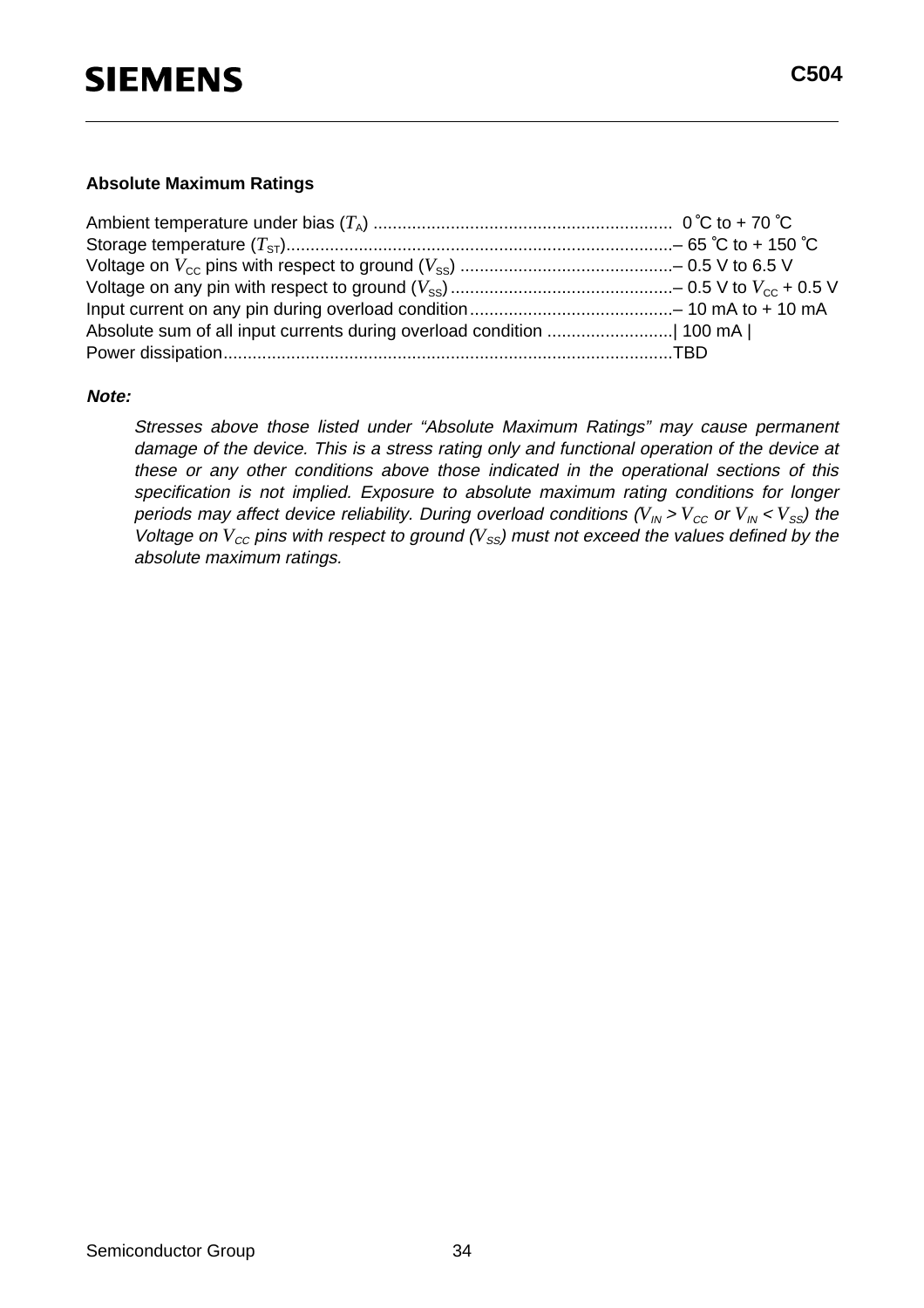#### **Absolute Maximum Ratings**

#### **Note:**

Stresses above those listed under "Absolute Maximum Ratings" may cause permanent damage of the device. This is a stress rating only and functional operation of the device at these or any other conditions above those indicated in the operational sections of this specification is not implied. Exposure to absolute maximum rating conditions for longer periods may affect device reliability. During overload conditions ( $V_{IN}$  >  $V_{CC}$  or  $V_{IN}$  <  $V_{SS}$ ) the Voltage on  $V_{cc}$  pins with respect to ground ( $V_{ss}$ ) must not exceed the values defined by the absolute maximum ratings.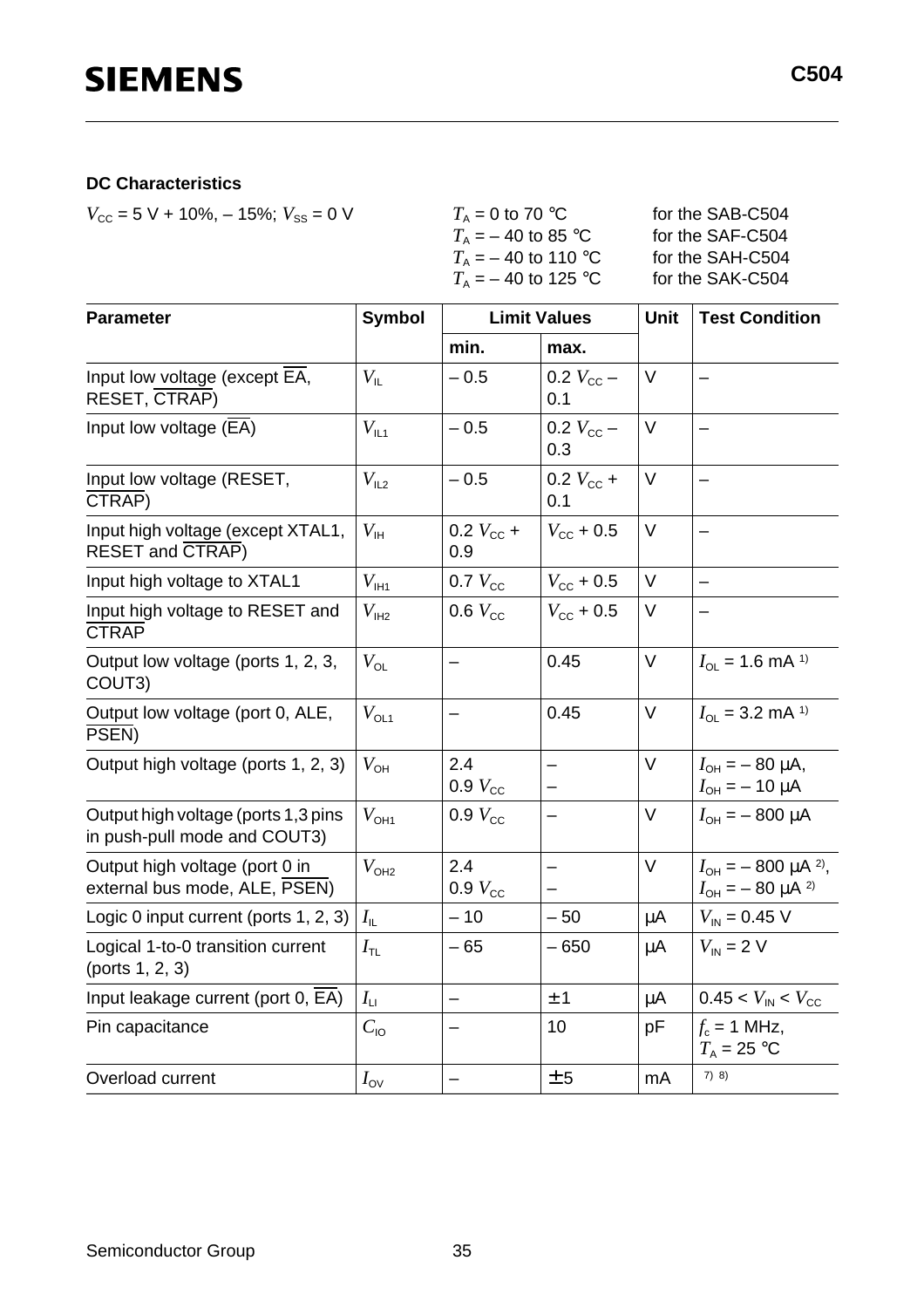#### **DC Characteristics**

 $V_{\text{CC}} = 5 \text{ V} + 10\%, -15\%; V_{\text{SS}} = 0 \text{ V}$  *T*<sub>A</sub> = 0 to 70 °C for the SAB-C504

| for the SAB-C504 |
|------------------|
| for the SAF-C504 |
| for the SAH-C504 |
| for the SAK-C504 |
|                  |

| <b>Parameter</b>                                                    | <b>Symbol</b>                  |                           | <b>Limit Values</b>                           | Unit   | <b>Test Condition</b>                                                  |
|---------------------------------------------------------------------|--------------------------------|---------------------------|-----------------------------------------------|--------|------------------------------------------------------------------------|
|                                                                     |                                | min.                      | max.                                          |        |                                                                        |
| Input low voltage (except EA,<br><b>RESET, CTRAP)</b>               | $V_{\rm IL}$                   | $-0.5$                    | 0.2 $V_{\rm CC}$ –<br>0.1                     | $\vee$ |                                                                        |
| Input low voltage $(EA)$                                            | $V_{\text{IL1}}$               | $-0.5$                    | 0.2 $V_{\rm CC}$ –<br>0.3                     | $\vee$ |                                                                        |
| Input low voltage (RESET,<br>CTRAP)                                 | $V_{L2}$                       | $-0.5$                    | 0.2 $V_{\rm CC}$ +<br>0.1                     | V      |                                                                        |
| Input high voltage (except XTAL1,<br><b>RESET and CTRAP)</b>        | $V_{\rm IH}$                   | 0.2 $V_{\rm cc}$ +<br>0.9 | $V_{\rm CC}$ + 0.5                            | V      |                                                                        |
| Input high voltage to XTAL1                                         | $V_{\text{I}H1}$               | $0.7$ $V_{\text{cc}}$     | $V_{\rm CC}$ + 0.5                            | $\vee$ | $\qquad \qquad -$                                                      |
| Input high voltage to RESET and<br><b>CTRAP</b>                     | $V_{\text{IH2}}$               | 0.6 $V_{\text{cc}}$       | $V_{\rm cc}$ + 0.5                            | V      | $\overline{\phantom{m}}$                                               |
| Output low voltage (ports 1, 2, 3,<br>COUT3)                        | $V_{\text{OL}}$                | $\overline{\phantom{0}}$  | 0.45                                          | $\vee$ | $I_{OL}$ = 1.6 mA <sup>1)</sup>                                        |
| Output low voltage (port 0, ALE,<br>PSEN)                           | $V_{OL1}$                      | -                         | 0.45                                          | V      | $I_{\text{OL}}$ = 3.2 mA <sup>1)</sup>                                 |
| Output high voltage (ports 1, 2, 3)                                 | $V_{\text{OH}}$                | 2.4<br>$0.9 V_{\rm CC}$   |                                               | $\vee$ | $I_{\text{OH}} = -80 \mu A$ ,<br>$I_{OH} = -10 \mu A$                  |
| Output high voltage (ports 1,3 pins<br>in push-pull mode and COUT3) | $V_{\text{OH1}}$               | $0.9 V_{\rm cc}$          |                                               | V      | $I_{OH} = -800 \mu A$                                                  |
| Output high voltage (port 0 in<br>external bus mode, ALE, PSEN)     | $V_{OHA}$                      | 2.4<br>$0.9 V_{\rm cc}$   | $\overline{\phantom{0}}$<br>$\qquad \qquad -$ | V      | $I_{OH}$ = - 800 µA <sup>2)</sup> ,<br>$I_{\text{OH}} = -80 \mu A^{2}$ |
| Logic 0 input current (ports 1, 2, 3)                               | $I_{\scriptscriptstyle\rm IL}$ | $-10$                     | $-50$                                         | μA     | $V_{\text{IN}} = 0.45 \text{ V}$                                       |
| Logical 1-to-0 transition current<br>(ports 1, 2, 3)                | $I_{\text{TL}}$                | $-65$                     | $-650$                                        | μA     | $V_{\text{IN}}$ = 2 V                                                  |
| Input leakage current (port 0, EA)                                  | $I_{\text{LI}}$                | $\overline{\phantom{0}}$  | ±1                                            | μA     | $0.45 < V_{\text{IN}} < V_{\text{CC}}$                                 |
| Pin capacitance                                                     | $C_{\text{IO}}$                | $\qquad \qquad -$         | 10                                            | рF     | $f_c = 1$ MHz,<br>$T_A = 25$ °C                                        |
| Overload current                                                    | $I_{\rm OV}$                   |                           | ± 5                                           | mA     | 7) 8)                                                                  |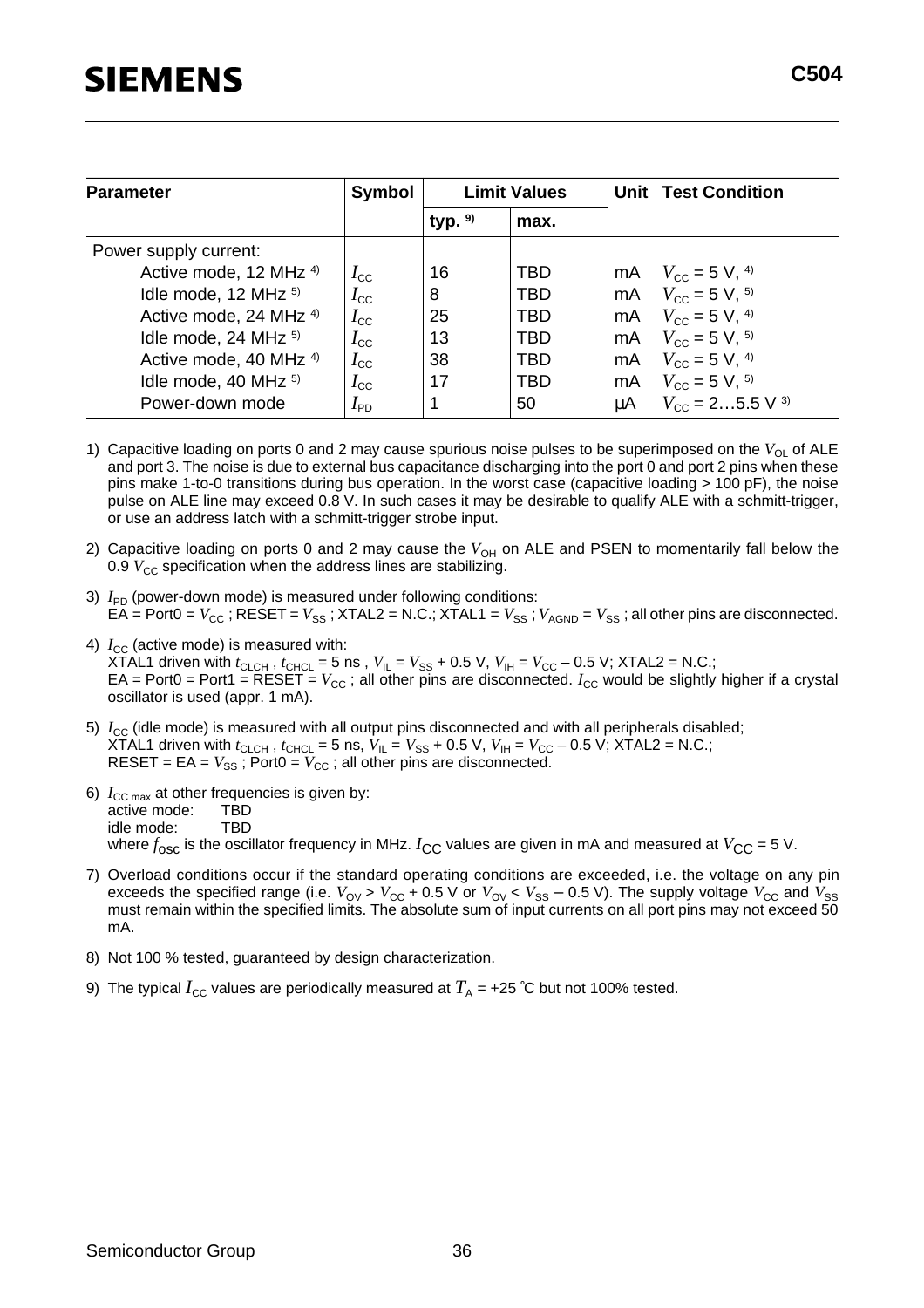| <b>Parameter</b>                  | <b>Symbol</b>   |           | <b>Limit Values</b> |    | Unit   Test Condition                |  |
|-----------------------------------|-----------------|-----------|---------------------|----|--------------------------------------|--|
|                                   |                 | typ. $9)$ | max.                |    |                                      |  |
| Power supply current:             |                 |           |                     |    |                                      |  |
| Active mode, 12 MHz 4)            | $I_{\rm CC}$    | 16        | TBD.                | mA | $V_{\rm CC}$ = 5 V, <sup>4)</sup>    |  |
| Idle mode, 12 MHz <sup>5)</sup>   | $I_{\rm CC}$    | 8         | <b>TBD</b>          | mA | $V_{\rm CC}$ = 5 V, <sup>5)</sup>    |  |
| Active mode, 24 MHz <sup>4)</sup> | $I_{\rm CC}$    | 25        | <b>TBD</b>          | mA | $V_{\rm CC}$ = 5 V, <sup>4)</sup>    |  |
| Idle mode, 24 MHz <sup>5)</sup>   | $I_{\rm CC}$    | 13        | <b>TBD</b>          | mA | $V_{\rm CC}$ = 5 V, <sup>5)</sup>    |  |
| Active mode, 40 MHz <sup>4)</sup> | $I_{\rm CC}$    | 38        | <b>TBD</b>          | mA | $V_{\rm CC}$ = 5 V, <sup>4)</sup>    |  |
| Idle mode, 40 MHz <sup>5)</sup>   | $I_{\rm CC}$    | 17        | <b>TBD</b>          | mA | $V_{\rm CC}$ = 5 V, <sup>5)</sup>    |  |
| Power-down mode                   | $I_{\text{PD}}$ |           | 50                  | μA | $V_{\text{cc}} = 25.5 \text{ V}^{3}$ |  |

- 1) Capacitive loading on ports 0 and 2 may cause spurious noise pulses to be superimposed on the V<sub>OL</sub> of ALE and port 3. The noise is due to external bus capacitance discharging into the port 0 and port 2 pins when these pins make 1-to-0 transitions during bus operation. In the worst case (capacitive loading > 100 pF), the noise pulse on ALE line may exceed 0.8 V. In such cases it may be desirable to qualify ALE with a schmitt-trigger, or use an address latch with a schmitt-trigger strobe input.
- 2) Capacitive loading on ports 0 and 2 may cause the V<sub>OH</sub> on ALE and PSEN to momentarily fall below the 0.9 *V<sub>CC</sub>* specification when the address lines are stabilizing.
- 3)  $I_{\text{PD}}$  (power-down mode) is measured under following conditions: EA = Port0 =  $V_{CC}$ ; RESET =  $V_{SS}$ ; XTAL2 = N.C.; XTAL1 =  $V_{SS}$ ;  $V_{AGND}$  =  $V_{SS}$ ; all other pins are disconnected.
- 4)  $I_{\text{CC}}$  (active mode) is measured with: XTAL1 driven with  $t_{\text{CLCH}}$ ,  $t_{\text{CHCL}} = 5$  ns,  $V_{\text{IL}} = V_{\text{SS}} + 0.5$  V,  $V_{\text{IH}} = V_{\text{CC}} - 0.5$  V; XTAL2 = N.C.; EA = Port0 = Port1 = RESET =  $V_{CC}$ ; all other pins are disconnected.  $I_{CC}$  would be slightly higher if a crystal oscillator is used (appr. 1 mA).
- 5)  $I_{\text{CC}}$  (idle mode) is measured with all output pins disconnected and with all peripherals disabled; XTAL1 driven with  $t_{\text{CLCH}}$ ,  $t_{\text{CHCL}} = 5$  ns,  $V_{\text{IL}} = V_{\text{SS}} + 0.5$  V,  $V_{\text{IH}} = V_{\text{CC}} - 0.5$  V; XTAL2 = N.C.; RESET =  $EA = V_{SS}$ ; Port0 =  $V_{CC}$ ; all other pins are disconnected.
- 6)  $I_{\text{CC max}}$  at other frequencies is given by:<br>active mode:  $TBD$ active mode: idle mode: TBD where  $f_{\text{osc}}$  is the oscillator frequency in MHz.  $I_{\text{CC}}$  values are given in mA and measured at  $V_{\text{CC}} = 5$  V.
- 7) Overload conditions occur if the standard operating conditions are exceeded, i.e. the voltage on any pin exceeds the specified range (i.e.  $V_{\text{OV}} > V_{\text{CC}} + 0.5 \text{ V}$  or  $V_{\text{OV}} < V_{\text{SS}} - 0.5 \text{ V}$ ). The supply voltage  $V_{\text{CC}}$  and  $V_{\text{SS}}$ must remain within the specified limits. The absolute sum of input currents on all port pins may not exceed 50 mA.
- 8) Not 100 % tested, guaranteed by design characterization.
- 9) The typical  $I_{\text{CC}}$  values are periodically measured at  $T_A$  = +25 °C but not 100% tested.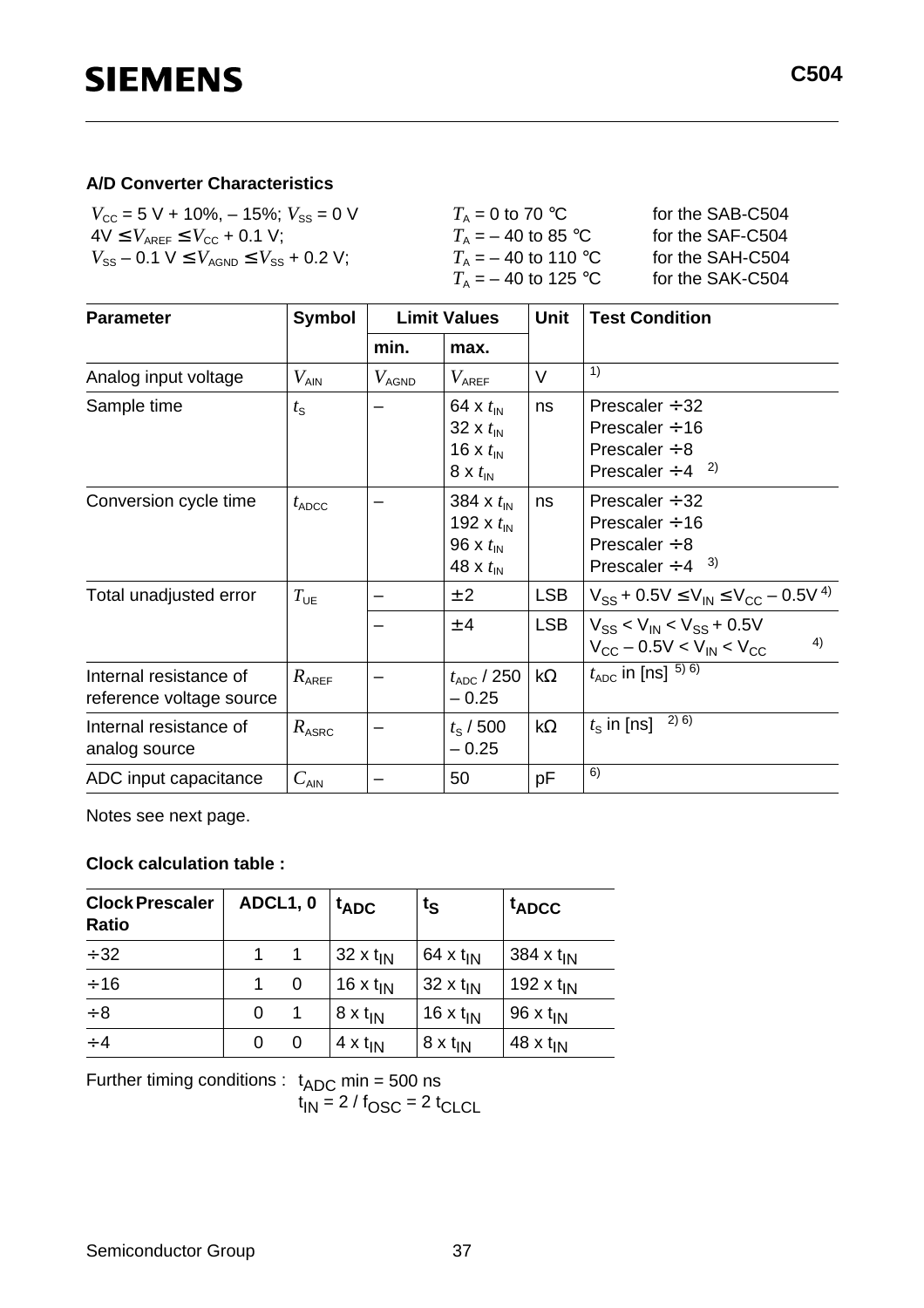#### **A/D Converter Characteristics**

| $V_{\text{cc}}$ = 5 V + 10%, - 15%; $V_{\text{ss}}$ = 0 V | $T_{\rm A}$ = 0 to 70 °C       | for the SAB-C504 |
|-----------------------------------------------------------|--------------------------------|------------------|
| $4V \leq V_{\text{AREF}} \leq V_{\text{CC}} + 0.1 V$ ;    | $T_{\rm A}$ = $-$ 40 to 85 °C  | for the SAF-C504 |
| $V_{SS}$ – 0.1 V $\leq V_{AGND} \leq V_{SS}$ + 0.2 V;     | $T_{\rm A}$ = $-$ 40 to 110 °C | for the SAH-C504 |
|                                                           | $T_{\rm A}$ = $-$ 40 to 125 °C | for the SAK-C504 |

| <b>Parameter</b>                                   | <b>Symbol</b><br><b>Limit Values</b> |                   | <b>Unit</b>                                                                                      | <b>Test Condition</b> |                                                                                                      |
|----------------------------------------------------|--------------------------------------|-------------------|--------------------------------------------------------------------------------------------------|-----------------------|------------------------------------------------------------------------------------------------------|
|                                                    |                                      | min.              | max.                                                                                             |                       |                                                                                                      |
| Analog input voltage                               | $V_{\sf AIN}$                        | $V_\mathsf{AGND}$ | $V_{\sf AREF}$                                                                                   | $\vee$                | 1)                                                                                                   |
| Sample time                                        | $t_{\rm S}$                          |                   | 64 x $t_{\text{IN}}$<br>32 x $t_{\text{IN}}$<br>16 x $t_{\text{IN}}$<br>$8 \times t_{\text{IN}}$ | ns                    | Prescaler $\div$ 32<br>Prescaler $\div$ 16<br>Prescaler $\div$ 8<br>Prescaler $\div$ 4 <sup>2)</sup> |
| Conversion cycle time                              | $t_{\text{ADC}}$                     |                   | 384 x $t_{\text{IN}}$<br>192 x $t_{\text{IN}}$<br>96 x $t_{\text{IN}}$<br>48 x $t_{\text{IN}}$   | ns                    | Prescaler $\div$ 32<br>Prescaler $\div$ 16<br>Prescaler $\div$ 8<br>Prescaler $\div$ 4 $3)$          |
| Total unadjusted error                             | $T_{UE}$                             |                   | ± 2                                                                                              | <b>LSB</b>            | $V_{SS}$ + 0.5V $\leq$ $V_{IN}$ $\leq$ $V_{CC}$ – 0.5V <sup>4)</sup>                                 |
|                                                    |                                      |                   | $±$ 4                                                                                            | <b>LSB</b>            | $V_{SS}$ < $V_{IN}$ < $V_{SS}$ + 0.5V<br>4)<br>$V_{\rm CC}$ – 0.5V < $V_{\rm IN}$ < $V_{\rm CC}$     |
| Internal resistance of<br>reference voltage source | $R_{\text{AREF}}$                    |                   | $t_{\rm ADC}$ / 250<br>$-0.25$                                                                   | $k\Omega$             | $t_{ADC}$ in [ns] $^{5)6)}$                                                                          |
| Internal resistance of<br>analog source            | $R_{\rm ASRC}$                       |                   | $t_{\rm s}$ / 500<br>$-0.25$                                                                     | $k\Omega$             | 2) 6)<br>$t_{\rm S}$ in [ns]                                                                         |
| ADC input capacitance                              | $C_{\sf AIN}$                        |                   | 50                                                                                               | pF                    | 6)                                                                                                   |

Notes see next page.

#### **Clock calculation table :**

| <b>Clock Prescaler</b><br><b>Ratio</b> |   | ADCL1, 0 | $t_{ADC}$            | $t_{\rm S}$            | <sup>t</sup> ADCC     |
|----------------------------------------|---|----------|----------------------|------------------------|-----------------------|
| $\div$ 32                              | 1 |          | $32 \times t_{IN}$   | 64 x $t_{IN}$          | 384 x t <sub>IN</sub> |
| $\div$ 16                              | 1 | 0        | 16 x $t_{\text{IN}}$ | $32 \times t_{IN}$     | 192 x $t_{\text{IN}}$ |
| $\div 8$                               | 0 |          | $8 \times t_{IN}$    | 16 $x$ t <sub>IN</sub> | 96 x $t_{\text{IN}}$  |
| $\div$ 4                               | 0 | 0        | $4 \times t_{IN}$    | $8 \times t_{IN}$      | 48 x $t_{IN}$         |

Further timing conditions :  $t_{ADC}$  min = 500 ns

 $t_{IN}$  = 2  $/$  f<sub>OSC</sub> = 2  $t_{CLCL}$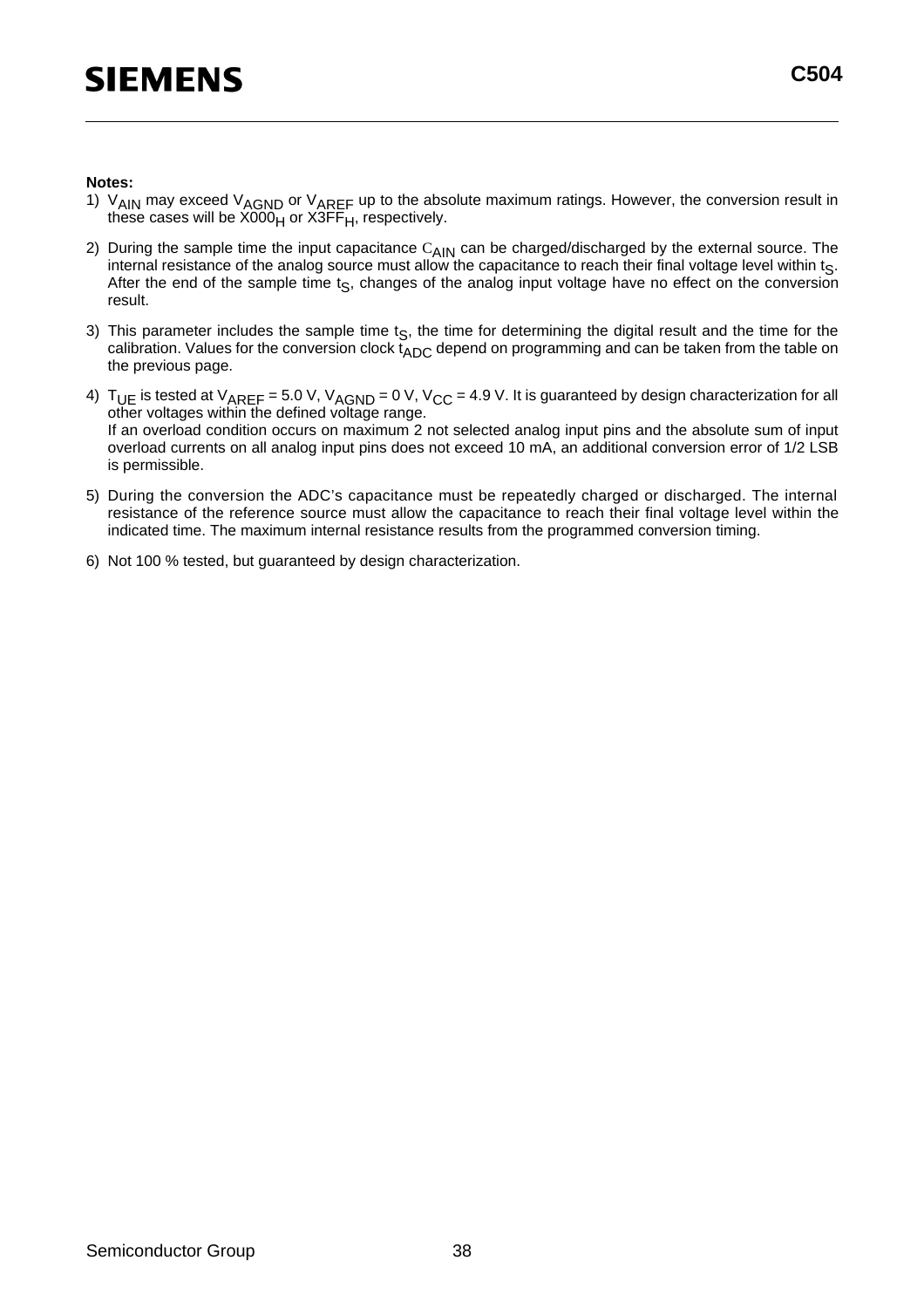#### **Notes:**

- 1) V<sub>AIN</sub> may exceed V<sub>AGND</sub> or V<sub>AREF</sub> up to the absolute maximum ratings. However, the conversion result in these cases will be X000<sub>H</sub> or X3FF<sub>H</sub>, respectively.
- 2) During the sample time the input capacitance  $C_{AlN}$  can be charged/discharged by the external source. The internal resistance of the analog source must allow the capacitance to reach their final voltage level within ts. After the end of the sample time  $t_S$ , changes of the analog input voltage have no effect on the conversion result.
- 3) This parameter includes the sample time  $t<sub>S</sub>$ , the time for determining the digital result and the time for the calibration. Values for the conversion clock  $t_{ADC}$  depend on programming and can be taken from the table on the previous page.
- 4)  $\rm\,T_{UE}$  is tested at  $\rm\,V_{AREF}$  = 5.0 V,  $\rm\,V_{AGND}$  = 0 V, V $\rm_{CC}$  = 4.9 V. It is guaranteed by design characterization for all other voltages within the defined voltage range. If an overload condition occurs on maximum 2 not selected analog input pins and the absolute sum of input overload currents on all analog input pins does not exceed 10 mA, an additional conversion error of 1/2 LSB is permissible.
- 5) During the conversion the ADC's capacitance must be repeatedly charged or discharged. The internal resistance of the reference source must allow the capacitance to reach their final voltage level within the indicated time. The maximum internal resistance results from the programmed conversion timing.
- 6) Not 100 % tested, but guaranteed by design characterization.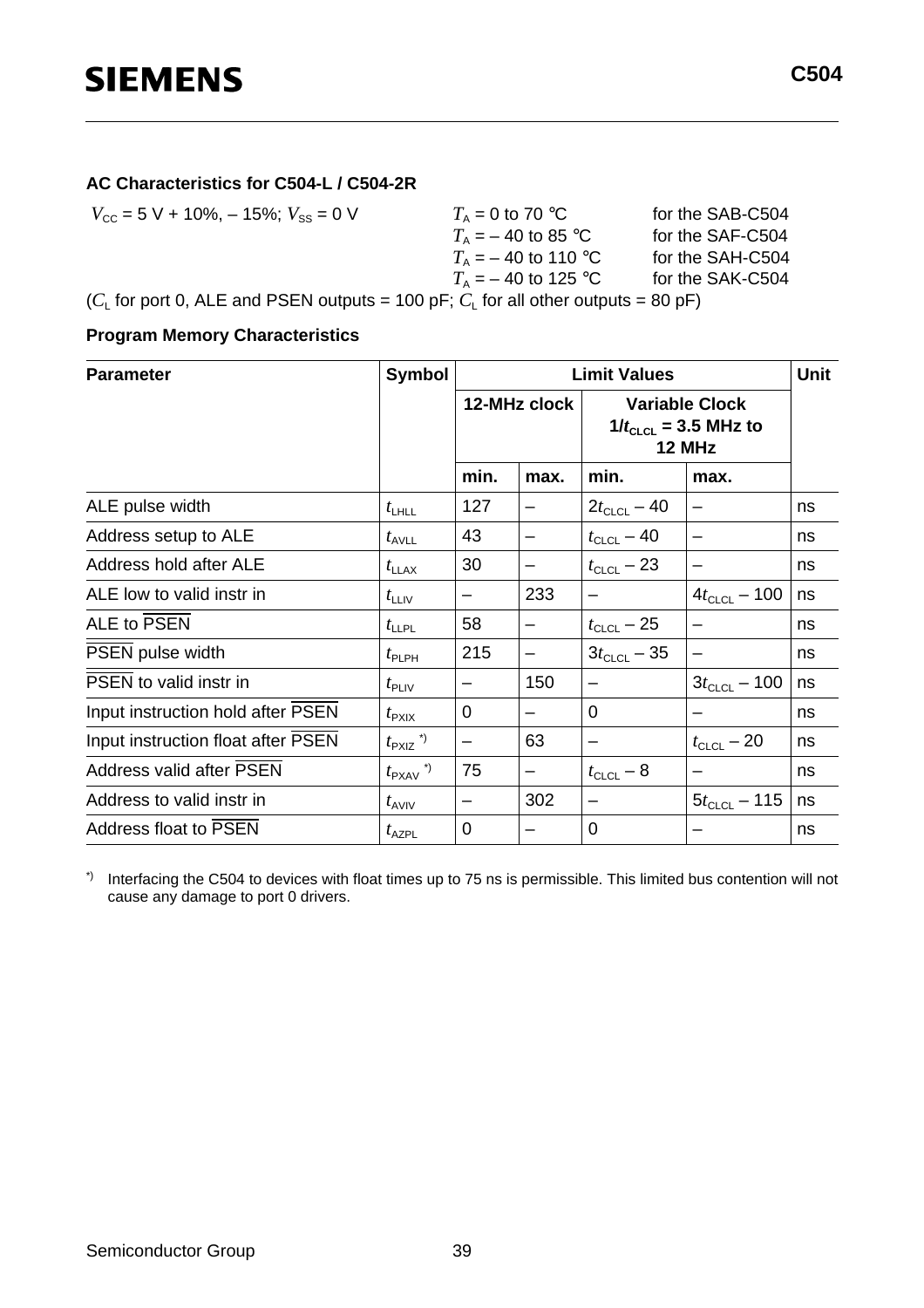#### **AC Characteristics for C504-L / C504-2R**

$$
V_{\text{CC}} = 5 \text{ V} + 10\%, -15\%; V_{\text{SS}} = 0 \text{ V}
$$
\n
$$
T_{\text{A}} = -40 \text{ to } 85 \text{ °C}
$$
\n
$$
T_{\text{A}} = -40 \text{ to } 110 \text{ °C}
$$
\nfor the SAF-C504  
\nfor the SAF-C504  
\nfor the SAH-C504  
\n
$$
T_{\text{A}} = -40 \text{ to } 125 \text{ °C}
$$
\nfor the SAH-C504  
\nfor the SAH-C504  
\nfor the SAH-C504  
\nfor the SAH-C504  
\nfor the SAH-C504  
\nfor the SAH-C504  
\nfor the SAH-C504  
\nfor the SAH-C504  
\nfor the SAH-C504  
\nfor the SAH-C504  
\nfor the SAH-C504  
\nfor the SAH-C504  
\nfor the SAH-C504  
\nfor the SAH-C504  
\nfor the SAH-C504  
\nfor the SAH-C504  
\nfor the SAH-C504  
\nfor the SAH-C504  
\nfor the SAH-C504  
\nfor the SAH-C504  
\nfor the SAH-C504  
\nfor the SAH-C504  
\nfor the SAH-C504  
\nfor the SAH-C504  
\nfor the SAH-C504  
\nfor the SAH-C504  
\nfor the SAH-C504  
\nfor the SAH-C504  
\nfor the SAH-C504  
\nfor the SAH-C504  
\nfor the SAH-C504  
\nfor the SAH-C504

#### **Program Memory Characteristics**

| <b>Parameter</b>                   | <b>Symbol</b>                   | <b>Limit Values</b> |              |                                                                     |                   | <b>Unit</b> |
|------------------------------------|---------------------------------|---------------------|--------------|---------------------------------------------------------------------|-------------------|-------------|
|                                    |                                 |                     | 12-MHz clock | <b>Variable Clock</b><br>$1/t_{CLCL}$ = 3.5 MHz to<br><b>12 MHz</b> |                   |             |
|                                    |                                 | min.                | max.         | min.                                                                | max.              |             |
| ALE pulse width                    | $t_{\text{LHLL}}$               | 127                 |              | $2t_{CLCL} - 40$                                                    |                   | ns          |
| Address setup to ALE               | $t_{\text{AVLL}}$               | 43                  |              | $t_{\text{CLCL}} - 40$                                              |                   | ns          |
| Address hold after ALE             | $t_{\text{LLAX}}$               | 30                  |              | $t_{CLCL}$ – 23                                                     |                   | ns          |
| ALE low to valid instr in          | $t_{\text{LLIV}}$               | —                   | 233          | —                                                                   | $4t_{CLCL} - 100$ | ns          |
| ALE to PSEN                        | $t_{\text{LLPL}}$               | 58                  |              | $t_{CLCL} - 25$                                                     |                   | ns          |
| PSEN pulse width                   | $t_{\sf PLPH}$                  | 215                 | —            | $3t_{CLCL} - 35$                                                    |                   | ns          |
| PSEN to valid instr in             | $t_{\sf PLIV}$                  |                     | 150          |                                                                     | $3t_{CLCL} - 100$ | ns          |
| Input instruction hold after PSEN  | $t_{\text{PXIX}}$               | 0                   | —            | 0                                                                   |                   | ns          |
| Input instruction float after PSEN | $t_{\text{PXIZ}}$ <sup>*)</sup> |                     | 63           | —                                                                   | $t_{CLCL} - 20$   | ns          |
| Address valid after PSEN           | $t_{\text{PXAV}}$ <sup>*)</sup> | 75                  |              | $t_{CLCL} - 8$                                                      |                   | ns          |
| Address to valid instr in          | $t_{AVIV}$                      |                     | 302          | —                                                                   | $5t_{CLCL} - 115$ | ns          |
| Address float to PSEN              | $t_{\sf AZPL}$                  | 0                   |              | 0                                                                   |                   | ns          |

\*) Interfacing the C504 to devices with float times up to 75 ns is permissible. This limited bus contention will not cause any damage to port 0 drivers.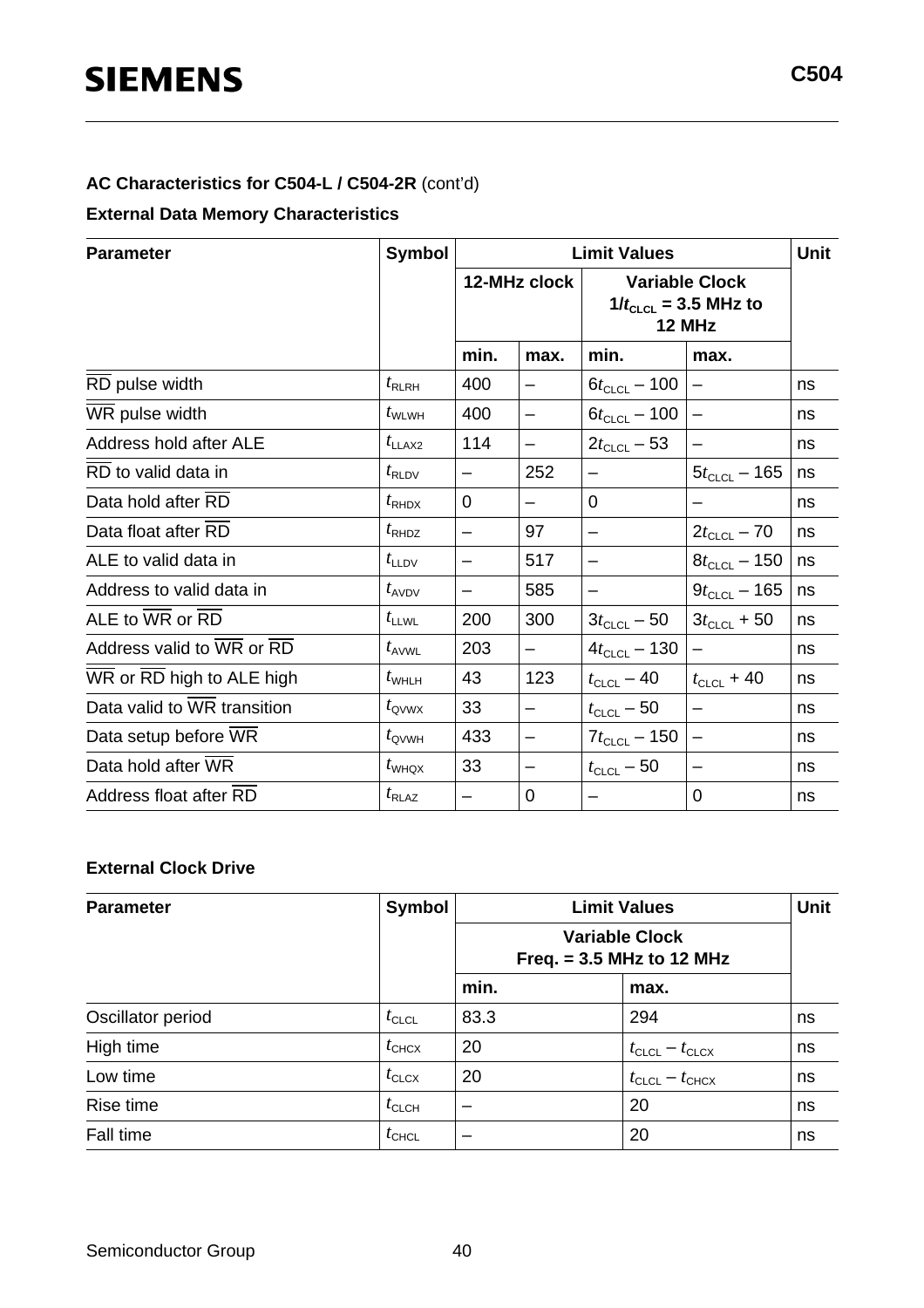#### **AC Characteristics for C504-L / C504-2R** (cont'd)

#### **External Data Memory Characteristics**

| <b>Parameter</b>                                        | <b>Symbol</b>     |                          |                          | <b>Limit Values</b>                | Unit                                                         |    |
|---------------------------------------------------------|-------------------|--------------------------|--------------------------|------------------------------------|--------------------------------------------------------------|----|
|                                                         |                   |                          | 12-MHz clock             |                                    | <b>Variable Clock</b><br>$1/t_{CLCL}$ = 3.5 MHz to<br>12 MHz |    |
|                                                         |                   | min.                     | max.                     | min.                               | max.                                                         |    |
| RD pulse width                                          | $t_{\rm RLRH}$    | 400                      |                          | $6t_{CLCL} - 100$                  |                                                              | ns |
| WR pulse width                                          | $t_{\text{WLWH}}$ | 400                      | -                        | $6t_{CLCL} - 100$                  |                                                              | ns |
| Address hold after ALE                                  | $t_{LLAX2}$       | 114                      | -                        | $2t_{CLCL} - 53$                   |                                                              | ns |
| RD to valid data in                                     | $t_{\rm RLDV}$    |                          | 252                      | —                                  | $5t_{CLCL}$ – 165                                            | ns |
| Data hold after RD                                      | $t_{\text{RHDX}}$ | $\Omega$                 | $\overline{\phantom{0}}$ | 0                                  |                                                              | ns |
| Data float after RD                                     | $t_{\text{RHDZ}}$ | —                        | 97                       | $\overline{\phantom{0}}$           | $2t_{CLCL} - 70$                                             | ns |
| ALE to valid data in                                    | $t_{\text{LLDV}}$ |                          | 517                      | -                                  | $8t_{CLCL} - 150$                                            | ns |
| Address to valid data in                                | $t_{AVDV}$        |                          | 585                      | -                                  | $9t_{CLCL} - 165$                                            | ns |
| ALE to $\overline{\text{WR}}$ or $\overline{\text{RD}}$ | $t_{\text{LLWL}}$ | 200                      | 300                      | $3t_{CLCL} - 50$                   | $3t_{CLCL}$ + 50                                             | ns |
| Address valid to WR or RD                               | $t_{\sf AVWL}$    | 203                      | $\overline{\phantom{m}}$ | $4t_{CLCL} - 130$                  |                                                              | ns |
| WR or RD high to ALE high                               | $t_{\text{WHLH}}$ | 43                       | 123                      | $t_{\text{CLCL}} - 40$             | $t_{CLCL}$ + 40                                              | ns |
| Data valid to WR transition                             | $t_{\rm QVWX}$    | 33                       | —                        | $t_{\scriptstyle\textrm{CLCL}}-50$ | $\overline{\phantom{0}}$                                     | ns |
| Data setup before WR                                    | $t_{\text{QVWH}}$ | 433                      | —                        | $7t_{CLCL} - 150$                  |                                                              | ns |
| Data hold after WR                                      | $t_{\text{WHQX}}$ | 33                       | -                        | $t_{\text{CLCL}} - 50$             |                                                              | ns |
| Address float after RD                                  | $t_{\text{RLAZ}}$ | $\overline{\phantom{0}}$ | 0                        |                                    | 0                                                            | ns |

#### **External Clock Drive**

| <b>Parameter</b>  | <b>Symbol</b>     |      | <b>Limit Values</b>                                  | <b>Unit</b> |  |
|-------------------|-------------------|------|------------------------------------------------------|-------------|--|
|                   |                   |      | <b>Variable Clock</b><br>Freq. $= 3.5$ MHz to 12 MHz |             |  |
|                   |                   | min. | max.                                                 |             |  |
| Oscillator period | $t_{\text{CLCL}}$ | 83.3 | 294                                                  | ns          |  |
| High time         | $t_{\text{CHCX}}$ | 20   | $t_{\text{CLCL}} - t_{\text{CLCX}}$                  | ns          |  |
| Low time          | $t_{\text{CLCX}}$ | 20   | $t_{\text{CLCL}} - t_{\text{CHCX}}$                  | ns          |  |
| Rise time         | $t_{\text{CLCH}}$ |      | 20                                                   | ns          |  |
| Fall time         | $t_{\text{CHCL}}$ |      | 20                                                   | ns          |  |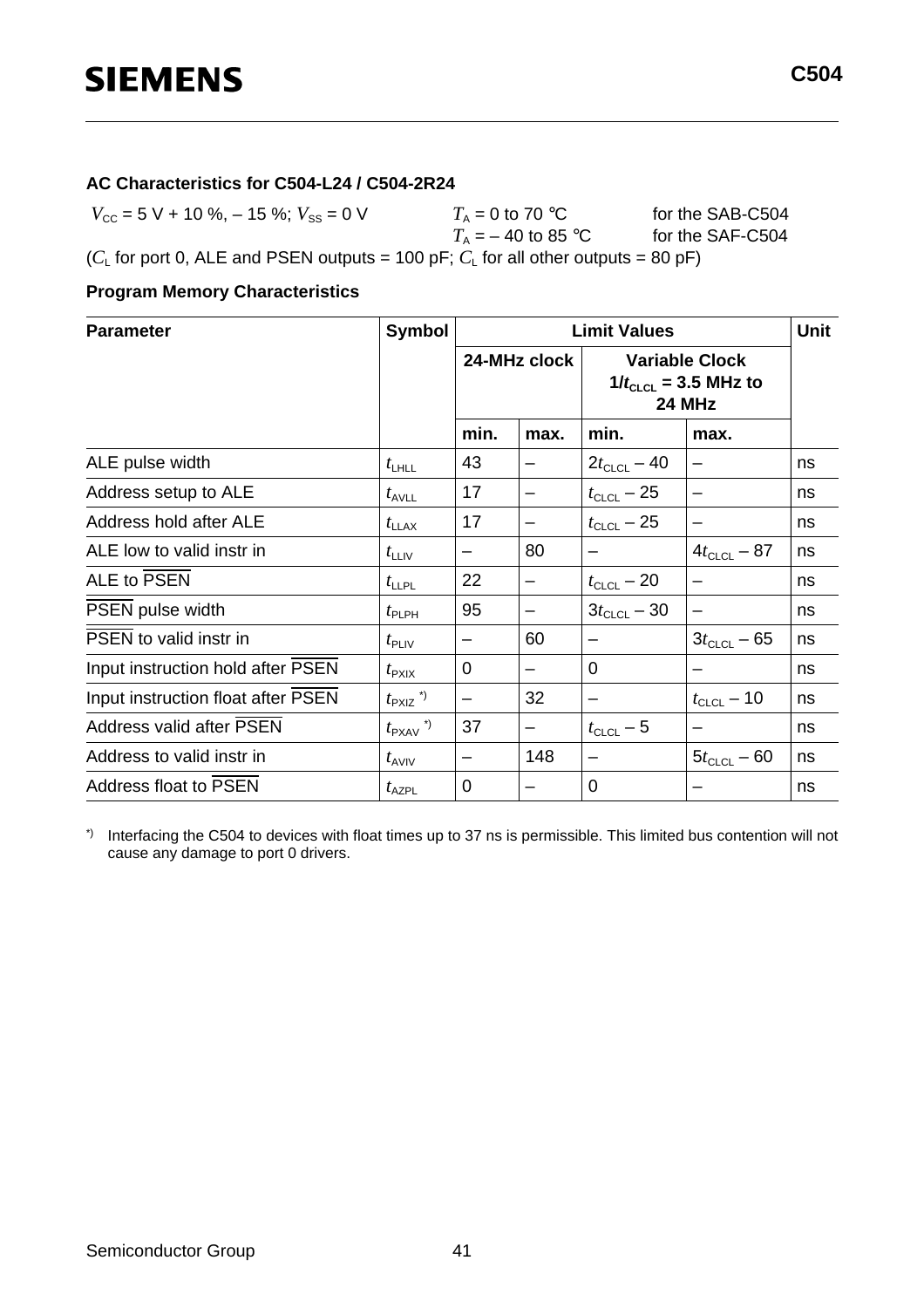#### **AC Characteristics for C504-L24 / C504-2R24**

 $V_{\text{CC}} = 5 \text{ V} + 10 \text{ %}, -15 \text{ %}; V_{\text{SS}} = 0 \text{ V}$   $T_A = 0 \text{ to } 70 \text{ °C}$  for the SAB-C504<br> $T_A = -40 \text{ to } 85 \text{ °C}$  for the SAF-C504  $T_{\rm A}$  = 0 to 70 °C<br> $T_{\rm A}$  = – 40 to 85 °C ( $C_L$  for port 0, ALE and PSEN outputs = 100 pF;  $C_L$  for all other outputs = 80 pF)

#### **Program Memory Characteristics**

| <b>Parameter</b>                   | <b>Symbol</b>                   | <b>Limit Values</b> |                                                                              |                  |                          | <b>Unit</b> |
|------------------------------------|---------------------------------|---------------------|------------------------------------------------------------------------------|------------------|--------------------------|-------------|
|                                    |                                 |                     | 24-MHz clock<br><b>Variable Clock</b><br>$1/t_{CLCL}$ = 3.5 MHz to<br>24 MHz |                  |                          |             |
|                                    |                                 | min.                | max.                                                                         | min.             | max.                     |             |
| ALE pulse width                    | $t_{\text{LHLL}}$               | 43                  |                                                                              | $2t_{CLCL} - 40$ |                          | ns          |
| Address setup to ALE               | $t_{\text{AVLL}}$               | 17                  |                                                                              | $t_{CLCL} - 25$  |                          | ns          |
| Address hold after ALE             | $t_{\text{LLAX}}$               | 17                  |                                                                              | $t_{CLCL} - 25$  |                          | ns          |
| ALE low to valid instr in          | $t_{\text{LLIV}}$               |                     | 80                                                                           |                  | $4t_{CLCL} - 87$         | ns          |
| <b>ALE to PSEN</b>                 | $t_{\text{LLPL}}$               | 22                  |                                                                              | $t_{CLCL} - 20$  | $\overline{\phantom{0}}$ | ns          |
| PSEN pulse width                   | $t_{\sf PLPH}$                  | 95                  |                                                                              | $3t_{CLCL} - 30$ |                          | ns          |
| PSEN to valid instr in             | $t_{\sf PLIV}$                  |                     | 60                                                                           |                  | $3t_{CLCL} - 65$         | ns          |
| Input instruction hold after PSEN  | $t_{\rm P XIX}$                 | $\Omega$            |                                                                              | $\Omega$         |                          | ns          |
| Input instruction float after PSEN | $t_{\text{PXIZ}}$ <sup>*)</sup> | —                   | 32                                                                           | —                | $t_{CLCL}$ – 10          | ns          |
| Address valid after PSEN           | $t_{\text{PXAV}}$ <sup>*)</sup> | 37                  |                                                                              | $t_{CLCL} - 5$   |                          | ns          |
| Address to valid instr in          | $t_{AVIV}$                      |                     | 148                                                                          | —                | $5t_{CLCL} - 60$         | ns          |
| <b>Address float to PSEN</b>       | $t_{\sf AZPL}$                  | 0                   |                                                                              | 0                |                          | ns          |

\*) Interfacing the C504 to devices with float times up to 37 ns is permissible. This limited bus contention will not cause any damage to port 0 drivers.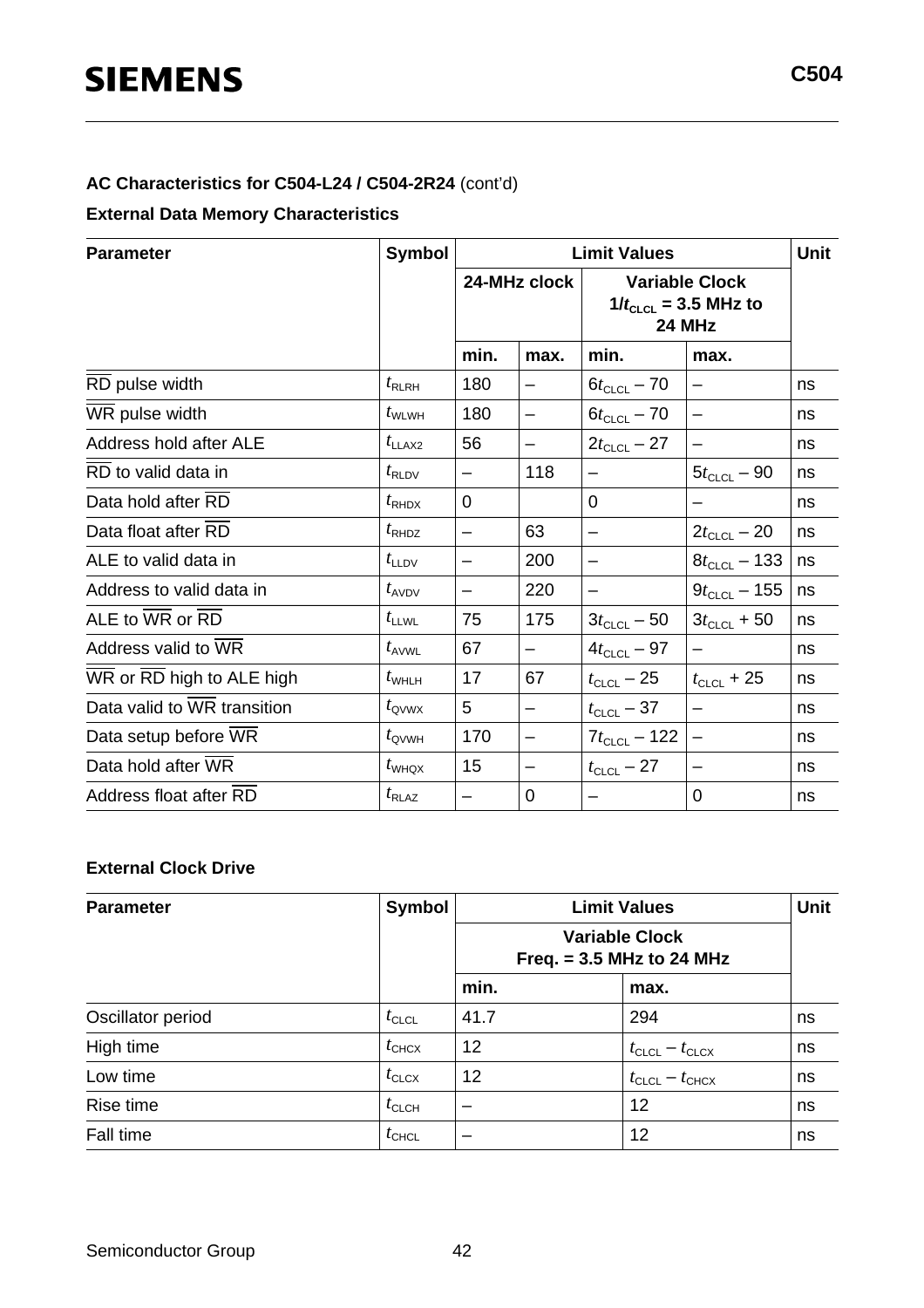#### **AC Characteristics for C504-L24 / C504-2R24** (cont'd)

#### **External Data Memory Characteristics**

| <b>Parameter</b>            | <b>Symbol</b>     |             |                   | <b>Limit Values</b>                                          | Unit              |    |
|-----------------------------|-------------------|-------------|-------------------|--------------------------------------------------------------|-------------------|----|
|                             |                   |             | 24-MHz clock      | <b>Variable Clock</b><br>$1/t_{CLCL}$ = 3.5 MHz to<br>24 MHz |                   |    |
|                             |                   | min.        | max.              | min.                                                         | max.              |    |
| RD pulse width              | $t_{\sf RLRH}$    | 180         | $\qquad \qquad$   | $6t_{CLCL} - 70$                                             | —                 | ns |
| WR pulse width              | $t_{\text{WLWH}}$ | 180         | —                 | $6t_{CLCL} - 70$                                             |                   | ns |
| Address hold after ALE      | $t_{LLAX2}$       | 56          |                   | $2t_{CLCL} - 27$                                             |                   | ns |
| RD to valid data in         | $t_{\rm RLDV}$    |             | 118               | —                                                            | $5t_{CLCL} - 90$  | ns |
| Data hold after RD          | $t_{\text{RHDX}}$ | $\mathbf 0$ |                   | $\Omega$                                                     |                   | ns |
| Data float after RD         | $t_{\text{RHDZ}}$ | —           | 63                | -                                                            | $2t_{CLCL} - 20$  | ns |
| ALE to valid data in        | $t_{\text{LLDV}}$ |             | 200               | -                                                            | $8t_{CLCL}$ – 133 | ns |
| Address to valid data in    | $t_{AVDV}$        |             | 220               | -                                                            | $9t_{CLCL} - 155$ | ns |
| ALE to WR or RD             | $t_{\text{LLWL}}$ | 75          | 175               | $3t_{CLCL} - 50$                                             | $3t_{CLCL}$ + 50  | ns |
| Address valid to WR         | $t_{AVWL}$        | 67          | $\qquad \qquad -$ | $4t_{CLCL} - 97$                                             |                   | ns |
| WR or RD high to ALE high   | $t_{\text{WHLH}}$ | 17          | 67                | $t_{CLCL}$ – 25                                              | $t_{CLCL}$ + 25   | ns |
| Data valid to WR transition | $t_{\rm QVWX}$    | 5           | —                 | $t_{\scriptstyle\textrm{CLCL}}-37$                           |                   | ns |
| Data setup before WR        | $t_{\text{QVWH}}$ | 170         | —                 | $7t_{CLCL} - 122$                                            |                   | ns |
| Data hold after WR          | $t_{\text{WHQX}}$ | 15          | -                 | $t_{\scriptstyle\textrm{CLCL}}-27$                           |                   | ns |
| Address float after RD      | $t_{\text{RLAZ}}$ | —           | 0                 | —                                                            | 0                 | ns |

#### **External Clock Drive**

| <b>Parameter</b>  | Symbol            |                             | <b>Limit Values</b>                 |    |  |  |
|-------------------|-------------------|-----------------------------|-------------------------------------|----|--|--|
|                   |                   | Freq. $= 3.5$ MHz to 24 MHz |                                     |    |  |  |
|                   |                   | min.                        | max.                                |    |  |  |
| Oscillator period | $t_{\text{CLCL}}$ | 41.7                        | 294                                 | ns |  |  |
| High time         | $t_{\text{CHCX}}$ | 12                          | $t_{\text{CLCL}} - t_{\text{CLCX}}$ | ns |  |  |
| Low time          | $t_{\text{CLCX}}$ | 12                          | $t_{\text{CLCL}} - t_{\text{CHCX}}$ | ns |  |  |
| Rise time         | $t_{\text{CLCH}}$ | –                           | 12                                  | ns |  |  |
| Fall time         | $t_{\text{CHCL}}$ |                             | 12                                  | ns |  |  |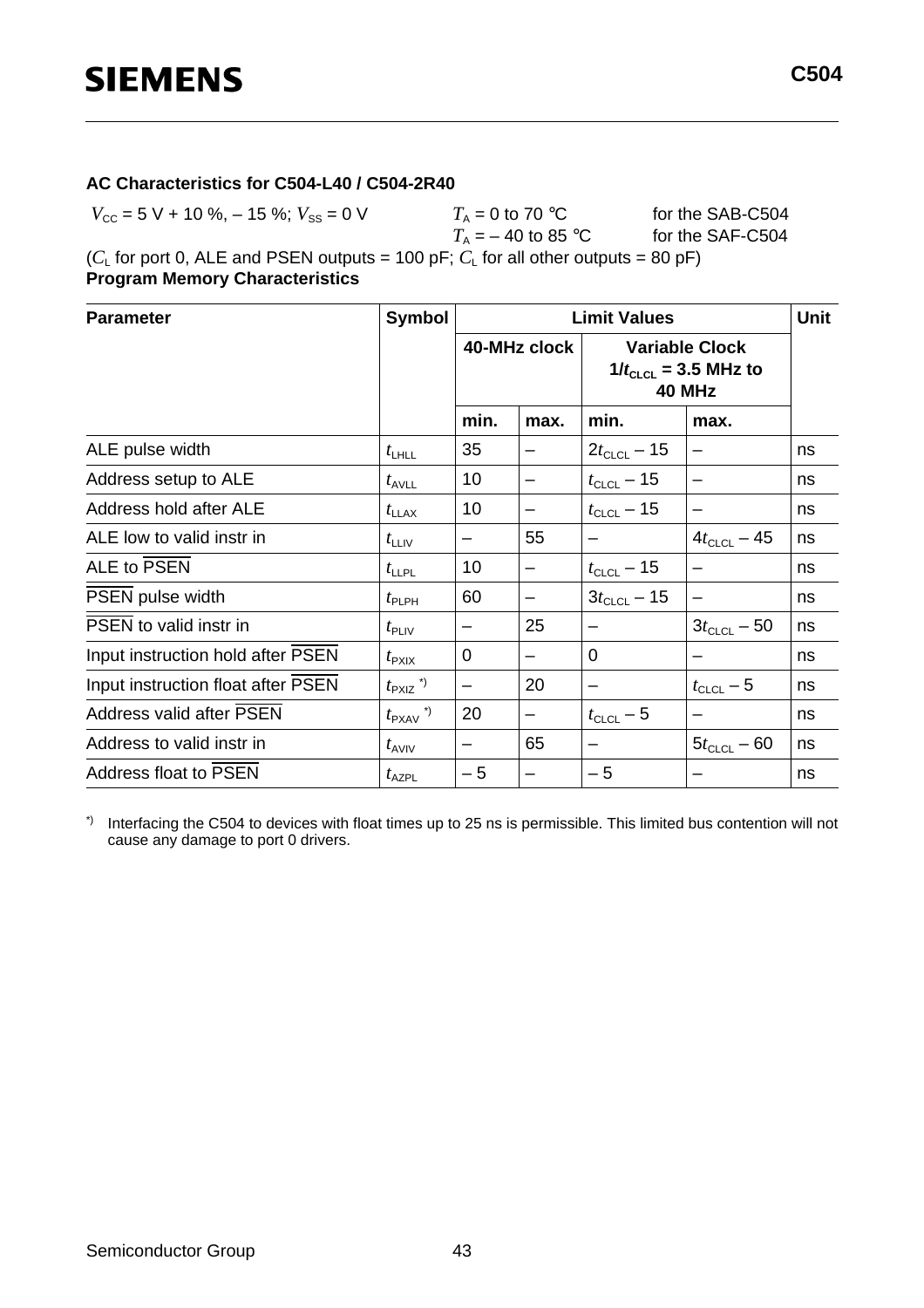#### **AC Characteristics for C504-L40 / C504-2R40**

 $V_{\text{CC}} = 5 \text{ V} + 10 \text{ %}, -15 \text{ %}; V_{\text{SS}} = 0 \text{ V}$   $T_A = 0 \text{ to } 70 \text{ °C}$  for the SAB-C504<br> $T_A = -40 \text{ to } 85 \text{ °C}$  for the SAF-C504  $T_{\rm A}$  = 0 to 70 °C<br> $T_{\rm A}$  = – 40 to 85 °C ( $C_{L}$  for port 0, ALE and PSEN outputs = 100 pF;  $C_{L}$  for all other outputs = 80 pF)

**Program Memory Characteristics**

| <b>Parameter</b>                   | Symbol                          | <b>Limit Values</b> |              |                                                              |                  | <b>Unit</b> |
|------------------------------------|---------------------------------|---------------------|--------------|--------------------------------------------------------------|------------------|-------------|
|                                    |                                 |                     | 40-MHz clock | <b>Variable Clock</b><br>$1/t_{CLCL}$ = 3.5 MHz to<br>40 MHz |                  |             |
|                                    |                                 | min.                | max.         | min.                                                         | max.             |             |
| ALE pulse width                    | $t_{\text{LHLL}}$               | 35                  |              | $2t_{CLCL} - 15$                                             |                  | ns          |
| Address setup to ALE               | $t_{\text{AVLL}}$               | 10                  |              | $t_{\text{CLCL}} - 15$                                       |                  | ns          |
| Address hold after ALE             | $t_{\text{LLAX}}$               | 10                  |              | $t_{CLCL}$ – 15                                              |                  | ns          |
| ALE low to valid instr in          | $t_{\text{LLIV}}$               |                     | 55           |                                                              | $4t_{CLCL} - 45$ | ns          |
| ALE to PSEN                        | $t_{\text{LLPL}}$               | 10                  |              | $t_{CLCL}$ – 15                                              |                  | ns          |
| PSEN pulse width                   | $t_{\sf PLPH}$                  | 60                  |              | $3t_{CLCL} - 15$                                             |                  | ns          |
| PSEN to valid instr in             | $t_{\sf PLIV}$                  |                     | 25           |                                                              | $3t_{CLCL} - 50$ | ns          |
| Input instruction hold after PSEN  | $t_{\sf P XIX}$                 | $\overline{0}$      |              | 0                                                            |                  | ns          |
| Input instruction float after PSEN | $t_{\text{PXIZ}}$ <sup>*)</sup> |                     | 20           |                                                              | $t_{CLCL}$ – 5   | ns          |
| Address valid after PSEN           | $t_{\text{PXAV}}$ <sup>*)</sup> | 20                  |              | $t_{CLCL}$ – 5                                               |                  | ns          |
| Address to valid instr in          | $t_{AVIV}$                      |                     | 65           |                                                              | $5t_{CLCL} - 60$ | ns          |
| Address float to PSEN              | $t_{\sf AZPL}$                  | $-5$                |              | $-5$                                                         |                  | ns          |

\*) Interfacing the C504 to devices with float times up to 25 ns is permissible. This limited bus contention will not cause any damage to port 0 drivers.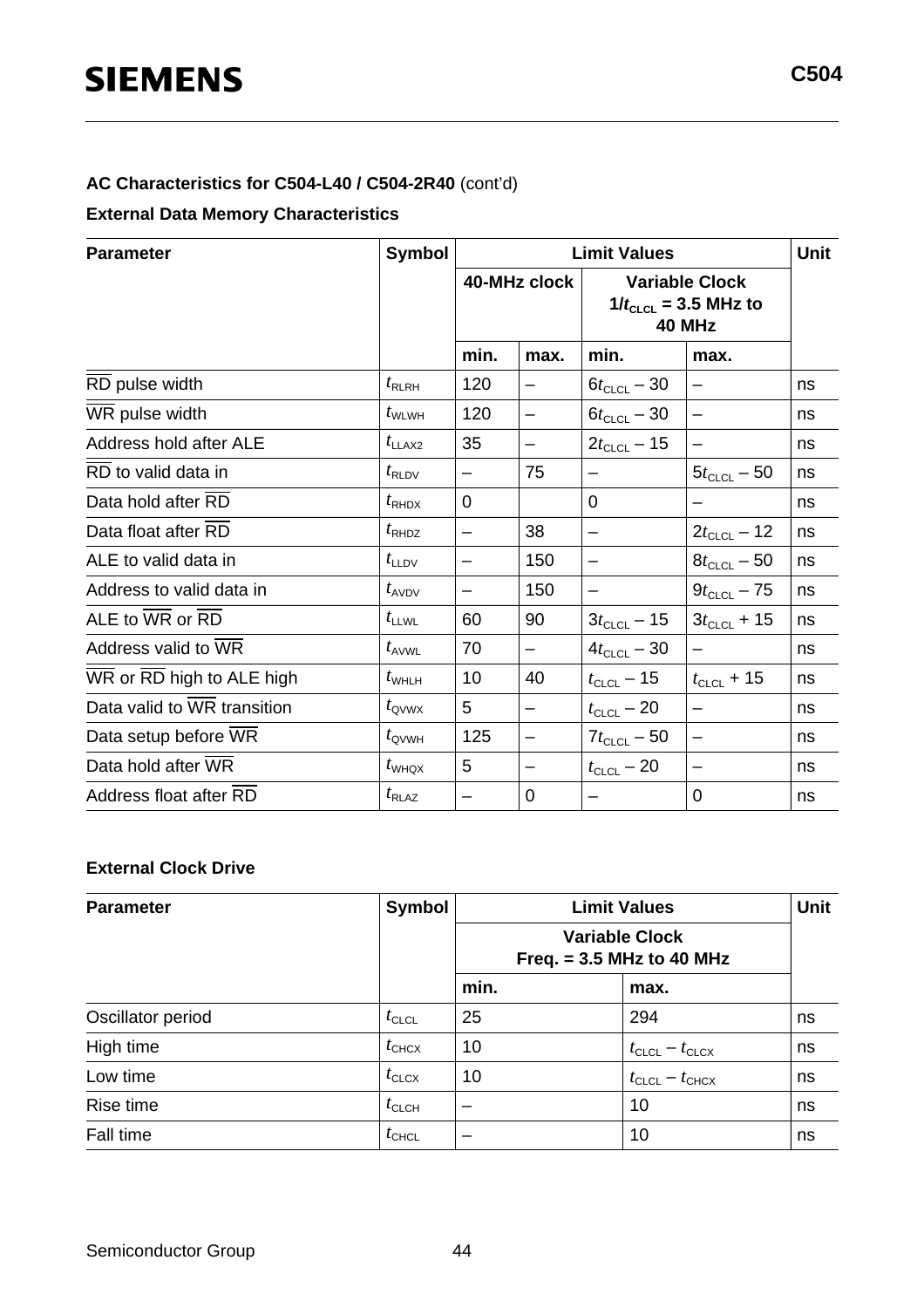#### **AC Characteristics for C504-L40 / C504-2R40** (cont'd)

#### **External Data Memory Characteristics**

| <b>Parameter</b>                                        | <b>Symbol</b>     |             |                          | <b>Limit Values</b>                                                 | Unit                     |    |
|---------------------------------------------------------|-------------------|-------------|--------------------------|---------------------------------------------------------------------|--------------------------|----|
|                                                         |                   |             | 40-MHz clock             | <b>Variable Clock</b><br>$1/t_{CLCL}$ = 3.5 MHz to<br><b>40 MHz</b> |                          |    |
|                                                         |                   | min.        | max.                     | min.                                                                | max.                     |    |
| RD pulse width                                          | $t_{\rm RLRH}$    | 120         |                          | $6t_{CLCL} - 30$                                                    |                          | ns |
| WR pulse width                                          | $t_{\text{WLWH}}$ | 120         | —                        | $6t_{CLCL} - 30$                                                    | —                        | ns |
| Address hold after ALE                                  | $t_{LLAX2}$       | 35          | -                        | $2t_{CLCL} - 15$                                                    |                          | ns |
| RD to valid data in                                     | $t_{\rm RLDV}$    | —           | 75                       | —                                                                   | $5t_{CLCL} - 50$         | ns |
| Data hold after RD                                      | $t_{\text{RHDX}}$ | $\mathbf 0$ |                          | $\Omega$                                                            |                          | ns |
| Data float after RD                                     | $t_{\text{RHDZ}}$ | —           | 38                       | -                                                                   | $2t_{CLCL} - 12$         | ns |
| ALE to valid data in                                    | $t_{\text{LLDV}}$ |             | 150                      | -                                                                   | $8t_{CLCL} - 50$         | ns |
| Address to valid data in                                | $t_{AVDV}$        |             | 150                      | —                                                                   | $9t_{CLCL} - 75$         | ns |
| ALE to $\overline{\text{WR}}$ or $\overline{\text{RD}}$ | $t_{\text{LLWL}}$ | 60          | 90                       | $3t_{CLCL} - 15$                                                    | $3t_{CLCL}$ + 15         | ns |
| Address valid to WR                                     | $t_{\text{AVWL}}$ | 70          | $\overline{\phantom{m}}$ | $4t_{CLCL} - 30$                                                    | $\overline{\phantom{0}}$ | ns |
| WR or RD high to ALE high                               | $t_{\text{WHLH}}$ | 10          | 40                       | $t_{CLCL}$ – 15                                                     | $t_{CLCL}$ + 15          | ns |
| Data valid to WR transition                             | $t_{\rm QVWX}$    | 5           | —                        | $t_{\scriptstyle\textrm{CLCL}}-20$                                  | $\overline{\phantom{0}}$ | ns |
| Data setup before WR                                    | $t_{\text{QVWH}}$ | 125         | —                        | $7t_{CLCL} - 50$                                                    | $\qquad \qquad -$        | ns |
| Data hold after WR                                      | $t_{\text{WHQX}}$ | 5           | -                        | $t_{\scriptstyle\textrm{CLCL}}-20$                                  |                          | ns |
| Address float after RD                                  | $t_{\text{RLAZ}}$ | —           | 0                        |                                                                     | 0                        | ns |

#### **External Clock Drive**

| <b>Parameter</b>  | <b>Symbol</b>     |      | <b>Limit Values</b>                                  | <b>Unit</b> |  |
|-------------------|-------------------|------|------------------------------------------------------|-------------|--|
|                   |                   |      | <b>Variable Clock</b><br>Freq. $= 3.5$ MHz to 40 MHz |             |  |
|                   |                   | min. | max.                                                 |             |  |
| Oscillator period | $t_{\text{CLCL}}$ | 25   | 294                                                  | ns          |  |
| High time         | $t_{\text{CHCX}}$ | 10   | $t_{\text{CLCL}} - t_{\text{CLCX}}$                  | ns          |  |
| Low time          | $t_{\text{CLCX}}$ | 10   | $t_{\text{CLCL}} - t_{\text{CHCX}}$                  | ns          |  |
| Rise time         | $t_{\text{CLCH}}$ |      | 10                                                   | ns          |  |
| Fall time         | $t_{\text{CHCL}}$ |      | 10                                                   | ns          |  |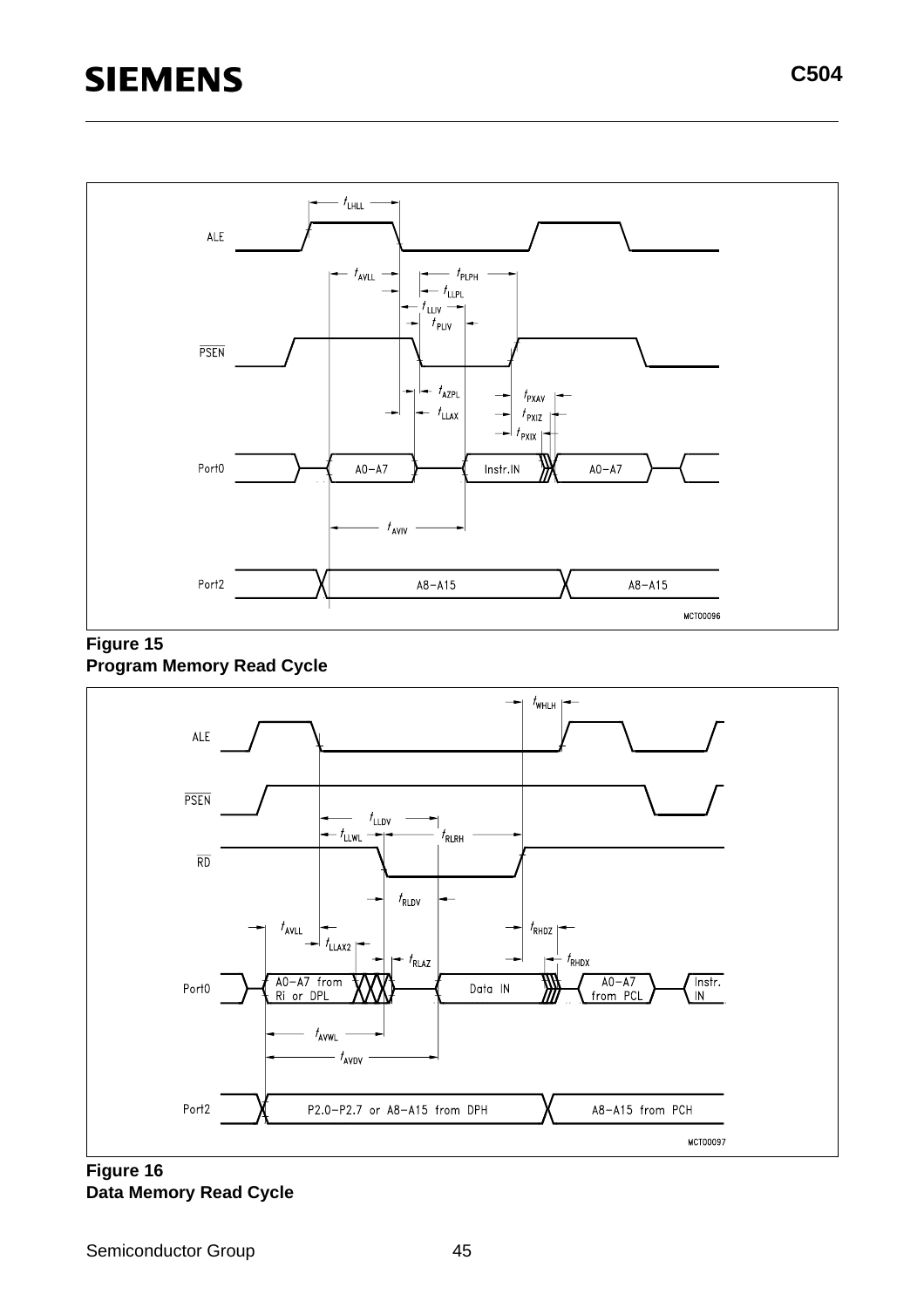





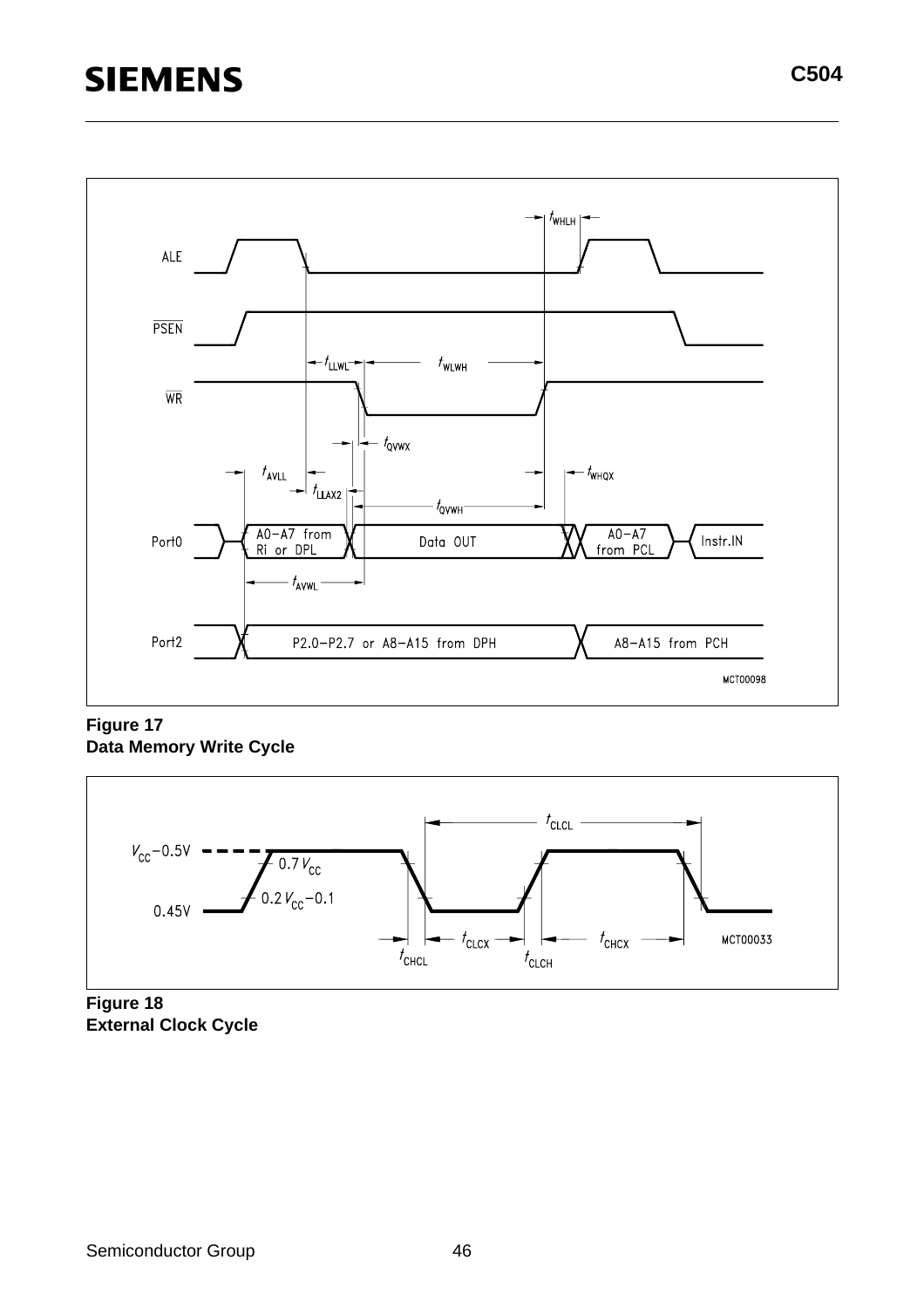# **SIEMENS**



**Figure 17 Data Memory Write Cycle**



**Figure 18 External Clock Cycle**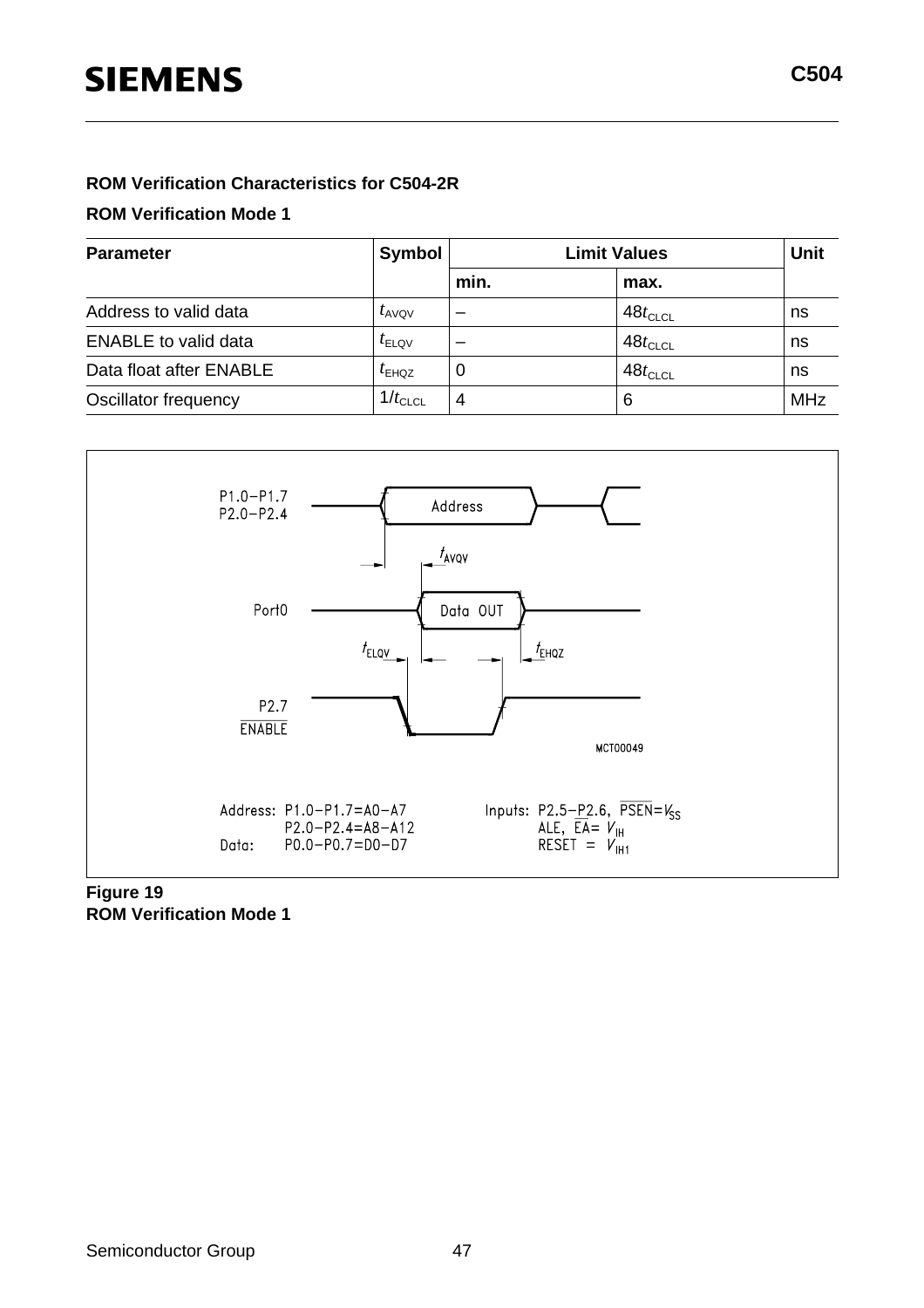#### **ROM Verification Characteristics for C504-2R**

#### **ROM Verification Mode 1**

| <b>Parameter</b>            | Symbol            |      | <b>Unit</b>           |            |
|-----------------------------|-------------------|------|-----------------------|------------|
|                             |                   | min. | max.                  |            |
| Address to valid data       | $t_{\text{AVQV}}$ |      | $48t$ <sub>CLCL</sub> | ns         |
| <b>ENABLE</b> to valid data | $t_{\text{ELQV}}$ |      | $48t$ <sub>CLCL</sub> | ns         |
| Data float after ENABLE     | $I_{EHQZ}$        | O    | $48t$ <sub>CLCL</sub> | ns         |
| Oscillator frequency        | $1/t_{CLCL}$      | 4    | 6                     | <b>MHz</b> |



#### **Figure 19 ROM Verification Mode 1**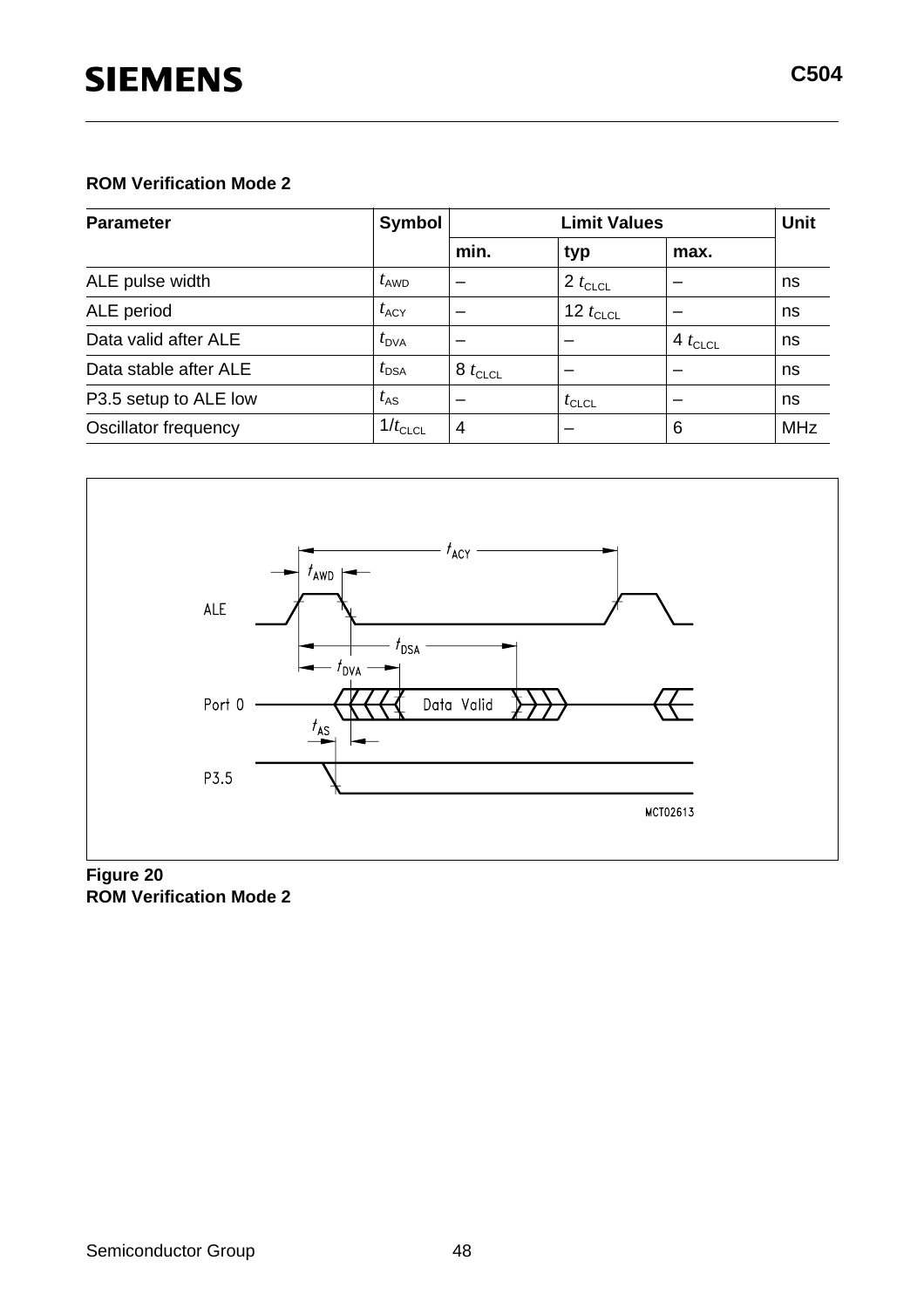# **SIEMENS**

| <b>Parameter</b>      | Symbol           | <b>Limit Values</b> |               |                 | Unit       |
|-----------------------|------------------|---------------------|---------------|-----------------|------------|
|                       |                  | min.                | typ           | max.            |            |
| ALE pulse width       | $t_{\text{AWD}}$ |                     | 2 $t_{CLCL}$  |                 | ns         |
| ALE period            | $t_{\rm ACY}$    |                     | 12 $t_{CLCL}$ |                 | ns         |
| Data valid after ALE  | $t_{\text{DVA}}$ | -                   |               | $+4$ $t_{CLCL}$ | ns         |
| Data stable after ALE | $t_{\text{DSA}}$ | $8t_{CLCL}$         |               |                 | ns         |
| P3.5 setup to ALE low | $t_{AS}$         | -                   | $t_{CLCL}$    |                 | ns         |
| Oscillator frequency  | $1/t_{CLCL}$     | 4                   | –             | 6               | <b>MHz</b> |